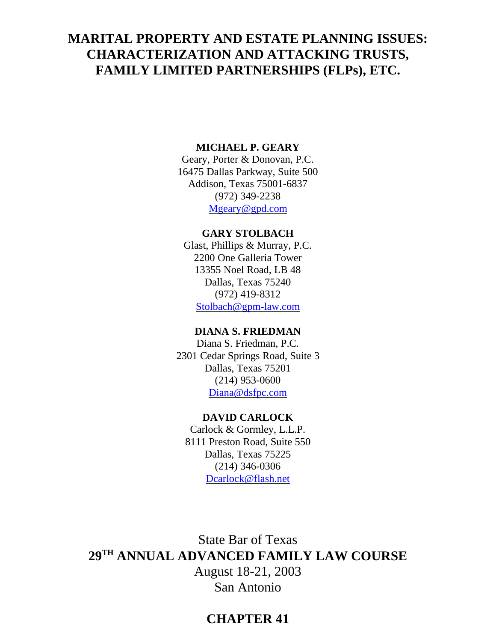# **MARITAL PROPERTY AND ESTATE PLANNING ISSUES: CHARACTERIZATION AND ATTACKING TRUSTS, FAMILY LIMITED PARTNERSHIPS (FLPs), ETC.**

### **MICHAEL P. GEARY**

Geary, Porter & Donovan, P.C. 16475 Dallas Parkway, Suite 500 Addison, Texas 75001-6837 (972) 349-2238 Mgeary@gpd.com

### **GARY STOLBACH**

Glast, Phillips & Murray, P.C. 2200 One Galleria Tower 13355 Noel Road, LB 48 Dallas, Texas 75240 (972) 419-8312 Stolbach@gpm-law.com

# **DIANA S. FRIEDMAN**

Diana S. Friedman, P.C. 2301 Cedar Springs Road, Suite 3 Dallas, Texas 75201 (214) 953-0600 Diana@dsfpc.com

#### **DAVID CARLOCK**

Carlock & Gormley, L.L.P. 8111 Preston Road, Suite 550 Dallas, Texas 75225 (214) 346-0306 Dcarlock@flash.net

State Bar of Texas **29TH ANNUAL ADVANCED FAMILY LAW COURSE** August 18-21, 2003 San Antonio

# **CHAPTER 41**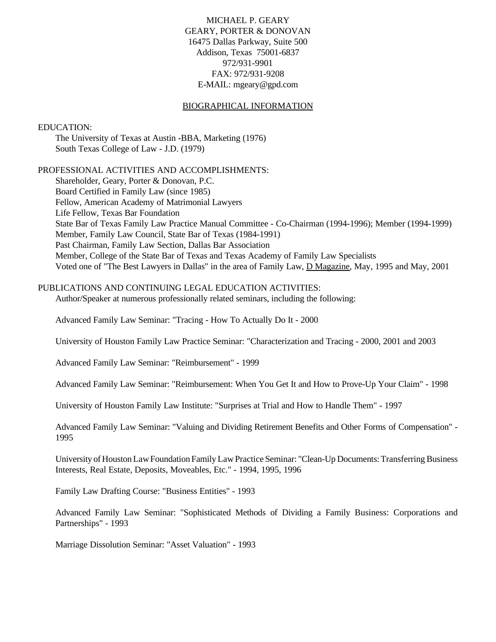MICHAEL P. GEARY GEARY, PORTER & DONOVAN 16475 Dallas Parkway, Suite 500 Addison, Texas 75001-6837 972/931-9901 FAX: 972/931-9208 E-MAIL: mgeary@gpd.com

#### BIOGRAPHICAL INFORMATION

#### EDUCATION:

The University of Texas at Austin -BBA, Marketing (1976) South Texas College of Law - J.D. (1979)

#### PROFESSIONAL ACTIVITIES AND ACCOMPLISHMENTS:

Shareholder, Geary, Porter & Donovan, P.C. Board Certified in Family Law (since 1985) Fellow, American Academy of Matrimonial Lawyers Life Fellow, Texas Bar Foundation State Bar of Texas Family Law Practice Manual Committee - Co-Chairman (1994-1996); Member (1994-1999) Member, Family Law Council, State Bar of Texas (1984-1991) Past Chairman, Family Law Section, Dallas Bar Association Member, College of the State Bar of Texas and Texas Academy of Family Law Specialists Voted one of "The Best Lawyers in Dallas" in the area of Family Law, D Magazine, May, 1995 and May, 2001

#### PUBLICATIONS AND CONTINUING LEGAL EDUCATION ACTIVITIES:

Author/Speaker at numerous professionally related seminars, including the following:

Advanced Family Law Seminar: "Tracing - How To Actually Do It - 2000

University of Houston Family Law Practice Seminar: "Characterization and Tracing - 2000, 2001 and 2003

Advanced Family Law Seminar: "Reimbursement" - 1999

Advanced Family Law Seminar: "Reimbursement: When You Get It and How to Prove-Up Your Claim" - 1998

University of Houston Family Law Institute: "Surprises at Trial and How to Handle Them" - 1997

Advanced Family Law Seminar: "Valuing and Dividing Retirement Benefits and Other Forms of Compensation" - 1995

University of HoustonLawFoundation Family LawPractice Seminar: "Clean-Up Documents:Transferring Business Interests, Real Estate, Deposits, Moveables, Etc." - 1994, 1995, 1996

Family Law Drafting Course: "Business Entities" - 1993

Advanced Family Law Seminar: "Sophisticated Methods of Dividing a Family Business: Corporations and Partnerships" - 1993

Marriage Dissolution Seminar: "Asset Valuation" - 1993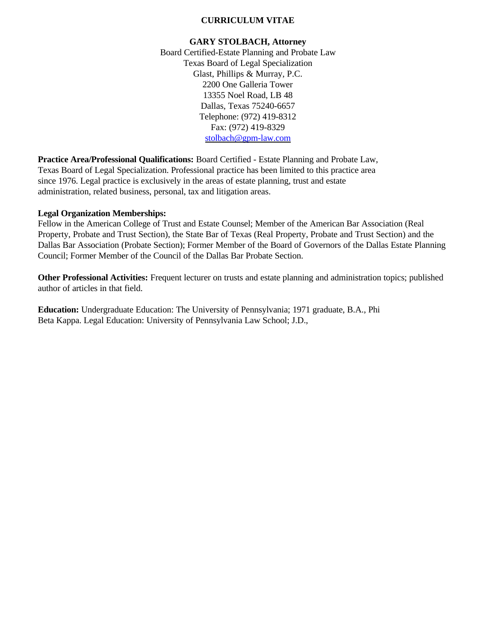### **CURRICULUM VITAE**

#### **GARY STOLBACH, Attorney**

Board Certified-Estate Planning and Probate Law Texas Board of Legal Specialization Glast, Phillips & Murray, P.C. 2200 One Galleria Tower 13355 Noel Road, LB 48 Dallas, Texas 75240-6657 Telephone: (972) 419-8312 Fax: (972) 419-8329 stolbach@gpm-law.com

**Practice Area/Professional Qualifications:** Board Certified - Estate Planning and Probate Law, Texas Board of Legal Specialization. Professional practice has been limited to this practice area since 1976. Legal practice is exclusively in the areas of estate planning, trust and estate administration, related business, personal, tax and litigation areas.

#### **Legal Organization Memberships:**

Fellow in the American College of Trust and Estate Counsel; Member of the American Bar Association (Real Property, Probate and Trust Section), the State Bar of Texas (Real Property, Probate and Trust Section) and the Dallas Bar Association (Probate Section); Former Member of the Board of Governors of the Dallas Estate Planning Council; Former Member of the Council of the Dallas Bar Probate Section.

**Other Professional Activities:** Frequent lecturer on trusts and estate planning and administration topics; published author of articles in that field.

**Education:** Undergraduate Education: The University of Pennsylvania; 1971 graduate, B.A., Phi Beta Kappa. Legal Education: University of Pennsylvania Law School; J.D.,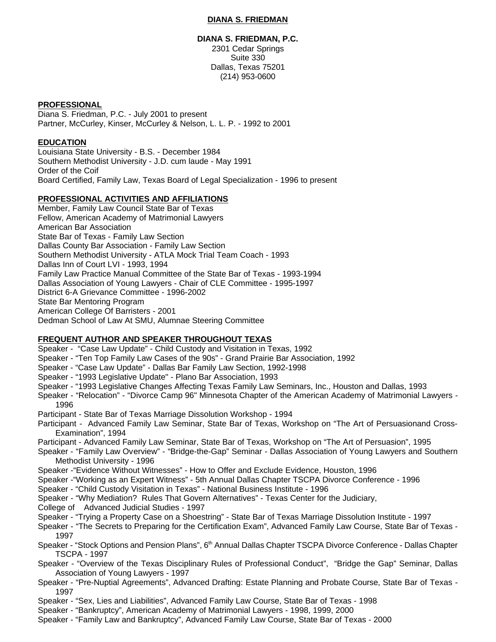#### **DIANA S. FRIEDMAN**

#### **DIANA S. FRIEDMAN, P.C.**

2301 Cedar Springs Suite 330 Dallas, Texas 75201 (214) 953-0600

#### **PROFESSIONAL**

Diana S. Friedman, P.C. - July 2001 to present Partner, McCurley, Kinser, McCurley & Nelson, L. L. P. - 1992 to 2001

#### **EDUCATION**

Louisiana State University - B.S. - December 1984 Southern Methodist University - J.D. cum laude - May 1991 Order of the Coif Board Certified, Family Law, Texas Board of Legal Specialization - 1996 to present

#### **PROFESSIONAL ACTIVITIES AND AFFILIATIONS**

Member, Family Law Council State Bar of Texas Fellow, American Academy of Matrimonial Lawyers American Bar Association State Bar of Texas - Family Law Section Dallas County Bar Association - Family Law Section Southern Methodist University - ATLA Mock Trial Team Coach - 1993 Dallas Inn of Court LVI - 1993, 1994 Family Law Practice Manual Committee of the State Bar of Texas - 1993-1994 Dallas Association of Young Lawyers - Chair of CLE Committee - 1995-1997 District 6-A Grievance Committee - 1996-2002 State Bar Mentoring Program American College Of Barristers - 2001 Dedman School of Law At SMU, Alumnae Steering Committee

#### **FREQUENT AUTHOR AND SPEAKER THROUGHOUT TEXAS**

Speaker - "Case Law Update" - Child Custody and Visitation in Texas, 1992

- Speaker "Ten Top Family Law Cases of the 90s" Grand Prairie Bar Association, 1992
- Speaker "Case Law Update" Dallas Bar Family Law Section, 1992-1998
- Speaker "1993 Legislative Update" Plano Bar Association, 1993
- Speaker "1993 Legislative Changes Affecting Texas Family Law Seminars, Inc., Houston and Dallas, 1993
- Speaker "Relocation" "Divorce Camp 96" Minnesota Chapter of the American Academy of Matrimonial Lawyers 1996
- Participant State Bar of Texas Marriage Dissolution Workshop 1994
- Participant Advanced Family Law Seminar, State Bar of Texas, Workshop on "The Art of Persuasionand Cross-Examination", 1994
- Participant Advanced Family Law Seminar, State Bar of Texas, Workshop on "The Art of Persuasion", 1995
- Speaker "Family Law Overview" "Bridge-the-Gap" Seminar Dallas Association of Young Lawyers and Southern Methodist University - 1996
- Speaker -"Evidence Without Witnesses" How to Offer and Exclude Evidence, Houston, 1996
- Speaker -"Working as an Expert Witness" 5th Annual Dallas Chapter TSCPA Divorce Conference 1996
- Speaker "Child Custody Visitation in Texas" National Business Institute 1996
- Speaker "Why Mediation? Rules That Govern Alternatives" Texas Center for the Judiciary,
- College of Advanced Judicial Studies 1997
- Speaker "Trying a Property Case on a Shoestring" State Bar of Texas Marriage Dissolution Institute 1997
- Speaker "The Secrets to Preparing for the Certification Exam", Advanced Family Law Course, State Bar of Texas 1997
- Speaker "Stock Options and Pension Plans", 6<sup>th</sup> Annual Dallas Chapter TSCPA Divorce Conference Dallas Chapter TSCPA - 1997
- Speaker "Overview of the Texas Disciplinary Rules of Professional Conduct", "Bridge the Gap" Seminar, Dallas Association of Young Lawyers - 1997
- Speaker "Pre-Nuptial Agreements", Advanced Drafting: Estate Planning and Probate Course, State Bar of Texas 1997
- Speaker "Sex, Lies and Liabilities", Advanced Family Law Course, State Bar of Texas 1998
- Speaker "Bankruptcy", American Academy of Matrimonial Lawyers 1998, 1999, 2000
- Speaker "Family Law and Bankruptcy", Advanced Family Law Course, State Bar of Texas 2000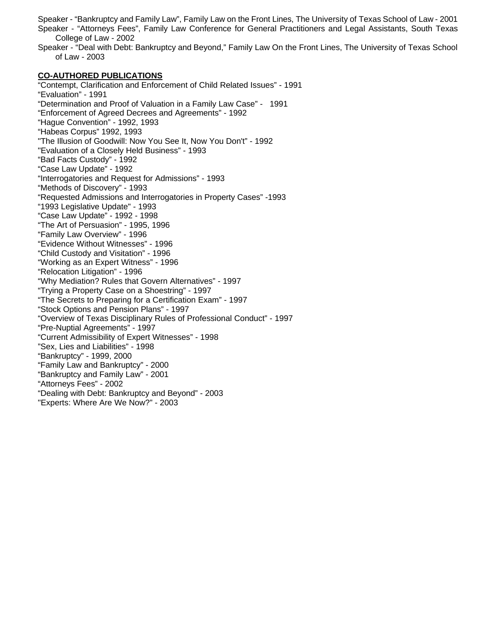Speaker - "Bankruptcy and Family Law", Family Law on the Front Lines, The University of Texas School of Law - 2001 Speaker - "Attorneys Fees", Family Law Conference for General Practitioners and Legal Assistants, South Texas College of Law - 2002

Speaker - "Deal with Debt: Bankruptcy and Beyond," Family Law On the Front Lines, The University of Texas School of Law - 2003

#### **CO-AUTHORED PUBLICATIONS**

"Contempt, Clarification and Enforcement of Child Related Issues" - 1991 "Evaluation" - 1991 "Determination and Proof of Valuation in a Family Law Case" - 1991 "Enforcement of Agreed Decrees and Agreements" - 1992 "Hague Convention" - 1992, 1993 "Habeas Corpus" 1992, 1993 "The Illusion of Goodwill: Now You See It, Now You Don't" - 1992 "Evaluation of a Closely Held Business" - 1993 "Bad Facts Custody" - 1992 "Case Law Update" - 1992 "Interrogatories and Request for Admissions" - 1993 "Methods of Discovery" - 1993 "Requested Admissions and Interrogatories in Property Cases" -1993 "1993 Legislative Update" - 1993 "Case Law Update" - 1992 - 1998 "The Art of Persuasion" - 1995, 1996 "Family Law Overview" - 1996 "Evidence Without Witnesses" - 1996 "Child Custody and Visitation" - 1996 "Working as an Expert Witness" - 1996 "Relocation Litigation" - 1996 "Why Mediation? Rules that Govern Alternatives" - 1997 "Trying a Property Case on a Shoestring" - 1997 "The Secrets to Preparing for a Certification Exam" - 1997 "Stock Options and Pension Plans" - 1997 "Overview of Texas Disciplinary Rules of Professional Conduct" - 1997 "Pre-Nuptial Agreements" - 1997 "Current Admissibility of Expert Witnesses" - 1998 "Sex, Lies and Liabilities" - 1998 "Bankruptcy" - 1999, 2000 "Family Law and Bankruptcy" - 2000 "Bankruptcy and Family Law" - 2001 "Attorneys Fees" - 2002 "Dealing with Debt: Bankruptcy and Beyond" - 2003 "Experts: Where Are We Now?" - 2003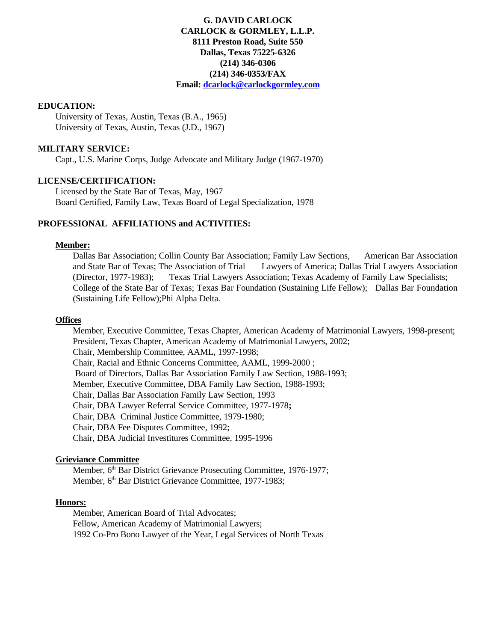### **G. DAVID CARLOCK CARLOCK & GORMLEY, L.L.P. 8111 Preston Road, Suite 550 Dallas, Texas 75225-6326 (214) 346-0306 (214) 346-0353/FAX Email: dcarlock@carlockgormley.com**

#### **EDUCATION:**

University of Texas, Austin, Texas (B.A., 1965) University of Texas, Austin, Texas (J.D., 1967)

#### **MILITARY SERVICE:**

Capt., U.S. Marine Corps, Judge Advocate and Military Judge (1967-1970)

#### **LICENSE/CERTIFICATION:**

Licensed by the State Bar of Texas, May, 1967 Board Certified, Family Law, Texas Board of Legal Specialization, 1978

#### **PROFESSIONAL AFFILIATIONS and ACTIVITIES:**

#### **Member:**

Dallas Bar Association; Collin County Bar Association; Family Law Sections, American Bar Association and State Bar of Texas; The Association of Trial Lawyers of America; Dallas Trial Lawyers Association (Director, 1977-1983); Texas Trial Lawyers Association; Texas Academy of Family Law Specialists; College of the State Bar of Texas; Texas Bar Foundation (Sustaining Life Fellow); Dallas Bar Foundation (Sustaining Life Fellow);Phi Alpha Delta.

#### **Offices**

Member, Executive Committee, Texas Chapter, American Academy of Matrimonial Lawyers, 1998-present; President, Texas Chapter, American Academy of Matrimonial Lawyers, 2002; Chair, Membership Committee, AAML, 1997-1998; Chair, Racial and Ethnic Concerns Committee, AAML, 1999-2000 ; Board of Directors, Dallas Bar Association Family Law Section, 1988-1993; Member, Executive Committee, DBA Family Law Section, 1988-1993; Chair, Dallas Bar Association Family Law Section, 1993 Chair, DBA Lawyer Referral Service Committee, 1977-1978**;** Chair, DBA Criminal Justice Committee, 1979-1980; Chair, DBA Fee Disputes Committee, 1992; Chair, DBA Judicial Investitures Committee, 1995-1996

#### **Grieviance Committee**

Member, 6<sup>th</sup> Bar District Grievance Prosecuting Committee, 1976-1977; Member, 6<sup>th</sup> Bar District Grievance Committee, 1977-1983;

#### **Honors:**

Member, American Board of Trial Advocates; Fellow, American Academy of Matrimonial Lawyers; 1992 Co-Pro Bono Lawyer of the Year, Legal Services of North Texas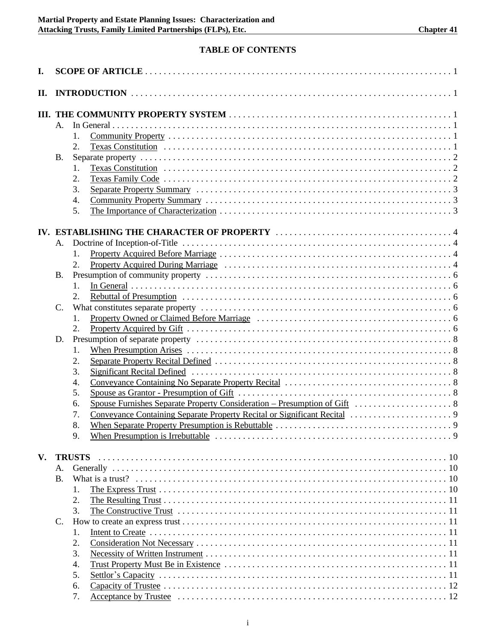## **TABLE OF CONTENTS**

| I. |                 |               |  |  |  |  |  |
|----|-----------------|---------------|--|--|--|--|--|
| П. |                 |               |  |  |  |  |  |
|    |                 |               |  |  |  |  |  |
|    | A.              |               |  |  |  |  |  |
|    |                 | $1_{-}$       |  |  |  |  |  |
|    |                 | 2.            |  |  |  |  |  |
|    | <b>B.</b>       |               |  |  |  |  |  |
|    |                 | 1.            |  |  |  |  |  |
|    |                 | 2.            |  |  |  |  |  |
|    |                 | 3.            |  |  |  |  |  |
|    |                 | 4.            |  |  |  |  |  |
|    |                 | 5.            |  |  |  |  |  |
|    |                 |               |  |  |  |  |  |
|    |                 |               |  |  |  |  |  |
|    | A.              |               |  |  |  |  |  |
|    |                 | 1.            |  |  |  |  |  |
|    |                 | 2.            |  |  |  |  |  |
|    | B.              |               |  |  |  |  |  |
|    |                 | $1_{\cdot}$   |  |  |  |  |  |
|    |                 | 2.            |  |  |  |  |  |
|    | $\mathcal{C}$ . |               |  |  |  |  |  |
|    |                 | 1.            |  |  |  |  |  |
|    |                 | 2.            |  |  |  |  |  |
|    | D.              |               |  |  |  |  |  |
|    |                 | 1.            |  |  |  |  |  |
|    |                 | 2.            |  |  |  |  |  |
|    |                 | 3.            |  |  |  |  |  |
|    |                 | 4.            |  |  |  |  |  |
|    |                 | 5.            |  |  |  |  |  |
|    |                 | 6.            |  |  |  |  |  |
|    |                 | 7.            |  |  |  |  |  |
|    |                 | 8.            |  |  |  |  |  |
|    |                 | 9.            |  |  |  |  |  |
|    |                 |               |  |  |  |  |  |
| V. |                 | <b>TRUSTS</b> |  |  |  |  |  |
|    | А.              |               |  |  |  |  |  |
|    | <b>B.</b>       |               |  |  |  |  |  |
|    |                 | 1.            |  |  |  |  |  |
|    |                 | 2.            |  |  |  |  |  |
|    |                 | 3.            |  |  |  |  |  |
|    | C.              |               |  |  |  |  |  |
|    |                 | 1.            |  |  |  |  |  |
|    |                 | 2.            |  |  |  |  |  |
|    |                 | 3.            |  |  |  |  |  |
|    |                 | 4.            |  |  |  |  |  |
|    |                 | 5.            |  |  |  |  |  |
|    |                 | 6.            |  |  |  |  |  |
|    |                 | 7.            |  |  |  |  |  |
|    |                 |               |  |  |  |  |  |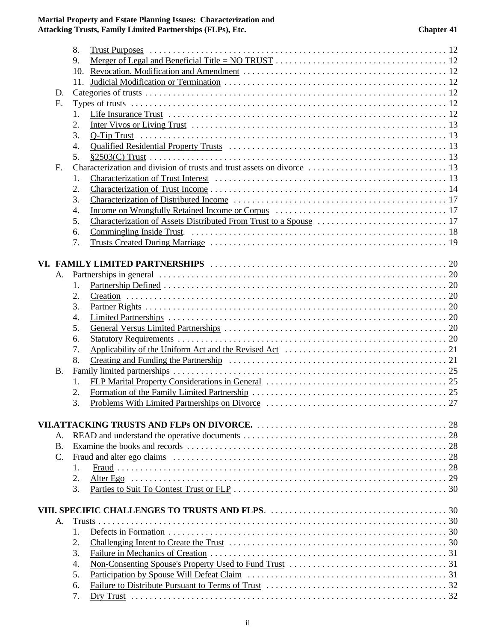|           | 8. |           |    |
|-----------|----|-----------|----|
|           | 9. |           |    |
|           |    |           |    |
|           |    |           |    |
| D.        |    |           |    |
| E.        |    |           |    |
|           | 1. |           |    |
|           | 2. |           |    |
|           | 3. |           |    |
|           | 4. |           |    |
|           | 5. |           |    |
| F.        |    |           |    |
|           | 1. |           |    |
|           | 2. |           |    |
|           | 3. |           |    |
|           | 4. |           |    |
|           | 5. |           |    |
|           | 6. |           |    |
|           | 7. |           |    |
|           |    |           |    |
|           |    |           |    |
|           |    |           |    |
| А.        |    |           |    |
|           | 1. |           |    |
|           | 2. |           |    |
|           | 3. |           |    |
|           | 4. |           |    |
|           | 5. |           |    |
|           | 6. |           |    |
|           | 7. |           |    |
|           | 8. |           |    |
| <b>B.</b> |    |           |    |
|           | 1. |           |    |
|           | 2. |           |    |
|           | 3. |           |    |
|           |    |           |    |
|           |    |           | 28 |
| А.        |    |           | 28 |
| <b>B.</b> |    |           |    |
| C.        |    |           |    |
|           | 1. |           |    |
|           | 2. | Alter Ego |    |
|           | 3. |           |    |
|           |    |           |    |
|           |    |           |    |
| А.        |    |           |    |
|           | 1. |           |    |
|           | 2. |           |    |
|           | 3. |           |    |
|           | 4. |           |    |
|           | 5. |           |    |
|           | 6. |           |    |
|           | 7. |           |    |
|           |    |           |    |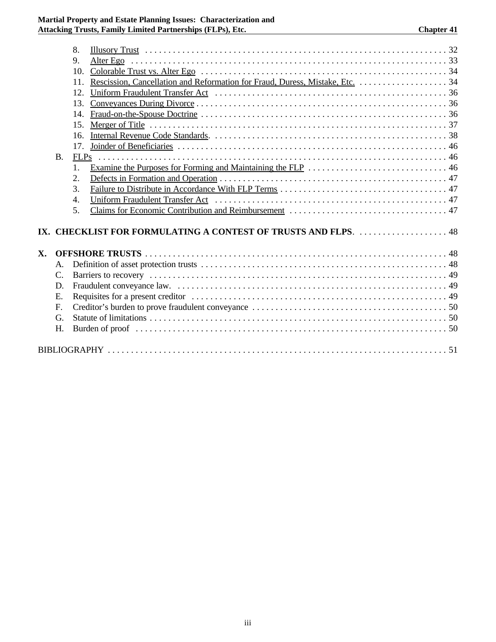### **Martial Property and Estate Planning Issues: Characterization and Attacking Trusts, Family Limited Partnerships (FLPs), Etc. Chapter 41**

|     |                 | 8.               |  |  |  |  |  |
|-----|-----------------|------------------|--|--|--|--|--|
|     |                 | 9.               |  |  |  |  |  |
|     |                 | 10 <sub>1</sub>  |  |  |  |  |  |
|     |                 | 11.              |  |  |  |  |  |
|     |                 | 12.              |  |  |  |  |  |
|     |                 | 13.              |  |  |  |  |  |
|     |                 | 14.              |  |  |  |  |  |
|     |                 | 15.              |  |  |  |  |  |
|     |                 | 16.              |  |  |  |  |  |
|     |                 | 17.              |  |  |  |  |  |
|     | <b>B.</b>       |                  |  |  |  |  |  |
|     |                 | $\mathbf{1}$ .   |  |  |  |  |  |
|     |                 | 2.               |  |  |  |  |  |
|     |                 | 3.               |  |  |  |  |  |
|     |                 | $\overline{4}$ . |  |  |  |  |  |
|     |                 | 5.               |  |  |  |  |  |
|     |                 |                  |  |  |  |  |  |
| IX. |                 |                  |  |  |  |  |  |
|     |                 |                  |  |  |  |  |  |
| X.  |                 |                  |  |  |  |  |  |
|     | A.              |                  |  |  |  |  |  |
|     | $\mathcal{C}$ . |                  |  |  |  |  |  |
|     | D.              |                  |  |  |  |  |  |
|     | E.              |                  |  |  |  |  |  |
|     | $F_{\rm c}$     |                  |  |  |  |  |  |
|     | G.              |                  |  |  |  |  |  |
|     | H.              |                  |  |  |  |  |  |
|     |                 |                  |  |  |  |  |  |
|     |                 |                  |  |  |  |  |  |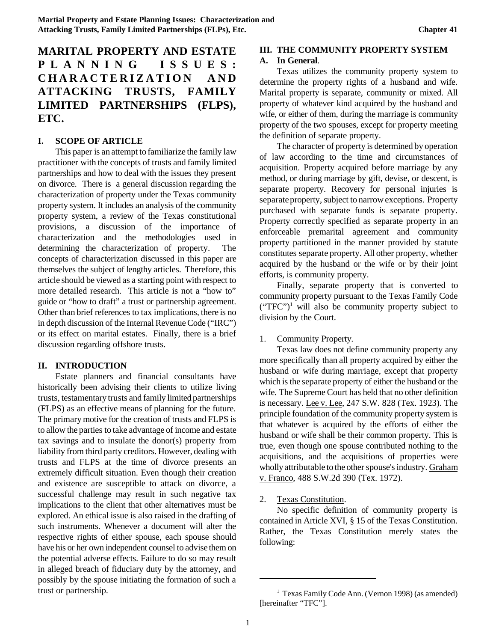# **MARITAL PROPERTY AND ESTATE PLANNING ISSUES: CHARACTERIZATION AND ATTACKING TRUSTS, FAMILY LIMITED PARTNERSHIPS (FLPS), ETC.**

#### **I. SCOPE OF ARTICLE**

This paper is an attempt to familiarize the family law practitioner with the concepts of trusts and family limited partnerships and how to deal with the issues they present on divorce. There is a general discussion regarding the characterization of property under the Texas community property system. It includes an analysis of the community property system, a review of the Texas constitutional provisions, a discussion of the importance of characterization and the methodologies used in determining the characterization of property. The concepts of characterization discussed in this paper are themselves the subject of lengthy articles. Therefore, this article should be viewed as a starting point with respect to more detailed research. This article is not a "how to" guide or "how to draft" a trust or partnership agreement. Other than brief references to tax implications, there is no in depth discussion of the Internal Revenue Code ("IRC") or its effect on marital estates. Finally, there is a brief discussion regarding offshore trusts.

#### **II. INTRODUCTION**

Estate planners and financial consultants have historically been advising their clients to utilize living trusts, testamentary trusts and family limited partnerships (FLPS) as an effective means of planning for the future. The primary motive for the creation of trusts and FLPS is to allow the parties to take advantage of income and estate tax savings and to insulate the donor(s) property from liability from third party creditors. However, dealing with trusts and FLPS at the time of divorce presents an extremely difficult situation. Even though their creation and existence are susceptible to attack on divorce, a successful challenge may result in such negative tax implications to the client that other alternatives must be explored. An ethical issue is also raised in the drafting of such instruments. Whenever a document will alter the respective rights of either spouse, each spouse should have his or her own independent counsel to advise themon the potential adverse effects. Failure to do so may result in alleged breach of fiduciary duty by the attorney, and possibly by the spouse initiating the formation of such a trust or partnership.

# **III. THE COMMUNITY PROPERTY SYSTEM**

## **A. In General**.

Texas utilizes the community property system to determine the property rights of a husband and wife. Marital property is separate, community or mixed. All property of whatever kind acquired by the husband and wife, or either of them, during the marriage is community property of the two spouses, except for property meeting the definition of separate property.

The character of property is determined by operation of law according to the time and circumstances of acquisition. Property acquired before marriage by any method, or during marriage by gift, devise, or descent, is separate property. Recovery for personal injuries is separate property, subject to narrow exceptions. Property purchased with separate funds is separate property. Property correctly specified as separate property in an enforceable premarital agreement and community property partitioned in the manner provided by statute constitutes separate property. All other property, whether acquired by the husband or the wife or by their joint efforts, is community property.

Finally, separate property that is converted to community property pursuant to the Texas Family Code  $("TFC")<sup>1</sup>$  will also be community property subject to division by the Court.

### 1. Community Property.

Texas law does not define community property any more specifically than all property acquired by either the husband or wife during marriage, except that property which is the separate property of either the husband or the wife. The Supreme Court has held that no other definition is necessary. Lee v. Lee, 247 S.W. 828 (Tex. 1923). The principle foundation of the community property system is that whatever is acquired by the efforts of either the husband or wife shall be their common property. This is true, even though one spouse contributed nothing to the acquisitions, and the acquisitions of properties were wholly attributable to the other spouse's industry. Graham v. Franco, 488 S.W.2d 390 (Tex. 1972).

### 2. Texas Constitution.

No specific definition of community property is contained in Article XVI, § 15 of the Texas Constitution. Rather, the Texas Constitution merely states the following:

<sup>&</sup>lt;sup>1</sup> Texas Family Code Ann. (Vernon 1998) (as amended) [hereinafter "TFC"].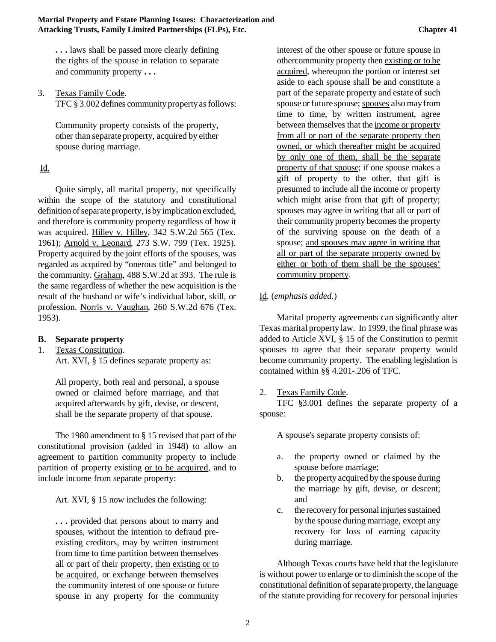**. . .** laws shall be passed more clearly defining the rights of the spouse in relation to separate and community property **. . .**

3. Texas Family Code.

TFC  $§$  3.002 defines community property as follows:

Community property consists of the property, other than separate property, acquired by either spouse during marriage.

### Id.

Quite simply, all marital property, not specifically within the scope of the statutory and constitutional definition of separate property, is by implication excluded, and therefore is community property regardless of how it was acquired. Hilley v. Hilley, 342 S.W.2d 565 (Tex. 1961); Arnold v. Leonard, 273 S.W. 799 (Tex. 1925). Property acquired by the joint efforts of the spouses, was regarded as acquired by "onerous title" and belonged to the community. Graham, 488 S.W.2d at 393. The rule is the same regardless of whether the new acquisition is the result of the husband or wife's individual labor, skill, or profession. Norris v. Vaughan, 260 S.W.2d 676 (Tex. 1953).

#### **B. Separate property**

1. Texas Constitution.

Art. XVI, § 15 defines separate property as:

All property, both real and personal, a spouse owned or claimed before marriage, and that acquired afterwards by gift, devise, or descent, shall be the separate property of that spouse.

The 1980 amendment to § 15 revised that part of the constitutional provision (added in 1948) to allow an agreement to partition community property to include partition of property existing or to be acquired, and to include income from separate property:

Art. XVI, § 15 now includes the following:

**. . .** provided that persons about to marry and spouses, without the intention to defraud preexisting creditors, may by written instrument from time to time partition between themselves all or part of their property, then existing or to be acquired, or exchange between themselves the community interest of one spouse or future spouse in any property for the community

interest of the other spouse or future spouse in othercommunity property then existing or to be acquired, whereupon the portion or interest set aside to each spouse shall be and constitute a part of the separate property and estate of such spouse or future spouse; spouses alsomay from time to time, by written instrument, agree between themselves that the income or property from all or part of the separate property then owned, or which thereafter might be acquired by only one of them, shall be the separate property of that spouse; if one spouse makes a gift of property to the other, that gift is presumed to include all the income or property which might arise from that gift of property; spouses may agree in writing that all or part of their community property becomes the property of the surviving spouse on the death of a spouse; and spouses may agree in writing that all or part of the separate property owned by either or both of them shall be the spouses' community property.

### Id. (*emphasis added*.)

Marital property agreements can significantly alter Texas marital property law. In 1999, the final phrase was added to Article XVI, § 15 of the Constitution to permit spouses to agree that their separate property would become community property. The enabling legislation is contained within §§ 4.201-.206 of TFC.

#### 2. Texas Family Code.

TFC §3.001 defines the separate property of a spouse:

A spouse's separate property consists of:

- a. the property owned or claimed by the spouse before marriage;
- b. the property acquired by the spouse during the marriage by gift, devise, or descent; and
- c. the recovery for personal injuries sustained by the spouse during marriage, except any recovery for loss of earning capacity during marriage.

Although Texas courts have held that the legislature is without power to enlarge or to diminish the scope of the constitutional definition of separate property, the language of the statute providing for recovery for personal injuries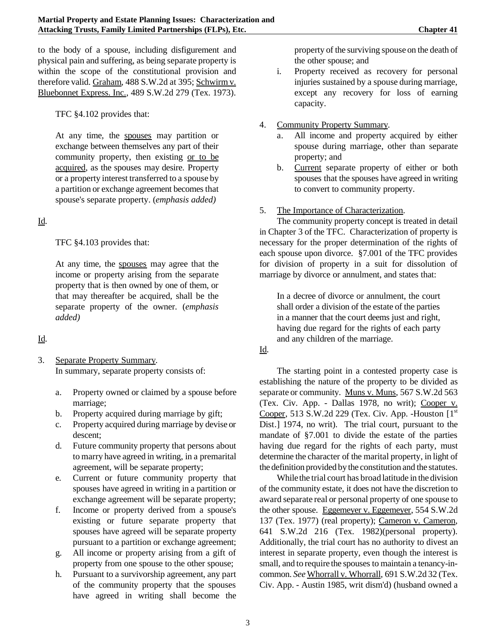to the body of a spouse, including disfigurement and physical pain and suffering, as being separate property is within the scope of the constitutional provision and therefore valid. Graham, 488 S.W.2d at 395; Schwirm v. Bluebonnet Express. Inc., 489 S.W.2d 279 (Tex. 1973).

TFC §4.102 provides that:

At any time, the spouses may partition or exchange between themselves any part of their community property, then existing or to be acquired, as the spouses may desire. Property or a property interest transferred to a spouse by a partition or exchange agreement becomes that spouse's separate property. (*emphasis added)*

# Id.

TFC §4.103 provides that:

At any time, the spouses may agree that the income or property arising from the separate property that is then owned by one of them, or that may thereafter be acquired, shall be the separate property of the owner. (*emphasis added)*

# Id.

- 3. Separate Property Summary. In summary, separate property consists of:
	- a. Property owned or claimed by a spouse before marriage;
	- b. Property acquired during marriage by gift;
	- c. Property acquired during marriage by devise or descent;
	- d. Future community property that persons about to marry have agreed in writing, in a premarital agreement, will be separate property;
	- e. Current or future community property that spouses have agreed in writing in a partition or exchange agreement will be separate property;
	- f. Income or property derived from a spouse's existing or future separate property that spouses have agreed will be separate property pursuant to a partition or exchange agreement;
	- g. All income or property arising from a gift of property from one spouse to the other spouse;
	- h. Pursuant to a survivorship agreement, any part of the community property that the spouses have agreed in writing shall become the

property of the surviving spouse on the death of the other spouse; and

- i. Property received as recovery for personal injuries sustained by a spouse during marriage, except any recovery for loss of earning capacity.
- 4. Community Property Summary.
	- a. All income and property acquired by either spouse during marriage, other than separate property; and
	- b. Current separate property of either or both spouses that the spouses have agreed in writing to convert to community property.

## 5. The Importance of Characterization.

The community property concept is treated in detail in Chapter 3 of the TFC. Characterization of property is necessary for the proper determination of the rights of each spouse upon divorce. §7.001 of the TFC provides for division of property in a suit for dissolution of marriage by divorce or annulment, and states that:

In a decree of divorce or annulment, the court shall order a division of the estate of the parties in a manner that the court deems just and right, having due regard for the rights of each party and any children of the marriage.

### Id.

The starting point in a contested property case is establishing the nature of the property to be divided as separate or community. Muns v. Muns, 567 S.W.2d 563 (Tex. Civ. App. - Dallas 1978, no writ); Cooper v. Cooper, 513 S.W.2d 229 (Tex. Civ. App. - Houston  $[1<sup>st</sup>]$ Dist.] 1974, no writ). The trial court, pursuant to the mandate of §7.001 to divide the estate of the parties having due regard for the rights of each party, must determine the character of the marital property, in light of the definition provided by the constitution and the statutes.

While the trial court has broad latitude in the division of the community estate, it does not have the discretion to award separate real or personal property of one spouse to the other spouse. Eggemeyer v. Eggemeyer, 554 S.W.2d 137 (Tex. 1977) (real property); Cameron v. Cameron, 641 S.W.2d 216 (Tex. 1982)(personal property). Additionally, the trial court has no authority to divest an interest in separate property, even though the interest is small, and to require the spouses to maintain a tenancy-incommon. *See* Whorrall v. Whorrall, 691 S.W.2d 32 (Tex. Civ. App. - Austin 1985, writ dism'd) (husband owned a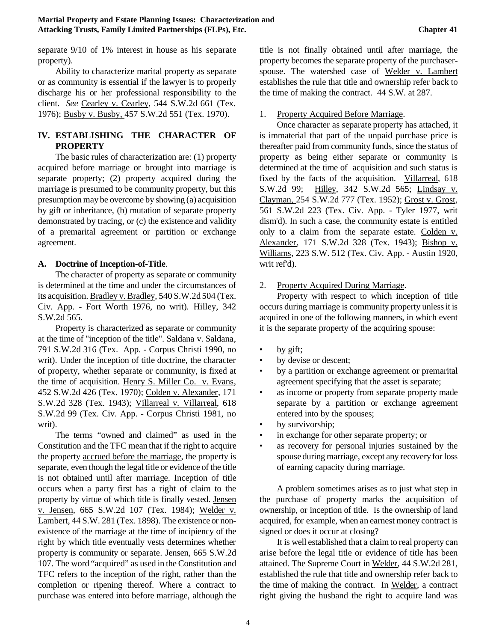separate 9/10 of 1% interest in house as his separate property).

Ability to characterize marital property as separate or as community is essential if the lawyer is to properly discharge his or her professional responsibility to the client. *See* Cearley v. Cearley, 544 S.W.2d 661 (Tex. 1976); Busby v. Busby, 457 S.W.2d 551 (Tex. 1970).

### **IV. ESTABLISHING THE CHARACTER OF PROPERTY**

The basic rules of characterization are: (1) property acquired before marriage or brought into marriage is separate property; (2) property acquired during the marriage is presumed to be community property, but this presumption may be overcome by showing (a) acquisition by gift or inheritance, (b) mutation of separate property demonstrated by tracing, or (c) the existence and validity of a premarital agreement or partition or exchange agreement.

### **A. Doctrine of Inception-of-Title**.

The character of property as separate or community is determined at the time and under the circumstances of its acquisition. Bradley v. Bradley, 540 S.W.2d 504 (Tex. Civ. App. - Fort Worth 1976, no writ). Hilley, 342 S.W.2d 565.

Property is characterized as separate or community at the time of "inception of the title". Saldana v. Saldana, 791 S.W.2d 316 (Tex. App. - Corpus Christi 1990, no writ). Under the inception of title doctrine, the character of property, whether separate or community, is fixed at the time of acquisition. Henry S. Miller Co. v. Evans, 452 S.W.2d 426 (Tex. 1970); Colden v. Alexander, 171 S.W.2d 328 (Tex. 1943); Villarreal v. Villarreal, 618 S.W.2d 99 (Tex. Civ. App. - Corpus Christi 1981, no writ).

The terms "owned and claimed" as used in the Constitution and the TFC mean that if the right to acquire the property accrued before the marriage, the property is separate, even though the legal title or evidence of the title is not obtained until after marriage. Inception of title occurs when a party first has a right of claim to the property by virtue of which title is finally vested. Jensen v. Jensen, 665 S.W.2d 107 (Tex. 1984); Welder v. Lambert, 44 S.W. 281 (Tex. 1898). The existence or nonexistence of the marriage at the time of incipiency of the right by which title eventually vests determines whether property is community or separate. Jensen, 665 S.W.2d 107. The word "acquired" as used in the Constitution and TFC refers to the inception of the right, rather than the completion or ripening thereof. Where a contract to purchase was entered into before marriage, although the

title is not finally obtained until after marriage, the property becomes the separate property of the purchaserspouse. The watershed case of Welder v. Lambert establishes the rule that title and ownership refer back to the time of making the contract. 44 S.W. at 287.

### 1. Property Acquired Before Marriage.

Once character as separate property has attached, it is immaterial that part of the unpaid purchase price is thereafter paid from community funds, since the status of property as being either separate or community is determined at the time of acquisition and such status is fixed by the facts of the acquisition. Villarreal, 618 S.W.2d 99; Hilley, 342 S.W.2d 565; Lindsay v. Clayman, 254 S.W.2d 777 (Tex. 1952); Grost v. Grost, 561 S.W.2d 223 (Tex. Civ. App. - Tyler 1977, writ dism'd). In such a case, the community estate is entitled only to a claim from the separate estate. Colden v. Alexander*,* 171 S.W.2d 328 (Tex. 1943); Bishop v. Williams, 223 S.W. 512 (Tex. Civ. App. - Austin 1920, writ ref'd).

### 2. Property Acquired During Marriage.

Property with respect to which inception of title occurs during marriage is community property unlessit is acquired in one of the following manners, in which event it is the separate property of the acquiring spouse:

- by gift;
- by devise or descent;
- by a partition or exchange agreement or premarital agreement specifying that the asset is separate;
- as income or property from separate property made separate by a partition or exchange agreement entered into by the spouses;
- by survivorship;
- in exchange for other separate property; or
- as recovery for personal injuries sustained by the spouse during marriage, except any recovery for loss of earning capacity during marriage.

A problem sometimes arises as to just what step in the purchase of property marks the acquisition of ownership, or inception of title. Is the ownership of land acquired, for example, when an earnest money contract is signed or does it occur at closing?

It is well established that a claimto real property can arise before the legal title or evidence of title has been attained. The Supreme Court in Welder*,* 44 S.W.2d 281, established the rule that title and ownership refer back to the time of making the contract. In Welder, a contract right giving the husband the right to acquire land was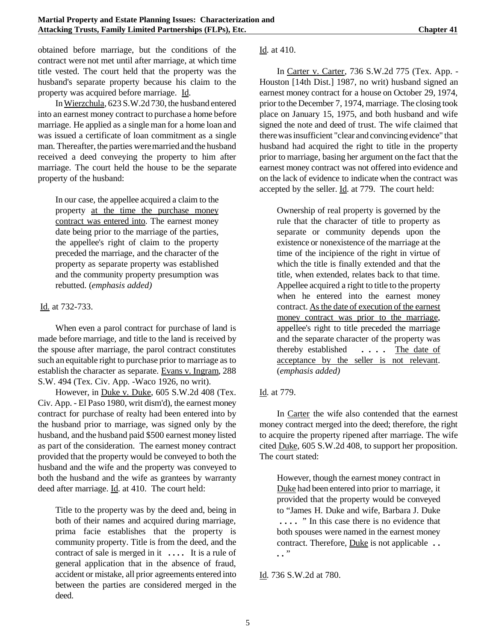obtained before marriage, but the conditions of the contract were not met until after marriage, at which time title vested. The court held that the property was the husband's separate property because his claim to the property was acquired before marriage. Id.

InWierzchula, 623 S.W.2d 730, the husband entered into an earnest money contract to purchase a home before marriage. He applied as a single man for a home loan and was issued a certificate of loan commitment as a single man. Thereafter, the parties weremarried and the husband received a deed conveying the property to him after marriage. The court held the house to be the separate property of the husband:

In our case, the appellee acquired a claim to the property at the time the purchase money contract was entered into. The earnest money date being prior to the marriage of the parties, the appellee's right of claim to the property preceded the marriage, and the character of the property as separate property was established and the community property presumption was rebutted. (*emphasis added)*

### Id. at 732-733.

When even a parol contract for purchase of land is made before marriage, and title to the land is received by the spouse after marriage, the parol contract constitutes such an equitable right to purchase prior to marriage as to establish the character as separate. Evans v. Ingram, 288 S.W. 494 (Tex. Civ. App. -Waco 1926, no writ).

However, in Duke v. Duke, 605 S.W.2d 408 (Tex. Civ. App. - El Paso 1980, writ dism'd), the earnest money contract for purchase of realty had been entered into by the husband prior to marriage, was signed only by the husband, and the husband paid \$500 earnest money listed as part of the consideration. The earnest money contract provided that the property would be conveyed to both the husband and the wife and the property was conveyed to both the husband and the wife as grantees by warranty deed after marriage. Id. at 410. The court held:

Title to the property was by the deed and, being in both of their names and acquired during marriage, prima facie establishes that the property is community property. Title is from the deed, and the contract of sale is merged in it **. . . .** It is a rule of general application that in the absence of fraud, accident or mistake, all prior agreements entered into between the parties are considered merged in the deed.

#### Id. at 410.

In Carter v. Carter, 736 S.W.2d 775 (Tex. App. - Houston [14th Dist.] 1987, no writ) husband signed an earnest money contract for a house on October 29, 1974, prior to the December 7, 1974, marriage. The closing took place on January 15, 1975, and both husband and wife signed the note and deed of trust. The wife claimed that there was insufficient "clear and convincing evidence" that husband had acquired the right to title in the property prior to marriage, basing her argument on the fact that the earnest money contract was not offered into evidence and on the lack of evidence to indicate when the contract was accepted by the seller. Id. at 779. The court held:

Ownership of real property is governed by the rule that the character of title to property as separate or community depends upon the existence or nonexistence of the marriage at the time of the incipience of the right in virtue of which the title is finally extended and that the title, when extended, relates back to that time. Appellee acquired a right to title to the property when he entered into the earnest money contract. As the date of execution of the earnest money contract was prior to the marriage, appellee's right to title preceded the marriage and the separate character of the property was thereby established **. . . .** The date of acceptance by the seller is not relevant. (*emphasis added)*

# Id. at 779.

In Carter the wife also contended that the earnest money contract merged into the deed; therefore, the right to acquire the property ripened after marriage. The wife cited Duke, 605 S.W.2d 408, to support her proposition. The court stated:

However, though the earnest money contract in Duke had been entered into prior to marriage, it provided that the property would be conveyed to "James H. Duke and wife, Barbara J. Duke **. . . .** " In this case there is no evidence that both spouses were named in the earnest money contract. Therefore, Duke is not applicable **. . . .** "

### Id. 736 S.W.2d at 780.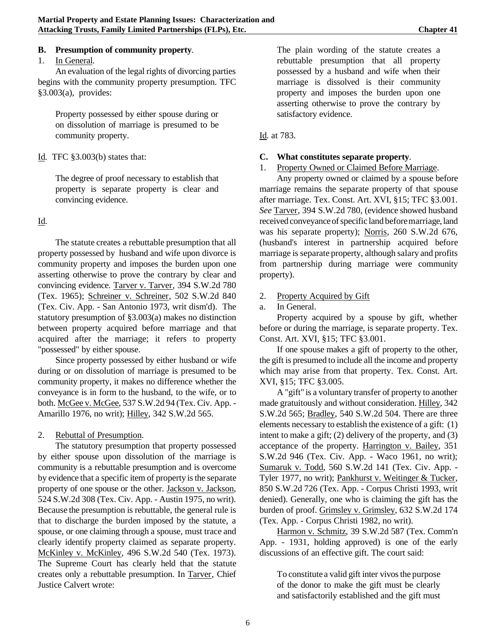### **B. Presumption of community property**.

### 1. In General.

An evaluation of the legal rights of divorcing parties begins with the community property presumption. TFC §3.003(a), provides:

Property possessed by either spouse during or on dissolution of marriage is presumed to be community property.

### Id. TFC §3.003(b) states that:

The degree of proof necessary to establish that property is separate property is clear and convincing evidence.

### Id.

The statute creates a rebuttable presumption that all property possessed by husband and wife upon divorce is community property and imposes the burden upon one asserting otherwise to prove the contrary by clear and convincing evidence. Tarver v. Tarver, 394 S.W.2d 780 (Tex. 1965); Schreiner v. Schreiner, 502 S.W.2d 840 (Tex. Civ. App. - San Antonio 1973, writ dism'd). The statutory presumption of §3.003(a) makes no distinction between property acquired before marriage and that acquired after the marriage; it refers to property "possessed" by either spouse.

Since property possessed by either husband or wife during or on dissolution of marriage is presumed to be community property, it makes no difference whether the conveyance is in form to the husband, to the wife, or to both. McGee v. McGee, 537 S.W.2d 94 (Tex. Civ. App. - Amarillo 1976, no writ); Hilley, 342 S.W.2d 565.

### 2. Rebuttal of Presumption.

The statutory presumption that property possessed by either spouse upon dissolution of the marriage is community is a rebuttable presumption and is overcome by evidence that a specific item of property is the separate property of one spouse or the other. Jackson v. Jackson, 524 S.W.2d 308 (Tex. Civ. App. - Austin 1975, no writ). Because the presumption is rebuttable, the general rule is that to discharge the burden imposed by the statute, a spouse, or one claiming through a spouse, must trace and clearly identify property claimed as separate property. McKinley v. McKinley, 496 S.W.2d 540 (Tex. 1973). The Supreme Court has clearly held that the statute creates only a rebuttable presumption. In Tarver, Chief Justice Calvert wrote:

The plain wording of the statute creates a rebuttable presumption that all property possessed by a husband and wife when their marriage is dissolved is their community property and imposes the burden upon one asserting otherwise to prove the contrary by satisfactory evidence.

### Id. at 783.

### **C. What constitutes separate property**.

### 1. Property Owned or Claimed Before Marriage.

Any property owned or claimed by a spouse before marriage remains the separate property of that spouse after marriage. Tex. Const. Art. XVI, §15; TFC §3.001. *See* Tarver, 394 S.W.2d 780, (evidence showed husband received conveyance of specific land before marriage, land was his separate property); Norris, 260 S.W.2d 676, (husband's interest in partnership acquired before marriage is separate property, although salary and profits from partnership during marriage were community property).

## 2. Property Acquired by Gift

a. In General.

Property acquired by a spouse by gift, whether before or during the marriage, is separate property. Tex. Const. Art. XVI, §15; TFC §3.001.

If one spouse makes a gift of property to the other, the gift is presumed to include all the income and property which may arise from that property. Tex. Const. Art. XVI, §15; TFC §3.005.

A "gift" is a voluntary transfer of property to another made gratuitously and without consideration. Hilley, 342 S.W.2d 565; Bradley, 540 S.W.2d 504. There are three elements necessary to establish the existence of a gift: (1) intent to make a gift; (2) delivery of the property, and (3) acceptance of the property. Harrington v. Bailey, 351 S.W.2d 946 (Tex. Civ. App. - Waco 1961, no writ); Sumaruk v. Todd, 560 S.W.2d 141 (Tex. Civ. App. - Tyler 1977, no writ); Pankhurst v. Weitinger & Tucker, 850 S.W.2d 726 (Tex. App. - Corpus Christi 1993, writ denied). Generally, one who is claiming the gift has the burden of proof. Grimsley v. Grimsley, 632 S.W.2d 174 (Tex. App. - Corpus Christi 1982, no writ).

Harmon v. Schmitz, 39 S.W.2d 587 (Tex. Comm'n App. - 1931, holding approved) is one of the early discussions of an effective gift. The court said:

To constitute a valid gift inter vivos the purpose of the donor to make the gift must be clearly and satisfactorily established and the gift must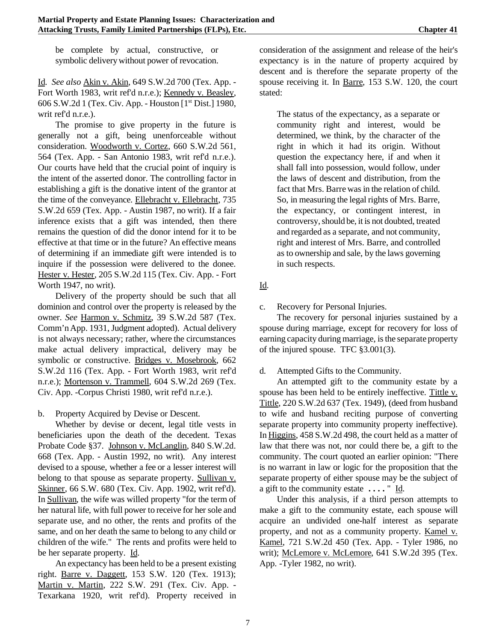be complete by actual, constructive, or symbolic delivery without power of revocation.

Id. *See also* Akin v. Akin, 649 S.W.2d 700 (Tex. App. - Fort Worth 1983, writ ref'd n.r.e.); Kennedy v. Beasley, 606 S.W.2d 1 (Tex. Civ. App. - Houston [1st Dist.] 1980, writ ref'd n.r.e.).

The promise to give property in the future is generally not a gift, being unenforceable without consideration. Woodworth v. Cortez, 660 S.W.2d 561, 564 (Tex. App. - San Antonio 1983, writ ref'd n.r.e.). Our courts have held that the crucial point of inquiry is the intent of the asserted donor. The controlling factor in establishing a gift is the donative intent of the grantor at the time of the conveyance. Ellebracht v. Ellebracht, 735 S.W.2d 659 (Tex. App. - Austin 1987, no writ). If a fair inference exists that a gift was intended, then there remains the question of did the donor intend for it to be effective at that time or in the future? An effective means of determining if an immediate gift were intended is to inquire if the possession were delivered to the donee. Hester v. Hester, 205 S.W.2d 115 (Tex. Civ. App. - Fort Worth 1947, no writ).

Delivery of the property should be such that all dominion and control over the property is released by the owner. *See* Harmon v. Schmitz, 39 S.W.2d 587 (Tex. Comm'nApp. 1931, Judgment adopted). Actual delivery is not always necessary; rather, where the circumstances make actual delivery impractical, delivery may be symbolic or constructive. Bridges v. Mosebrook, 662 S.W.2d 116 (Tex. App. - Fort Worth 1983, writ ref'd n.r.e.); Mortenson v. Trammell, 604 S.W.2d 269 (Tex. Civ. App. -Corpus Christi 1980, writ ref'd n.r.e.).

b. Property Acquired by Devise or Descent.

Whether by devise or decent, legal title vests in beneficiaries upon the death of the decedent. Texas Probate Code §37. Johnson v. McLanglin, 840 S.W.2d. 668 (Tex. App. - Austin 1992, no writ). Any interest devised to a spouse, whether a fee or a lesser interest will belong to that spouse as separate property. Sullivan v. Skinner, 66 S.W. 680 (Tex. Civ. App. 1902, writ ref'd). In Sullivan, the wife was willed property "for the term of her natural life, with full power to receive for her sole and separate use, and no other, the rents and profits of the same, and on her death the same to belong to any child or children of the wife." The rents and profits were held to be her separate property. Id.

An expectancy has been held to be a present existing right. Barre v. Daggett, 153 S.W. 120 (Tex. 1913); Martin v. Martin, 222 S.W. 291 (Tex. Civ. App. - Texarkana 1920, writ ref'd). Property received in consideration of the assignment and release of the heir's expectancy is in the nature of property acquired by descent and is therefore the separate property of the spouse receiving it. In Barre, 153 S.W. 120, the court stated:

The status of the expectancy, as a separate or community right and interest, would be determined, we think, by the character of the right in which it had its origin. Without question the expectancy here, if and when it shall fall into possession, would follow, under the laws of descent and distribution, from the fact that Mrs. Barre was in the relation of child. So, in measuring the legal rights of Mrs. Barre, the expectancy, or contingent interest, in controversy, should be, it is not doubted, treated and regarded as a separate, and not community, right and interest of Mrs. Barre, and controlled as to ownership and sale, by the laws governing in such respects.

Id.

c. Recovery for Personal Injuries.

The recovery for personal injuries sustained by a spouse during marriage, except for recovery for loss of earning capacity during marriage, is the separate property of the injured spouse. TFC §3.001(3).

d. Attempted Gifts to the Community.

An attempted gift to the community estate by a spouse has been held to be entirely ineffective. Tittle v. Tittle, 220 S.W.2d 637 (Tex. 1949), (deed from husband to wife and husband reciting purpose of converting separate property into community property ineffective). In Higgins, 458 S.W.2d 498, the court held as a matter of law that there was not, nor could there be, a gift to the community. The court quoted an earlier opinion: "There is no warrant in law or logic for the proposition that the separate property of either spouse may be the subject of a gift to the community estate **. . . .** " Id.

Under this analysis, if a third person attempts to make a gift to the community estate, each spouse will acquire an undivided one-half interest as separate property, and not as a community property. Kamel v. Kamel, 721 S.W.2d 450 (Tex. App. - Tyler 1986, no writ); McLemore v. McLemore, 641 S.W.2d 395 (Tex. App. -Tyler 1982, no writ).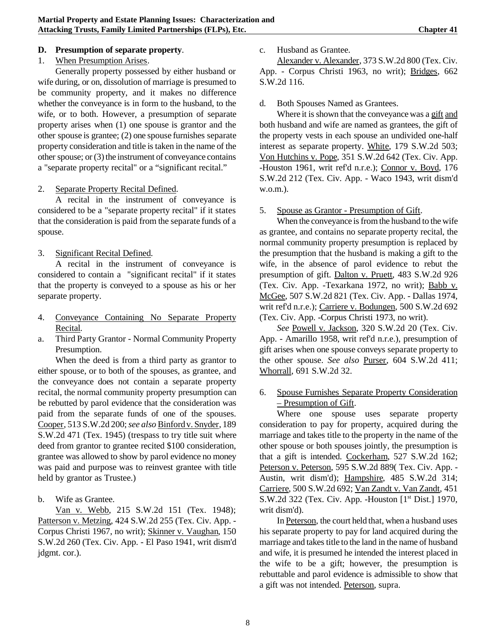### **D. Presumption of separate property**.

### 1. When Presumption Arises.

Generally property possessed by either husband or wife during, or on, dissolution of marriage is presumed to be community property, and it makes no difference whether the conveyance is in form to the husband, to the wife, or to both. However, a presumption of separate property arises when (1) one spouse is grantor and the other spouse is grantee; (2) one spouse furnishes separate property consideration and title is taken in the name of the other spouse; or  $(3)$  the instrument of conveyance contains a "separate property recital" or a "significant recital."

### 2. Separate Property Recital Defined.

A recital in the instrument of conveyance is considered to be a "separate property recital" if it states that the consideration is paid from the separate funds of a spouse.

# 3. Significant Recital Defined.

A recital in the instrument of conveyance is considered to contain a "significant recital" if it states that the property is conveyed to a spouse as his or her separate property.

- 4. Conveyance Containing No Separate Property Recital.
- a. Third Party Grantor Normal Community Property Presumption.

When the deed is from a third party as grantor to either spouse, or to both of the spouses, as grantee, and the conveyance does not contain a separate property recital, the normal community property presumption can be rebutted by parol evidence that the consideration was paid from the separate funds of one of the spouses. Cooper, 513 S.W.2d 200;*see also* Binfordv. Snyder, 189 S.W.2d 471 (Tex. 1945) (trespass to try title suit where deed from grantor to grantee recited \$100 consideration, grantee was allowed to show by parol evidence no money was paid and purpose was to reinvest grantee with title held by grantor as Trustee.)

b. Wife as Grantee.

Van v. Webb, 215 S.W.2d 151 (Tex. 1948); Patterson v. Metzing, 424 S.W.2d 255 (Tex. Civ. App. -Corpus Christi 1967, no writ); Skinner v. Vaughan, 150 S.W.2d 260 (Tex. Civ. App. - El Paso 1941, writ dism'd jdgmt. cor.).

c. Husband as Grantee.

Alexander v. Alexander, 373 S.W.2d 800 (Tex. Civ. App. - Corpus Christi 1963, no writ); Bridges, 662 S.W.2d 116.

### d. Both Spouses Named as Grantees.

Where it is shown that the conveyance was a gift and both husband and wife are named as grantees, the gift of the property vests in each spouse an undivided one-half interest as separate property. White, 179 S.W.2d 503; Von Hutchins v. Pope, 351 S.W.2d 642 (Tex. Civ. App. -Houston 1961, writ ref'd n.r.e.); Connor v. Boyd, 176 S.W.2d 212 (Tex. Civ. App. - Waco 1943, writ dism'd w.o.m.).

### 5. Spouse as Grantor - Presumption of Gift.

When the conveyance is from the husband to the wife as grantee, and contains no separate property recital, the normal community property presumption is replaced by the presumption that the husband is making a gift to the wife, in the absence of parol evidence to rebut the presumption of gift. Dalton v. Pruett, 483 S.W.2d 926 (Tex. Civ. App. -Texarkana 1972, no writ); Babb v. McGee, 507 S.W.2d 821 (Tex. Civ. App. - Dallas 1974, writ ref'd n.r.e.); Carriere v. Bodungen, 500 S.W.2d 692 (Tex. Civ. App. -Corpus Christi 1973, no writ).

*See* Powell v. Jackson, 320 S.W.2d 20 (Tex. Civ. App. - Amarillo 1958, writ ref'd n.r.e.), presumption of gift arises when one spouse conveys separate property to the other spouse. *See also* Purser, 604 S.W.2d 411; Whorrall, 691 S.W.2d 32.

# 6. Spouse Furnishes Separate Property Consideration – Presumption of Gift.

Where one spouse uses separate property consideration to pay for property, acquired during the marriage and takes title to the property in the name of the other spouse or both spouses jointly, the presumption is that a gift is intended. Cockerham, 527 S.W.2d 162; Peterson v. Peterson, 595 S.W.2d 889( Tex. Civ. App. - Austin, writ dism'd); Hampshire, 485 S.W.2d 314; Carriere, 500 S.W.2d 692; Van Zandt v. Van Zandt, 451 S.W.2d 322 (Tex. Civ. App. -Houston [1<sup>st</sup> Dist.] 1970, writ dism'd).

In Peterson, the court held that, when a husband uses his separate property to pay for land acquired during the marriage and takes title to the land in the name of husband and wife, it is presumed he intended the interest placed in the wife to be a gift; however, the presumption is rebuttable and parol evidence is admissible to show that a gift was not intended. Peterson, supra.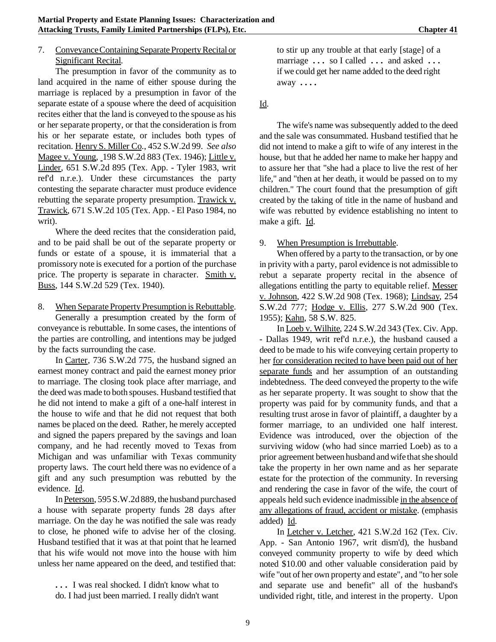#### 7. Conveyance Containing Separate Property Recital or Significant Recital.

The presumption in favor of the community as to land acquired in the name of either spouse during the marriage is replaced by a presumption in favor of the separate estate of a spouse where the deed of acquisition recites either that the land is conveyed to the spouse as his or her separate property, or that the consideration is from his or her separate estate, or includes both types of recitation. Henry S. Miller Co., 452 S.W.2d 99. *See also* Magee v. Young, 198 S.W.2d 883 (Tex. 1946); Little v. Linder, 651 S.W.2d 895 (Tex. App. - Tyler 1983, writ ref'd n.r.e.). Under these circumstances the party contesting the separate character must produce evidence rebutting the separate property presumption. Trawick v. Trawick, 671 S.W.2d 105 (Tex. App. - El Paso 1984, no writ).

Where the deed recites that the consideration paid, and to be paid shall be out of the separate property or funds or estate of a spouse, it is immaterial that a promissory note is executed for a portion of the purchase price. The property is separate in character. Smith v. Buss, 144 S.W.2d 529 (Tex. 1940).

8. When Separate Property Presumption is Rebuttable. Generally a presumption created by the form of conveyance is rebuttable. In some cases, the intentions of the parties are controlling, and intentions may be judged by the facts surrounding the case.

In Carter, 736 S.W.2d 775, the husband signed an earnest money contract and paid the earnest money prior to marriage. The closing took place after marriage, and the deed was made to both spouses. Husband testified that he did not intend to make a gift of a one-half interest in the house to wife and that he did not request that both names be placed on the deed. Rather, he merely accepted and signed the papers prepared by the savings and loan company, and he had recently moved to Texas from Michigan and was unfamiliar with Texas community property laws. The court held there was no evidence of a gift and any such presumption was rebutted by the evidence. Id.

InPeterson, 595 S.W.2d 889, the husband purchased a house with separate property funds 28 days after marriage. On the day he was notified the sale was ready to close, he phoned wife to advise her of the closing. Husband testified that it was at that point that he learned that his wife would not move into the house with him unless her name appeared on the deed, and testified that:

**. . .** I was real shocked. I didn't know what to do. I had just been married. I really didn't want to stir up any trouble at that early [stage] of a marriage **. . .** so I called **. . .** and asked **. . .** if we could get her name added to the deed right away **. . . .**

Id.

The wife's name was subsequently added to the deed and the sale was consummated. Husband testified that he did not intend to make a gift to wife of any interest in the house, but that he added her name to make her happy and to assure her that "she had a place to live the rest of her life," and "then at her death, it would be passed on to my children." The court found that the presumption of gift created by the taking of title in the name of husband and wife was rebutted by evidence establishing no intent to make a gift. Id.

9. When Presumption is Irrebuttable.

When offered by a party to the transaction, or by one in privity with a party, parol evidence is not admissible to rebut a separate property recital in the absence of allegations entitling the party to equitable relief. Messer v. Johnson, 422 S.W.2d 908 (Tex. 1968); Lindsay, 254 S.W.2d 777; Hodge v. Ellis, 277 S.W.2d 900 (Tex. 1955); Kahn, 58 S.W. 825.

In Loeb v. Wilhite, 224 S.W.2d 343 (Tex. Civ. App. - Dallas 1949, writ ref'd n.r.e.), the husband caused a deed to be made to his wife conveying certain property to her for consideration recited to have been paid out of her separate funds and her assumption of an outstanding indebtedness. The deed conveyed the property to the wife as her separate property. It was sought to show that the property was paid for by community funds, and that a resulting trust arose in favor of plaintiff, a daughter by a former marriage, to an undivided one half interest. Evidence was introduced, over the objection of the surviving widow (who had since married Loeb) as to a prior agreement between husband and wife that she should take the property in her own name and as her separate estate for the protection of the community. In reversing and rendering the case in favor of the wife, the court of appeals held such evidence inadmissible in the absence of any allegations of fraud, accident or mistake. (emphasis added) Id.

In Letcher v. Letcher, 421 S.W.2d 162 (Tex. Civ. App. - San Antonio 1967, writ dism'd), the husband conveyed community property to wife by deed which noted \$10.00 and other valuable consideration paid by wife "out of her own property and estate", and "to her sole and separate use and benefit" all of the husband's undivided right, title, and interest in the property. Upon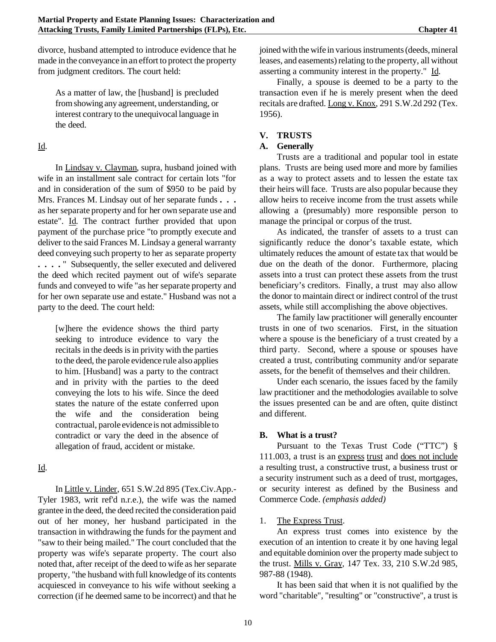divorce, husband attempted to introduce evidence that he made in the conveyance in an effort to protect the property from judgment creditors. The court held:

As a matter of law, the [husband] is precluded fromshowing any agreement, understanding, or interest contrary to the unequivocal language in the deed.

# Id.

In Lindsay v. Clayman, supra, husband joined with wife in an installment sale contract for certain lots "for and in consideration of the sum of \$950 to be paid by Mrs. Frances M. Lindsay out of her separate funds **. . .** as her separate property and for her own separate use and estate". Id. The contract further provided that upon payment of the purchase price "to promptly execute and deliver to the said Frances M. Lindsay a general warranty deed conveying such property to her as separate property **. . . .** " Subsequently, the seller executed and delivered the deed which recited payment out of wife's separate funds and conveyed to wife "as her separate property and for her own separate use and estate." Husband was not a party to the deed. The court held:

[w]here the evidence shows the third party seeking to introduce evidence to vary the recitals in the deeds is in privity with the parties to the deed, the parole evidence rule also applies to him. [Husband] was a party to the contract and in privity with the parties to the deed conveying the lots to his wife. Since the deed states the nature of the estate conferred upon the wife and the consideration being contractual, parole evidenceis not admissible to contradict or vary the deed in the absence of allegation of fraud, accident or mistake.

# Id.

In Little v. Linder, 651 S.W.2d 895 (Tex.Civ.App.- Tyler 1983, writ ref'd n.r.e.), the wife was the named grantee in the deed, the deed recited the consideration paid out of her money, her husband participated in the transaction in withdrawing the funds for the payment and "saw to their being mailed." The court concluded that the property was wife's separate property. The court also noted that, after receipt of the deed to wife as her separate property, "the husband with full knowledge of its contents acquiesced in conveyance to his wife without seeking a correction (if he deemed same to be incorrect) and that he joined with the wife in various instruments (deeds, mineral leases, and easements) relating to the property, all without asserting a community interest in the property." Id.

Finally, a spouse is deemed to be a party to the transaction even if he is merely present when the deed recitals are drafted. Long v. Knox, 291 S.W.2d 292 (Tex. 1956).

# **V. TRUSTS**

### **A. Generally**

Trusts are a traditional and popular tool in estate plans. Trusts are being used more and more by families as a way to protect assets and to lessen the estate tax their heirs will face. Trusts are also popular because they allow heirs to receive income from the trust assets while allowing a (presumably) more responsible person to manage the principal or corpus of the trust.

As indicated, the transfer of assets to a trust can significantly reduce the donor's taxable estate, which ultimately reduces the amount of estate tax that would be due on the death of the donor. Furthermore, placing assets into a trust can protect these assets from the trust beneficiary's creditors. Finally, a trust may also allow the donor to maintain direct or indirect control of the trust assets, while still accomplishing the above objectives.

The family law practitioner will generally encounter trusts in one of two scenarios. First, in the situation where a spouse is the beneficiary of a trust created by a third party. Second, where a spouse or spouses have created a trust, contributing community and/or separate assets, for the benefit of themselves and their children.

Under each scenario, the issues faced by the family law practitioner and the methodologies available to solve the issues presented can be and are often, quite distinct and different.

# **B. What is a trust?**

Pursuant to the Texas Trust Code ("TTC") § 111.003, a trust is an express trust and does not include a resulting trust, a constructive trust, a business trust or a security instrument such as a deed of trust, mortgages, or security interest as defined by the Business and Commerce Code. *(emphasis added)*

# 1. The Express Trust.

An express trust comes into existence by the execution of an intention to create it by one having legal and equitable dominion over the property made subject to the trust. Mills v. Gray*,* 147 Tex. 33, 210 S.W.2d 985, 987-88 (1948).

It has been said that when it is not qualified by the word "charitable", "resulting" or "constructive", a trust is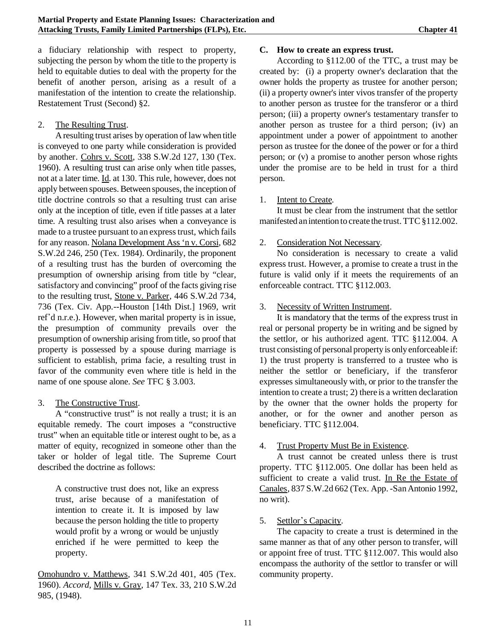a fiduciary relationship with respect to property, subjecting the person by whom the title to the property is held to equitable duties to deal with the property for the benefit of another person, arising as a result of a manifestation of the intention to create the relationship. Restatement Trust (Second) §2.

### 2. The Resulting Trust.

A resulting trust arises by operation of lawwhen title is conveyed to one party while consideration is provided by another. Cohrs v. Scott*,* 338 S.W.2d 127, 130 (Tex. 1960). A resulting trust can arise only when title passes, not at a later time. Id. at 130. This rule, however, does not apply between spouses. Between spouses, the inception of title doctrine controls so that a resulting trust can arise only at the inception of title, even if title passes at a later time. A resulting trust also arises when a conveyance is made to a trustee pursuant to an express trust, which fails for any reason. Nolana Development Ass 'n v. Corsi*,* 682 S.W.2d 246, 250 (Tex. 1984). Ordinarily, the proponent of a resulting trust has the burden of overcoming the presumption of ownership arising from title by "clear, satisfactory and convincing" proof of the facts giving rise to the resulting trust, Stone v. Parker*,* 446 S.W.2d 734, 736 (Tex. Civ. App.--Houston [14th Dist.] 1969, writ ref'd n.r.e.). However, when marital property is in issue, the presumption of community prevails over the presumption of ownership arising from title, so proof that property is possessed by a spouse during marriage is sufficient to establish, prima facie, a resulting trust in favor of the community even where title is held in the name of one spouse alone. *See* TFC § 3.003.

### 3. The Constructive Trust.

A "constructive trust" is not really a trust; it is an equitable remedy. The court imposes a "constructive trust" when an equitable title or interest ought to be, as a matter of equity, recognized in someone other than the taker or holder of legal title. The Supreme Court described the doctrine as follows:

A constructive trust does not, like an express trust, arise because of a manifestation of intention to create it. It is imposed by law because the person holding the title to property would profit by a wrong or would be unjustly enriched if he were permitted to keep the property.

Omohundro v. Matthews*,* 341 S.W.2d 401, 405 (Tex. 1960). *Accord,* Mills v. Gray*,* 147 Tex. 33, 210 S.W.2d 985, (1948).

### **C. How to create an express trust.**

According to §112.00 of the TTC, a trust may be created by: (i) a property owner's declaration that the owner holds the property as trustee for another person; (ii) a property owner's inter vivos transfer of the property to another person as trustee for the transferor or a third person; (iii) a property owner's testamentary transfer to another person as trustee for a third person; (iv) an appointment under a power of appointment to another person as trustee for the donee of the power or for a third person; or (v) a promise to another person whose rights under the promise are to be held in trust for a third person.

## 1. Intent to Create.

It must be clear from the instrument that the settlor manifested an intention to create the trust. TTC§112.002.

## 2. Consideration Not Necessary.

No consideration is necessary to create a valid express trust. However, a promise to create a trust in the future is valid only if it meets the requirements of an enforceable contract. TTC §112.003.

## 3. Necessity of Written Instrument.

It is mandatory that the terms of the express trust in real or personal property be in writing and be signed by the settlor, or his authorized agent. TTC §112.004. A trust consisting of personal property is only enforceable if: 1) the trust property is transferred to a trustee who is neither the settlor or beneficiary, if the transferor expresses simultaneously with, or prior to the transfer the intention to create a trust; 2) there is a written declaration by the owner that the owner holds the property for another, or for the owner and another person as beneficiary. TTC §112.004.

# 4. Trust Property Must Be in Existence.

A trust cannot be created unless there is trust property. TTC §112.005. One dollar has been held as sufficient to create a valid trust. In Re the Estate of Canales, 837 S.W.2d 662 (Tex. App. - San Antonio 1992, no writ).

### 5. Settlor's Capacity.

The capacity to create a trust is determined in the same manner as that of any other person to transfer, will or appoint free of trust. TTC §112.007. This would also encompass the authority of the settlor to transfer or will community property.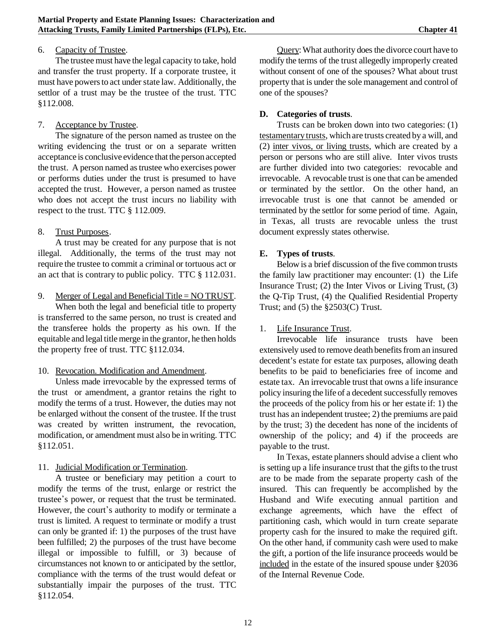### 6. Capacity of Trustee.

The trustee must have the legal capacity to take, hold and transfer the trust property. If a corporate trustee, it must have powers to act under state law. Additionally, the settlor of a trust may be the trustee of the trust. TTC §112.008.

### 7. Acceptance by Trustee.

The signature of the person named as trustee on the writing evidencing the trust or on a separate written acceptance is conclusive evidence that the person accepted the trust. A person named as trustee who exercises power or performs duties under the trust is presumed to have accepted the trust. However, a person named as trustee who does not accept the trust incurs no liability with respect to the trust. TTC § 112.009.

### 8. Trust Purposes.

A trust may be created for any purpose that is not illegal. Additionally, the terms of the trust may not require the trustee to commit a criminal or tortuous act or an act that is contrary to public policy. TTC § 112.031.

9. Merger of Legal and Beneficial Title = NO TRUST.

When both the legal and beneficial title to property is transferred to the same person, no trust is created and the transferee holds the property as his own. If the equitable and legal titlemerge in the grantor, he then holds the property free of trust. TTC §112.034.

#### 10. Revocation. Modification and Amendment.

Unless made irrevocable by the expressed terms of the trust or amendment, a grantor retains the right to modify the terms of a trust. However, the duties may not be enlarged without the consent of the trustee. If the trust was created by written instrument, the revocation, modification, or amendment must also be in writing. TTC §112.051.

### 11. Judicial Modification or Termination.

A trustee or beneficiary may petition a court to modify the terms of the trust, enlarge or restrict the trustee's power, or request that the trust be terminated. However, the court's authority to modify or terminate a trust is limited. A request to terminate or modify a trust can only be granted if: 1) the purposes of the trust have been fulfilled; 2) the purposes of the trust have become illegal or impossible to fulfill, or 3) because of circumstances not known to or anticipated by the settlor, compliance with the terms of the trust would defeat or substantially impair the purposes of the trust. TTC §112.054.

Query: What authority does the divorce court have to modify the terms of the trust allegedly improperly created without consent of one of the spouses? What about trust property that is under the sole management and control of one of the spouses?

### **D. Categories of trusts**.

Trusts can be broken down into two categories: (1) testamentary trusts, which are trusts created by a will, and (2) inter vivos, or living trusts, which are created by a person or persons who are still alive. Inter vivos trusts are further divided into two categories: revocable and irrevocable. A revocable trust is one that can be amended or terminated by the settlor. On the other hand, an irrevocable trust is one that cannot be amended or terminated by the settlor for some period of time. Again, in Texas, all trusts are revocable unless the trust document expressly states otherwise.

### **E. Types of trusts**.

Below is a brief discussion of the five common trusts the family law practitioner may encounter: (1) the Life Insurance Trust; (2) the Inter Vivos or Living Trust, (3) the Q-Tip Trust, (4) the Qualified Residential Property Trust; and  $(5)$  the  $\S2503(C)$  Trust.

### 1. Life Insurance Trust.

Irrevocable life insurance trusts have been extensively used to remove death benefits from an insured decedent's estate for estate tax purposes, allowing death benefits to be paid to beneficiaries free of income and estate tax. An irrevocable trust that owns a life insurance policy insuring the life of a decedent successfully removes the proceeds of the policy from his or her estate if: 1) the trust has an independent trustee; 2) the premiums are paid by the trust; 3) the decedent has none of the incidents of ownership of the policy; and 4) if the proceeds are payable to the trust.

In Texas, estate planners should advise a client who is setting up a life insurance trust that the gifts to the trust are to be made from the separate property cash of the insured. This can frequently be accomplished by the Husband and Wife executing annual partition and exchange agreements, which have the effect of partitioning cash, which would in turn create separate property cash for the insured to make the required gift. On the other hand, if community cash were used to make the gift, a portion of the life insurance proceeds would be included in the estate of the insured spouse under §2036 of the Internal Revenue Code.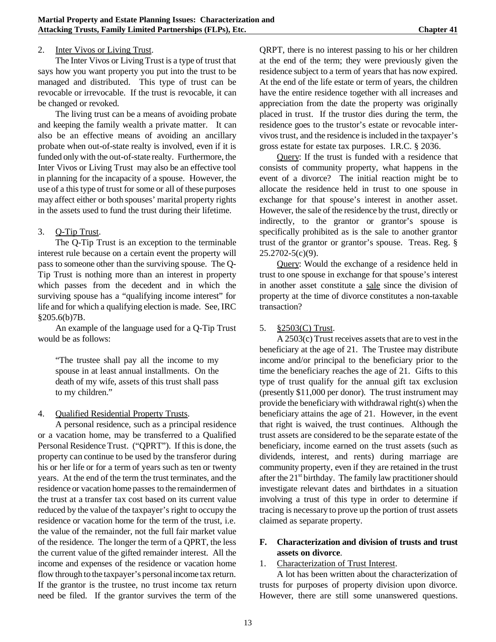### 2. Inter Vivos or Living Trust.

The Inter Vivos or Living Trust is a type of trust that says how you want property you put into the trust to be managed and distributed. This type of trust can be revocable or irrevocable. If the trust is revocable, it can be changed or revoked.

The living trust can be a means of avoiding probate and keeping the family wealth a private matter. It can also be an effective means of avoiding an ancillary probate when out-of-state realty is involved, even if it is funded only with the out-of-state realty. Furthermore, the Inter Vivos or Living Trust may also be an effective tool in planning for the incapacity of a spouse. However, the use of a this type of trust for some or all of these purposes may affect either or both spouses' marital property rights in the assets used to fund the trust during their lifetime.

## 3. Q-Tip Trust.

The Q-Tip Trust is an exception to the terminable interest rule because on a certain event the property will pass to someone other than the surviving spouse. The Q-Tip Trust is nothing more than an interest in property which passes from the decedent and in which the surviving spouse has a "qualifying income interest" for life and for which a qualifying election is made. See, IRC §205.6(b)7B.

An example of the language used for a Q-Tip Trust would be as follows:

"The trustee shall pay all the income to my spouse in at least annual installments. On the death of my wife, assets of this trust shall pass to my children."

### 4. Qualified Residential Property Trusts.

A personal residence, such as a principal residence or a vacation home, may be transferred to a Qualified Personal Residence Trust. ("QPRT"). If this is done, the property can continue to be used by the transferor during his or her life or for a term of years such as ten or twenty years. At the end of the term the trust terminates, and the residence or vacation home passes to the remaindermen of the trust at a transfer tax cost based on its current value reduced by the value of the taxpayer's right to occupy the residence or vacation home for the term of the trust, i.e. the value of the remainder, not the full fair market value of the residence. The longer the term of a QPRT, the less the current value of the gifted remainder interest. All the income and expenses of the residence or vacation home flow through to the taxpayer's personalincome tax return. If the grantor is the trustee, no trust income tax return need be filed. If the grantor survives the term of the QRPT, there is no interest passing to his or her children at the end of the term; they were previously given the residence subject to a term of years that has now expired. At the end of the life estate or term of years, the children have the entire residence together with all increases and appreciation from the date the property was originally placed in trust. If the trustor dies during the term, the residence goes to the trustor's estate or revocable intervivos trust, and the residence is included in the taxpayer's gross estate for estate tax purposes. I.R.C. § 2036.

Query: If the trust is funded with a residence that consists of community property, what happens in the event of a divorce? The initial reaction might be to allocate the residence held in trust to one spouse in exchange for that spouse's interest in another asset. However, the sale of the residence by the trust, directly or indirectly, to the grantor or grantor's spouse is specifically prohibited as is the sale to another grantor trust of the grantor or grantor's spouse. Treas. Reg. § 25.2702-5(c)(9).

Query: Would the exchange of a residence held in trust to one spouse in exchange for that spouse's interest in another asset constitute a sale since the division of property at the time of divorce constitutes a non-taxable transaction?

# 5. §2503(C) Trust.

 $A 2503(c)$  Trust receives assets that are to vest in the beneficiary at the age of 21. The Trustee may distribute income and/or principal to the beneficiary prior to the time the beneficiary reaches the age of 21. Gifts to this type of trust qualify for the annual gift tax exclusion (presently \$11,000 per donor). The trust instrument may provide the beneficiary with withdrawal right(s) when the beneficiary attains the age of 21. However, in the event that right is waived, the trust continues. Although the trust assets are considered to be the separate estate of the beneficiary, income earned on the trust assets (such as dividends, interest, and rents) during marriage are community property, even if they are retained in the trust after the  $21<sup>st</sup>$  birthday. The family law practitioner should investigate relevant dates and birthdates in a situation involving a trust of this type in order to determine if tracing is necessary to prove up the portion of trust assets claimed as separate property.

### **F. Characterization and division of trusts and trust assets on divorce**.

### 1. Characterization of Trust Interest.

A lot has been written about the characterization of trusts for purposes of property division upon divorce. However, there are still some unanswered questions.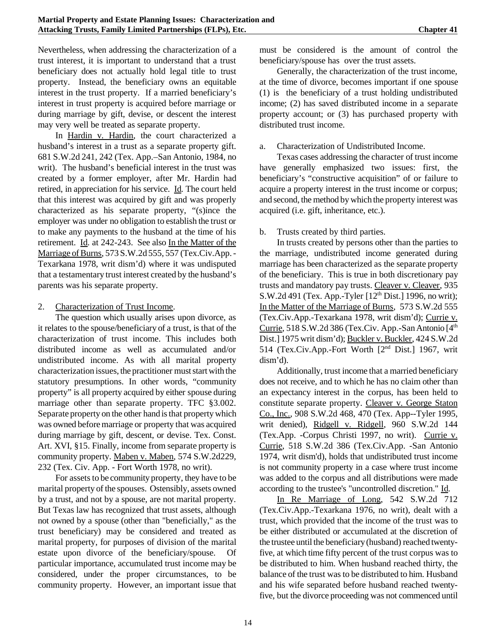Nevertheless, when addressing the characterization of a trust interest, it is important to understand that a trust beneficiary does not actually hold legal title to trust property. Instead, the beneficiary owns an equitable interest in the trust property. If a married beneficiary's interest in trust property is acquired before marriage or during marriage by gift, devise, or descent the interest may very well be treated as separate property.

In Hardin v. Hardin, the court characterized a husband's interest in a trust as a separate property gift. 681 S.W.2d 241, 242 (Tex. App.–San Antonio, 1984, no writ). The husband's beneficial interest in the trust was created by a former employer, after Mr. Hardin had retired, in appreciation for his service. Id*.* The court held that this interest was acquired by gift and was properly characterized as his separate property, "(s)ince the employer was under no obligation to establish the trust or to make any payments to the husband at the time of his retirement. Id. at 242-243. See also In the Matter of the Marriage of Burns, 573 S.W.2d 555, 557 (Tex.Civ.App. -Texarkana 1978, writ dism'd) where it was undisputed that a testamentary trust interest created by the husband's parents was his separate property.

### 2. Characterization of Trust Income.

The question which usually arises upon divorce, as it relates to the spouse/beneficiary of a trust, is that of the characterization of trust income. This includes both distributed income as well as accumulated and/or undistributed income. As with all marital property characterization issues, the practitioner must start with the statutory presumptions. In other words, "community property" is all property acquired by either spouse during marriage other than separate property. TFC §3.002. Separate property on the other hand is that property which was owned before marriage or property that was acquired during marriage by gift, descent, or devise. Tex. Const. Art. XVI, §15. Finally, income from separate property is community property. Maben v. Maben*,* 574 S.W.2d229, 232 (Tex. Civ. App. - Fort Worth 1978, no writ).

For assets to be community property, they have to be marital property of the spouses. Ostensibly, assets owned by a trust, and not by a spouse, are not marital property. But Texas law has recognized that trust assets, although not owned by a spouse (other than "beneficially," as the trust beneficiary) may be considered and treated as marital property, for purposes of division of the marital estate upon divorce of the beneficiary/spouse. Of particular importance, accumulated trust income may be considered, under the proper circumstances, to be community property. However, an important issue that must be considered is the amount of control the beneficiary/spouse has over the trust assets.

Generally, the characterization of the trust income, at the time of divorce, becomes important if one spouse (1) is the beneficiary of a trust holding undistributed income; (2) has saved distributed income in a separate property account; or (3) has purchased property with distributed trust income.

#### a. Characterization of Undistributed Income.

Texas cases addressing the character of trust income have generally emphasized two issues: first, the beneficiary's "constructive acquisition" of or failure to acquire a property interest in the trust income or corpus; and second, the method by which the property interest was acquired (i.e. gift, inheritance, etc.).

### b. Trusts created by third parties.

In trusts created by persons other than the parties to the marriage, undistributed income generated during marriage has been characterized as the separate property of the beneficiary. This is true in both discretionary pay trusts and mandatory pay trusts. Cleaver v. Cleaver, 935 S.W.2d 491 (Tex. App.-Tyler  $[12<sup>th</sup> Dist.]$  1996, no writ); In the Matter of the Marriage of Burns, 573 S.W.2d 555 (Tex.Civ.App.-Texarkana 1978, writ dism'd); Currie v. Currie,  $518$  S.W.2d 386 (Tex.Civ. App.-San Antonio [ $4<sup>th</sup>$ ] Dist.] 1975 writ dism'd); Buckler v. Buckler, 424 S.W.2d 514 (Tex.Civ.App.-Fort Worth [2nd Dist.] 1967, writ dism'd).

Additionally, trust income that a married beneficiary does not receive, and to which he has no claim other than an expectancy interest in the corpus, has been held to constitute separate property. Cleaver v. George Staton Co., Inc., 908 S.W.2d 468, 470 (Tex. App--Tyler 1995, writ denied), Ridgell v. Ridgell, 960 S.W.2d 144 (Tex.App. -Corpus Christi 1997, no writ). Currie v. Currie, 518 S.W.2d 386 (Tex.Civ.App. -San Antonio 1974, writ dism'd), holds that undistributed trust income is not community property in a case where trust income was added to the corpus and all distributions were made according to the trustee's "uncontrolled discretion." Id.

In Re Marriage of Long, 542 S.W.2d 712 (Tex.Civ.App.-Texarkana 1976, no writ), dealt with a trust, which provided that the income of the trust was to be either distributed or accumulated at the discretion of the trustee until the beneficiary(husband) reached twentyfive, at which time fifty percent of the trust corpus was to be distributed to him. When husband reached thirty, the balance of the trust wasto be distributed to him. Husband and his wife separated before husband reached twentyfive, but the divorce proceeding was not commenced until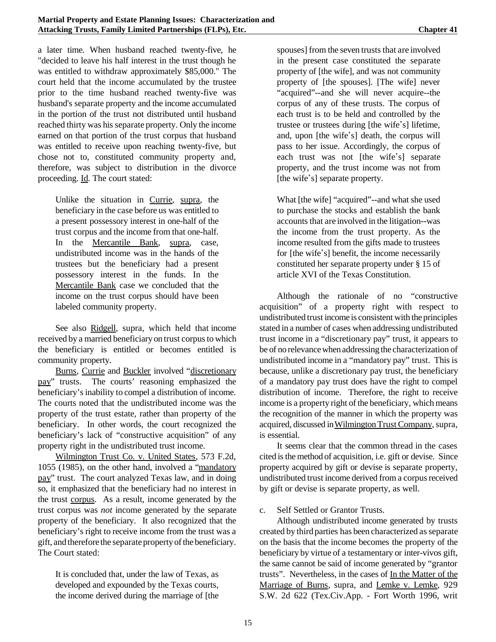a later time. When husband reached twenty-five, he "decided to leave his half interest in the trust though he was entitled to withdraw approximately \$85,000." The court held that the income accumulated by the trustee prior to the time husband reached twenty-five was husband's separate property and the income accumulated in the portion of the trust not distributed until husband reached thirty was his separate property. Only the income earned on that portion of the trust corpus that husband was entitled to receive upon reaching twenty-five, but chose not to, constituted community property and, therefore, was subject to distribution in the divorce proceeding. Id. The court stated:

Unlike the situation in Currie, supra, the beneficiary in the case before us was entitled to a present possessory interest in one-half of the trust corpus and the income from that one-half. In the Mercantile Bank, supra, case, undistributed income was in the hands of the trustees but the beneficiary had a present possessory interest in the funds. In the Mercantile Bank case we concluded that the income on the trust corpus should have been labeled community property.

See also Ridgell, supra, which held that income received by a married beneficiary on trust corpus to which the beneficiary is entitled or becomes entitled is community property.

Burns*,* Currie and Buckler involved "discretionary pay" trusts. The courts' reasoning emphasized the beneficiary'sinability to compel a distribution of income. The courts noted that the undistributed income was the property of the trust estate, rather than property of the beneficiary. In other words, the court recognized the beneficiary's lack of "constructive acquisition" of any property right in the undistributed trust income.

Wilmington Trust Co. v. United States, 573 F.2d, 1055 (1985), on the other hand, involved a "mandatory pay" trust. The court analyzed Texas law, and in doing so, it emphasized that the beneficiary had no interest in the trust corpus. As a result, income generated by the trust corpus was *not* income generated by the separate property of the beneficiary. It also recognized that the beneficiary's right to receive income from the trust was a gift, and therefore the separate property of the beneficiary. The Court stated:

It is concluded that, under the law of Texas, as developed and expounded by the Texas courts, the income derived during the marriage of [the

spouses] from the seven trusts that are involved in the present case constituted the separate property of [the wife], and was not community property of [the spouses]. [The wife] never "acquired"--and she will never acquire--the corpus of any of these trusts. The corpus of each trust is to be held and controlled by the trustee or trustees during [the wife's] lifetime, and, upon [the wife\*s] death, the corpus will pass to her issue. Accordingly, the corpus of each trust was not [the wife's] separate property, and the trust income was not from [the wife's] separate property.

What [the wife] "acquired"--and what she used to purchase the stocks and establish the bank accounts that are involved in the litigation--was the income from the trust property. As the income resulted from the gifts made to trustees for [the wife's] benefit, the income necessarily constituted her separate property under § 15 of article XVI of the Texas Constitution.

Although the rationale of no "constructive acquisition" of a property right with respect to undistributed trust income is consistent with the principles stated in a number of cases when addressing undistributed trust income in a "discretionary pay" trust, it appears to be of no relevancewhen addressing the characterization of undistributed income in a "mandatory pay" trust. This is because, unlike a discretionary pay trust, the beneficiary of a mandatory pay trust does have the right to compel distribution of income. Therefore, the right to receive income is a property right of the beneficiary, which means the recognition of the manner in which the property was acquired, discussed in WilmingtonTrustCompany,supra, is essential.

It seems clear that the common thread in the cases cited is the method of acquisition, i.e. gift or devise. Since property acquired by gift or devise is separate property, undistributed trust income derived from a corpus received by gift or devise is separate property, as well.

c. Self Settled or Grantor Trusts.

Although undistributed income generated by trusts created by third parties has been characterized asseparate on the basis that the income becomes the property of the beneficiary by virtue of a testamentary or inter-vivos gift, the same cannot be said of income generated by "grantor trusts". Nevertheless, in the cases of In the Matter of the Marriage of Burns, supra, and Lemke v. Lemke, 929 S.W. 2d 622 (Tex.Civ.App. - Fort Worth 1996, writ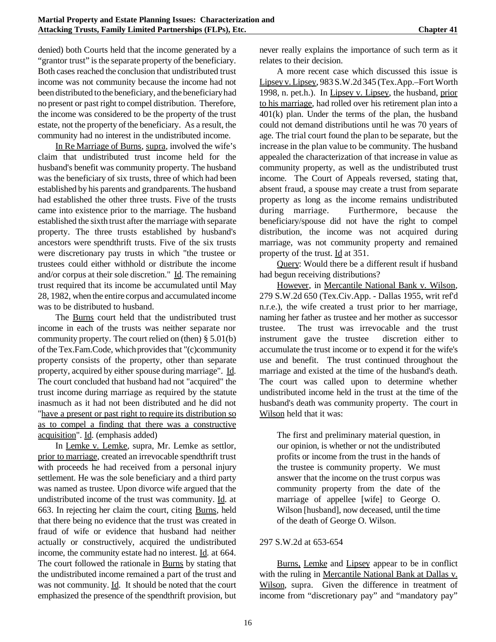denied) both Courts held that the income generated by a "grantor trust" is the separate property of the beneficiary. Both cases reached the conclusion that undistributed trust income was not community because the income had not been distributed to the beneficiary, and the beneficiaryhad no present or past right to compel distribution. Therefore, the income was considered to be the property of the trust estate, not the property of the beneficiary. As a result, the community had no interest in the undistributed income.

In Re Marriage of Burns, supra, involved the wife's claim that undistributed trust income held for the husband's benefit was community property. The husband was the beneficiary of six trusts, three of which had been established by his parents and grandparents. The husband had established the other three trusts. Five of the trusts came into existence prior to the marriage. The husband established the sixth trust after the marriage with separate property. The three trusts established by husband's ancestors were spendthrift trusts. Five of the six trusts were discretionary pay trusts in which "the trustee or trustees could either withhold or distribute the income and/or corpus at their sole discretion." Id. The remaining trust required that its income be accumulated until May 28, 1982, when the entire corpus and accumulated income was to be distributed to husband.

The Burns court held that the undistributed trust income in each of the trusts was neither separate nor community property. The court relied on (then) § 5.01(b) of the Tex.Fam.Code, which provides that "(c)community property consists of the property, other than separate property, acquired by either spouse during marriage". Id. The court concluded that husband had not "acquired" the trust income during marriage as required by the statute inasmuch as it had not been distributed and he did not "have a present or past right to require its distribution so as to compel a finding that there was a constructive acquisition". Id. (emphasis added)

In Lemke v. Lemke, supra, Mr. Lemke as settlor, prior to marriage, created an irrevocable spendthrift trust with proceeds he had received from a personal injury settlement. He was the sole beneficiary and a third party was named as trustee. Upon divorce wife argued that the undistributed income of the trust was community. Id. at 663. In rejecting her claim the court, citing Burns*,* held that there being no evidence that the trust was created in fraud of wife or evidence that husband had neither actually or constructively, acquired the undistributed income, the community estate had no interest. Id. at 664. The court followed the rationale in Burns by stating that the undistributed income remained a part of the trust and was not community. Id. It should be noted that the court emphasized the presence of the spendthrift provision, but never really explains the importance of such term as it relates to their decision.

A more recent case which discussed this issue is Lipsey v. Lipsey, 983 S.W.2d 345 (Tex.App.–Fort Worth 1998, n. pet.h.). In Lipsey v. Lipsey, the husband, prior to his marriage, had rolled over his retirement plan into a 401(k) plan. Under the terms of the plan, the husband could not demand distributions until he was 70 years of age. The trial court found the plan to be separate, but the increase in the plan value to be community. The husband appealed the characterization of that increase in value as community property, as well as the undistributed trust income. The Court of Appeals reversed, stating that, absent fraud, a spouse may create a trust from separate property as long as the income remains undistributed during marriage. Furthermore, because the beneficiary/spouse did not have the right to compel distribution, the income was not acquired during marriage, was not community property and remained property of the trust. Id at 351.

Query: Would there be a different result if husband had begun receiving distributions?

However, in Mercantile National Bank v. Wilson, 279 S.W.2d 650 (Tex.Civ.App. - Dallas 1955, writ ref'd n.r.e.), the wife created a trust prior to her marriage, naming her father as trustee and her mother as successor trustee. The trust was irrevocable and the trust instrument gave the trustee discretion either to accumulate the trust income or to expend it for the wife's use and benefit. The trust continued throughout the marriage and existed at the time of the husband's death. The court was called upon to determine whether undistributed income held in the trust at the time of the husband's death was community property. The court in Wilson held that it was:

The first and preliminary material question, in our opinion, is whether or not the undistributed profits or income from the trust in the hands of the trustee is community property. We must answer that the income on the trust corpus was community property from the date of the marriage of appellee [wife] to George O. Wilson [husband], now deceased, until the time of the death of George O. Wilson.

#### 297 S.W.2d at 653-654

Burns, Lemke and Lipsey appear to be in conflict with the ruling in Mercantile National Bank at Dallas v. Wilson, supra. Given the difference in treatment of income from "discretionary pay" and "mandatory pay"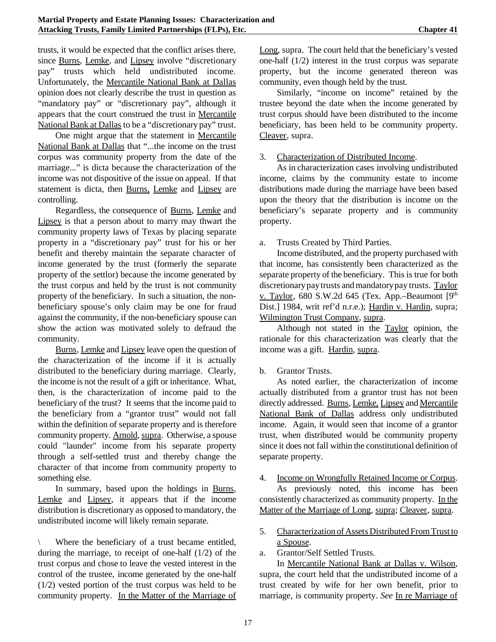trusts, it would be expected that the conflict arises there, since Burns, Lemke, and Lipsey involve "discretionary pay" trusts which held undistributed income. Unfortunately, the Mercantile National Bank at Dallas opinion does not clearly describe the trust in question as "mandatory pay" or "discretionary pay", although it appears that the court construed the trust in Mercantile National Bank at Dallas to be a "discretionary pay" trust.

One might argue that the statement in Mercantile National Bank at Dallas that "...the income on the trust corpus was community property from the date of the marriage..." is dicta because the characterization of the income was not dispositive of the issue on appeal. If that statement is dicta, then Burns, Lemke and Lipsey are controlling.

Regardless, the consequence of Burns, Lemke and Lipsey is that a person about to marry may thwart the community property laws of Texas by placing separate property in a "discretionary pay" trust for his or her benefit and thereby maintain the separate character of income generated by the trust (formerly the separate property of the settlor) because the income generated by the trust corpus and held by the trust is not community property of the beneficiary. In such a situation, the nonbeneficiary spouse's only claim may be one for fraud against the community, if the non-beneficiary spouse can show the action was motivated solely to defraud the community.

Burns, Lemke and Lipsey leave open the question of the characterization of the income if it is actually distributed to the beneficiary during marriage. Clearly, the income is not the result of a gift or inheritance. What, then, is the characterization of income paid to the beneficiary of the trust? It seems that the income paid to the beneficiary from a "grantor trust" would not fall within the definition of separate property and is therefore community property. Arnold, supra. Otherwise, a spouse could "launder" income from his separate property through a self-settled trust and thereby change the character of that income from community property to something else.

In summary, based upon the holdings in Burns, Lemke and Lipsey, it appears that if the income distribution is discretionary as opposed to mandatory, the undistributed income will likely remain separate.

Where the beneficiary of a trust became entitled, during the marriage, to receipt of one-half (1/2) of the trust corpus and chose to leave the vested interest in the control of the trustee, income generated by the one-half (1/2) vested portion of the trust corpus was held to be community property. In the Matter of the Marriage of Long, supra. The court held that the beneficiary's vested one-half (1/2) interest in the trust corpus was separate property, but the income generated thereon was community, even though held by the trust.

Similarly, "income on income" retained by the trustee beyond the date when the income generated by trust corpus should have been distributed to the income beneficiary, has been held to be community property. Cleaver, supra.

#### 3. Characterization of Distributed Income.

As in characterization cases involving undistributed income, claims by the community estate to income distributions made during the marriage have been based upon the theory that the distribution is income on the beneficiary's separate property and is community property.

a. Trusts Created by Third Parties.

Income distributed, and the property purchased with that income, has consistently been characterized as the separate property of the beneficiary. This is true for both discretionary pay trusts and mandatory pay trusts. Taylor v. Taylor, 680 S.W.2d 645 (Tex. App.–Beaumont  $[9<sup>th</sup>]$ Dist.] 1984, writ ref'd n.r.e.); Hardin v. Hardin, supra; Wilmington Trust Company, supra.

Although not stated in the Taylor opinion, the rationale for this characterization was clearly that the income was a gift. Hardin, supra.

#### b. Grantor Trusts.

As noted earlier, the characterization of income actually distributed from a grantor trust has not been directly addressed. Burns, Lemke, Lipsey and Mercantile National Bank of Dallas address only undistributed income. Again, it would seen that income of a grantor trust, when distributed would be community property since it does not fall within the constitutional definition of separate property.

#### 4. Income on Wrongfully Retained Income or Corpus.

As previously noted, this income has been consistently characterized as community property. In the Matter of the Marriage of Long, supra; Cleaver, supra.

- 5. Characterization of Assets Distributed From Trust to a Spouse.
- a. Grantor/Self Settled Trusts.

In Mercantile National Bank at Dallas v. Wilson*,* supra, the court held that the undistributed income of a trust created by wife for her own benefit, prior to marriage, is community property. *See* In re Marriage of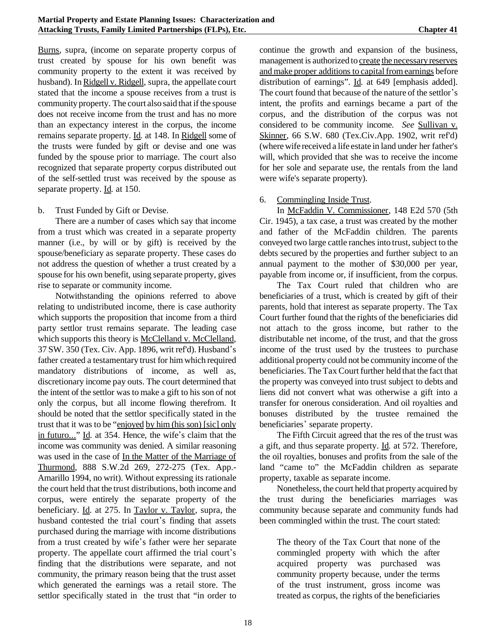Burns*,* supra, (income on separate property corpus of trust created by spouse for his own benefit was community property to the extent it was received by husband). In Ridgell v. Ridgell, supra, the appellate court stated that the income a spouse receives from a trust is community property. The court also said that if the spouse does not receive income from the trust and has no more than an expectancy interest in the corpus, the income remains separate property. Id*.* at 148. In Ridgell some of the trusts were funded by gift or devise and one was funded by the spouse prior to marriage. The court also recognized that separate property corpus distributed out of the self-settled trust was received by the spouse as separate property. Id*.* at 150.

#### b. Trust Funded by Gift or Devise.

There are a number of cases which say that income from a trust which was created in a separate property manner (i.e., by will or by gift) is received by the spouse/beneficiary as separate property. These cases do not address the question of whether a trust created by a spouse for his own benefit, using separate property, gives rise to separate or community income.

Notwithstanding the opinions referred to above relating to undistributed income, there is case authority which supports the proposition that income from a third party settlor trust remains separate. The leading case which supports this theory is McClelland v. McClelland*,* 37 SW. 350 (Tex. Civ. App. 1896, writ ref'd). Husband\*s father created a testamentary trust for himwhich required mandatory distributions of income, as well as, discretionary income pay outs. The court determined that the intent of the settlor wasto make a gift to his son of not only the corpus, but all income flowing therefrom. It should be noted that the settlor specifically stated in the trust that it was to be "enjoyed by him (his son) [sic] only in futuro..." Id. at 354. Hence, the wife's claim that the income was community was denied. A similar reasoning was used in the case of In the Matter of the Marriage of Thurmond*,* 888 S.W.2d 269, 272-275 (Tex. App.- Amarillo 1994, no writ). Without expressing its rationale the court held that the trust distributions, both income and corpus, were entirely the separate property of the beneficiary. Id. at 275. In Taylor v. Taylor*,* supra, the husband contested the trial court's finding that assets purchased during the marriage with income distributions from a trust created by wife's father were her separate property. The appellate court affirmed the trial court's finding that the distributions were separate, and not community, the primary reason being that the trust asset which generated the earnings was a retail store. The settlor specifically stated in the trust that "in order to

continue the growth and expansion of the business, management is authorized to create the necessary reserves and make proper additions to capital from earnings before distribution of earnings". Id*.* at 649 [emphasis added]. The court found that because of the nature of the settlor's intent, the profits and earnings became a part of the corpus, and the distribution of the corpus was not considered to be community income. *See* Sullivan v. Skinner, 66 S.W. 680 (Tex.Civ.App. 1902, writ ref'd) (where wife received a life estate in land under her father's will, which provided that she was to receive the income for her sole and separate use, the rentals from the land were wife's separate property).

### 6. Commingling Inside Trust.

In McFaddin V. Commissioner*,* 148 E2d 570 (5th Cir. 1945), a tax case, a trust was created by the mother and father of the McFaddin children. The parents conveyed two large cattle ranches into trust, subject to the debts secured by the properties and further subject to an annual payment to the mother of \$30,000 per year, payable from income or, if insufficient, from the corpus.

The Tax Court ruled that children who are beneficiaries of a trust, which is created by gift of their parents, hold that interest as separate property. The Tax Court further found that the rights of the beneficiaries did not attach to the gross income, but rather to the distributable net income, of the trust, and that the gross income of the trust used by the trustees to purchase additional property could not be community income of the beneficiaries. The Tax Court further held that the fact that the property was conveyed into trust subject to debts and liens did not convert what was otherwise a gift into a transfer for onerous consideration. And oil royalties and bonuses distributed by the trustee remained the beneficiaries' separate property.

The Fifth Circuit agreed that the res of the trust was a gift, and thus separate property. Id*.* at 572. Therefore, the oil royalties, bonuses and profits from the sale of the land "came to" the McFaddin children as separate property, taxable as separate income.

Nonetheless, the court held that property acquired by the trust during the beneficiaries marriages was community because separate and community funds had been commingled within the trust. The court stated:

The theory of the Tax Court that none of the commingled property with which the after acquired property was purchased was community property because, under the terms of the trust instrument, gross income was treated as corpus, the rights of the beneficiaries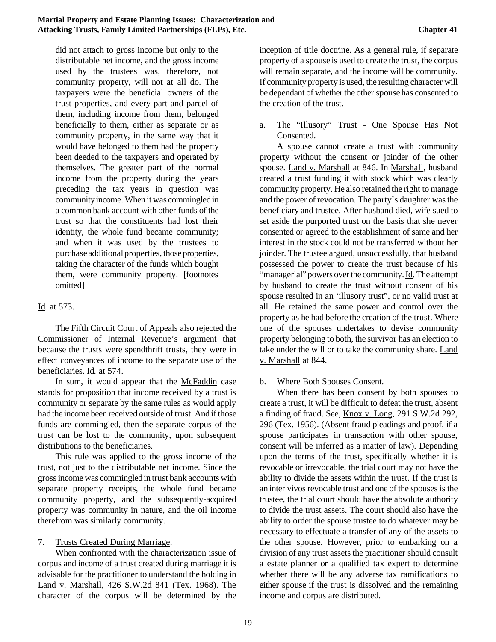did not attach to gross income but only to the distributable net income, and the gross income used by the trustees was, therefore, not community property, will not at all do. The taxpayers were the beneficial owners of the trust properties, and every part and parcel of them, including income from them, belonged beneficially to them, either as separate or as community property, in the same way that it would have belonged to them had the property been deeded to the taxpayers and operated by themselves. The greater part of the normal income from the property during the years preceding the tax years in question was communityincome. When it was commingled in a common bank account with other funds of the trust so that the constituents had lost their identity, the whole fund became community; and when it was used by the trustees to purchase additional properties, those properties, taking the character of the funds which bought them, were community property. [footnotes omitted]

## Id*.* at 573.

The Fifth Circuit Court of Appeals also rejected the Commissioner of Internal Revenue's argument that because the trusts were spendthrift trusts, they were in effect conveyances of income to the separate use of the beneficiaries. Id*.* at 574.

In sum, it would appear that the McFaddin case stands for proposition that income received by a trust is community or separate by the same rules as would apply had the income been received outside of trust. And if those funds are commingled, then the separate corpus of the trust can be lost to the community, upon subsequent distributions to the beneficiaries.

This rule was applied to the gross income of the trust, not just to the distributable net income. Since the grossincome was commingled in trust bank accounts with separate property receipts, the whole fund became community property, and the subsequently-acquired property was community in nature, and the oil income therefrom was similarly community.

# 7. Trusts Created During Marriage.

When confronted with the characterization issue of corpus and income of a trust created during marriage it is advisable for the practitioner to understand the holding in Land v. Marshall*,* 426 S.W.2d 841 (Tex. 1968). The character of the corpus will be determined by the

inception of title doctrine. As a general rule, if separate property of a spouse is used to create the trust, the corpus will remain separate, and the income will be community. If community property is used, the resulting character will be dependant of whether the other spouse has consented to the creation of the trust.

a. The "Illusory" Trust - One Spouse Has Not Consented.

A spouse cannot create a trust with community property without the consent or joinder of the other spouse. Land v. Marshall at 846. In Marshall*,* husband created a trust funding it with stock which was clearly community property. He also retained the right to manage and the power of revocation. The party's daughter was the beneficiary and trustee. After husband died, wife sued to set aside the purported trust on the basis that she never consented or agreed to the establishment of same and her interest in the stock could not be transferred without her joinder. The trustee argued, unsuccessfully, that husband possessed the power to create the trust because of his "managerial" powers over the community.Id. The attempt by husband to create the trust without consent of his spouse resulted in an 'illusory trust", or no valid trust at all. He retained the same power and control over the property as he had before the creation of the trust. Where one of the spouses undertakes to devise community property belonging to both, the survivor has an election to take under the will or to take the community share. Land v. Marshall at 844.

b. Where Both Spouses Consent.

When there has been consent by both spouses to create a trust, it will be difficult to defeat the trust, absent a finding of fraud. See, Knox v. Long*,* 291 S.W.2d 292, 296 (Tex. 1956). (Absent fraud pleadings and proof, if a spouse participates in transaction with other spouse, consent will be inferred as a matter of law). Depending upon the terms of the trust, specifically whether it is revocable or irrevocable, the trial court may not have the ability to divide the assets within the trust. If the trust is an inter vivos revocable trust and one of the spouses is the trustee, the trial court should have the absolute authority to divide the trust assets. The court should also have the ability to order the spouse trustee to do whatever may be necessary to effectuate a transfer of any of the assets to the other spouse. However, prior to embarking on a division of any trust assets the practitioner should consult a estate planner or a qualified tax expert to determine whether there will be any adverse tax ramifications to either spouse if the trust is dissolved and the remaining income and corpus are distributed.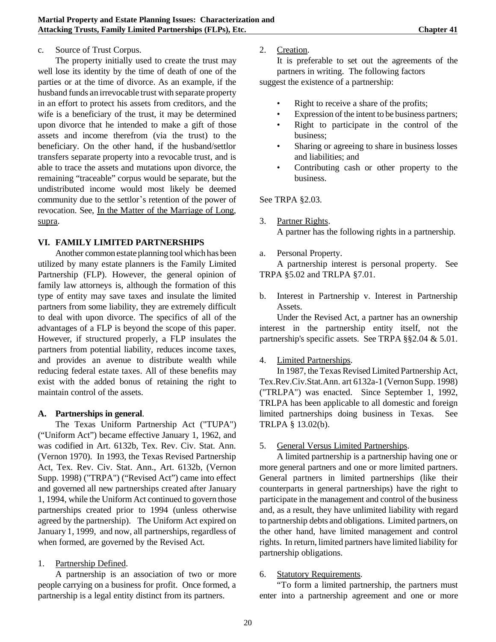### c. Source of Trust Corpus.

The property initially used to create the trust may well lose its identity by the time of death of one of the parties or at the time of divorce. As an example, if the husband funds an irrevocable trust with separate property in an effort to protect his assets from creditors, and the wife is a beneficiary of the trust, it may be determined upon divorce that he intended to make a gift of those assets and income therefrom (via the trust) to the beneficiary. On the other hand, if the husband/settlor transfers separate property into a revocable trust, and is able to trace the assets and mutations upon divorce, the remaining "traceable" corpus would be separate, but the undistributed income would most likely be deemed community due to the settlor's retention of the power of revocation. See, In the Matter of the Marriage of Long*,* supra.

### **VI. FAMILY LIMITED PARTNERSHIPS**

Another common estate planning tool which has been utilized by many estate planners is the Family Limited Partnership (FLP). However, the general opinion of family law attorneys is, although the formation of this type of entity may save taxes and insulate the limited partners from some liability, they are extremely difficult to deal with upon divorce. The specifics of all of the advantages of a FLP is beyond the scope of this paper. However, if structured properly, a FLP insulates the partners from potential liability, reduces income taxes, and provides an avenue to distribute wealth while reducing federal estate taxes. All of these benefits may exist with the added bonus of retaining the right to maintain control of the assets.

### **A. Partnerships in general**.

The Texas Uniform Partnership Act ("TUPA") ("Uniform Act") became effective January 1, 1962, and was codified in Art. 6132b, Tex. Rev. Civ. Stat. Ann. (Vernon 1970). In 1993, the Texas Revised Partnership Act, Tex. Rev. Civ. Stat. Ann., Art. 6132b, (Vernon Supp. 1998) ("TRPA") ("Revised Act") came into effect and governed all new partnerships created after January 1, 1994, while the Uniform Act continued to govern those partnerships created prior to 1994 (unless otherwise agreed by the partnership). The Uniform Act expired on January 1, 1999, and now, all partnerships, regardless of when formed, are governed by the Revised Act.

### 1. Partnership Defined.

A partnership is an association of two or more people carrying on a business for profit. Once formed, a partnership is a legal entity distinct from its partners.

### 2. Creation.

It is preferable to set out the agreements of the partners in writing. The following factors suggest the existence of a partnership:

• Right to receive a share of the profits;

- Expression of the intent to be business partners;
- Right to participate in the control of the business;
- Sharing or agreeing to share in business losses and liabilities; and
- Contributing cash or other property to the business.

See TRPA §2.03.

- 3. Partner Rights. A partner has the following rights in a partnership.
- a. Personal Property.

A partnership interest is personal property. See TRPA §5.02 and TRLPA §7.01.

b. Interest in Partnership v. Interest in Partnership Assets.

Under the Revised Act, a partner has an ownership interest in the partnership entity itself, not the partnership's specific assets. See TRPA §§2.04 & 5.01.

### 4. Limited Partnerships.

In 1987, the Texas Revised Limited Partnership Act, Tex.Rev.Civ.Stat.Ann. art 6132a-1 (Vernon Supp. 1998) ("TRLPA") was enacted. Since September 1, 1992, TRLPA has been applicable to all domestic and foreign limited partnerships doing business in Texas. See TRLPA § 13.02(b).

### 5. General Versus Limited Partnerships.

A limited partnership is a partnership having one or more general partners and one or more limited partners. General partners in limited partnerships (like their counterparts in general partnerships) have the right to participate in the management and control of the business and, as a result, they have unlimited liability with regard to partnership debts and obligations. Limited partners, on the other hand, have limited management and control rights. In return, limited partners have limited liability for partnership obligations.

### 6. Statutory Requirements.

"To form a limited partnership, the partners must enter into a partnership agreement and one or more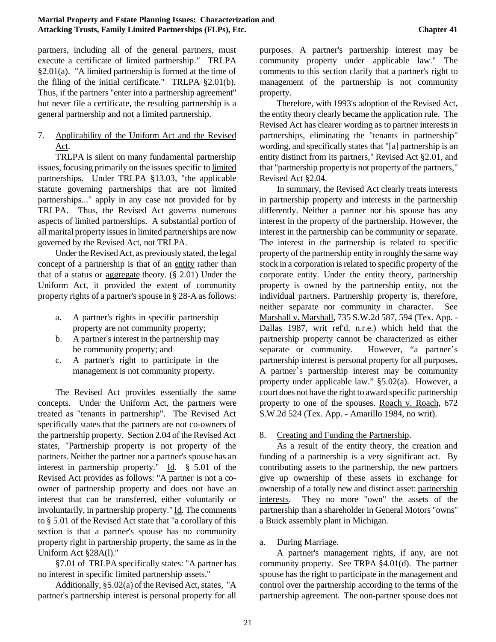partners, including all of the general partners, must execute a certificate of limited partnership." TRLPA §2.01(a). "A limited partnership is formed at the time of the filing of the initial certificate." TRLPA §2.01(b). Thus, if the partners "enter into a partnership agreement" but never file a certificate, the resulting partnership is a general partnership and not a limited partnership.

## 7. Applicability of the Uniform Act and the Revised Act.

TRLPA is silent on many fundamental partnership issues, focusing primarily on the issues specific to limited partnerships. Under TRLPA §13.03, "the applicable statute governing partnerships that are not limited partnerships..." apply in any case not provided for by TRLPA. Thus, the Revised Act governs numerous aspects of limited partnerships. A substantial portion of all marital property issues in limited partnerships are now governed by the Revised Act, not TRLPA.

Under the Revised Act, as previously stated, the legal concept of a partnership is that of an entity rather than that of a status or aggregate theory. (§ 2.01) Under the Uniform Act, it provided the extent of community property rights of a partner's spouse in § 28-A as follows:

- a. A partner's rights in specific partnership property are not community property;
- b. A partner's interest in the partnership may be community property; and
- c. A partner's right to participate in the management is not community property.

The Revised Act provides essentially the same concepts. Under the Uniform Act, the partners were treated as "tenants in partnership". The Revised Act specifically states that the partners are not co-owners of the partnership property. Section 2.04 of the Revised Act states, "Partnership property is not property of the partners. Neither the partner nor a partner's spouse has an interest in partnership property." Id.  $\S$  5.01 of the Revised Act provides as follows: "A partner is not a coowner of partnership property and does not have an interest that can be transferred, either voluntarily or involuntarily, in partnership property." Id. The comments to § 5.01 of the Revised Act state that "a corollary of this section is that a partner's spouse has no community property right in partnership property, the same as in the Uniform Act §28A(l)."

§7.01 of TRLPA specifically states: "A partner has no interest in specific limited partnership assets."

Additionally,  $\S 5.02(a)$  of the Revised Act, states, "A partner's partnership interest is personal property for all purposes. A partner's partnership interest may be community property under applicable law." The comments to this section clarify that a partner's right to management of the partnership is not community property.

Therefore, with 1993's adoption of the Revised Act, the entity theory clearly became the application rule. The Revised Act has clearer wording as to partner interests in partnerships, eliminating the "tenants in partnership" wording, and specifically states that "[a] partnership is an entity distinct from its partners," Revised Act §2.01, and that "partnership property is not property of the partners," Revised Act §2.04.

In summary, the Revised Act clearly treats interests in partnership property and interests in the partnership differently. Neither a partner nor his spouse has any interest in the property of the partnership. However, the interest in the partnership can be community or separate. The interest in the partnership is related to specific property of the partnership entity in roughly the same way stock in a corporation is related to specific property of the corporate entity. Under the entity theory, partnership property is owned by the partnership entity, not the individual partners. Partnership property is, therefore, neither separate nor community in character. See Marshall v. Marshall, 735 S.W.2d 587, 594 (Tex. App. - Dallas 1987, writ ref'd. n.r.e.) which held that the partnership property cannot be characterized as either separate or community. However, "a partner's partnership interest is personal property for all purposes. A partner's partnership interest may be community property under applicable law." §5.02(a). However, a court does not have the right to award specific partnership property to one of the spouses. Roach v. Roach*,* 672 S.W.2d 524 (Tex. App. - Amarillo 1984, no writ).

### 8. Creating and Funding the Partnership.

As a result of the entity theory, the creation and funding of a partnership is a very significant act. By contributing assets to the partnership, the new partners give up ownership of these assets in exchange for ownership of a totally new and distinct asset: partnership interests. They no more "own" the assets of the partnership than a shareholder in General Motors "owns" a Buick assembly plant in Michigan.

# a. During Marriage.

A partner's management rights, if any, are not community property. See TRPA §4.01(d). The partner spouse has the right to participate in the management and control over the partnership according to the terms of the partnership agreement. The non-partner spouse does not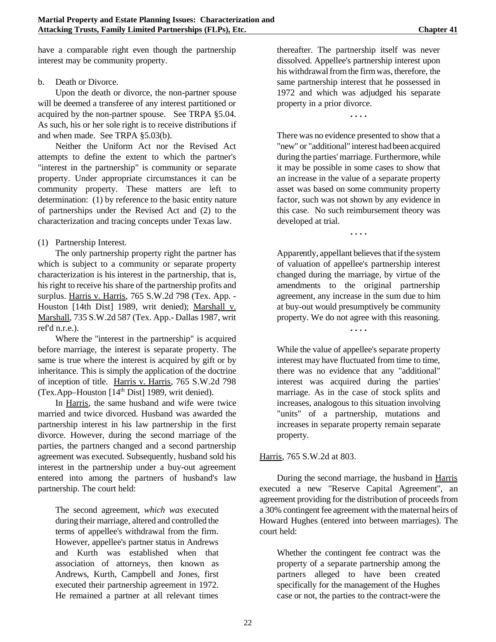have a comparable right even though the partnership interest may be community property.

### b. Death or Divorce.

Upon the death or divorce, the non-partner spouse will be deemed a transferee of any interest partitioned or acquired by the non-partner spouse. See TRPA §5.04. As such, his or her sole right is to receive distributions if and when made. See TRPA §5.03(b).

Neither the Uniform Act nor the Revised Act attempts to define the extent to which the partner's "interest in the partnership" is community or separate property. Under appropriate circumstances it can be community property. These matters are left to determination: (1) by reference to the basic entity nature of partnerships under the Revised Act and (2) to the characterization and tracing concepts under Texas law.

### (1) Partnership Interest.

The only partnership property right the partner has which is subject to a community or separate property characterization is his interest in the partnership, that is, his right to receive his share of the partnership profits and surplus. Harris v. Harris, 765 S.W.2d 798 (Tex. App. - Houston [14th Dist] 1989, writ denied); Marshall v. Marshall, 735 S.W.2d 587 (Tex. App.- Dallas 1987, writ ref'd n.r.e.).

Where the "interest in the partnership" is acquired before marriage, the interest is separate property. The same is true where the interest is acquired by gift or by inheritance. This is simply the application of the doctrine of inception of title. Harris v. Harris, 765 S.W.2d 798 (Tex.App–Houston  $[14<sup>th</sup> Dist]$  1989, writ denied).

In Harris, the same husband and wife were twice married and twice divorced. Husband was awarded the partnership interest in his law partnership in the first divorce. However, during the second marriage of the parties, the partners changed and a second partnership agreement was executed. Subsequently, husband sold his interest in the partnership under a buy-out agreement entered into among the partners of husband's law partnership. The court held:

The second agreement, *which was* executed during their marriage, altered and controlled the terms of appellee's withdrawal from the firm. However, appellee's partner status in Andrews and Kurth was established when that association of attorneys, then known as Andrews, Kurth, Campbell and Jones, first executed their partnership agreement in 1972. He remained a partner at all relevant times

thereafter. The partnership itself was never dissolved. Appellee's partnership interest upon his withdrawal from the firm was, therefore, the same partnership interest that he possessed in 1972 and which was adjudged his separate property in a prior divorce.

**. . . .**

There was no evidence presented to show that a "new" or "additional" interest hadbeen acquired during the parties'marriage. Furthermore, while it may be possible in some cases to show that an increase in the value of a separate property asset was based on some community property factor, such was not shown by any evidence in this case. No such reimbursement theory was developed at trial.

**. . . .**

Apparently, appellant believes that if the system of valuation of appellee's partnership interest changed during the marriage, by virtue of the amendments to the original partnership agreement, any increase in the sum due to him at buy-out would presumptively be community property. We do not agree with this reasoning.

**. . . .**

While the value of appellee's separate property interest may have fluctuated from time to time, there was no evidence that any "additional" interest was acquired during the parties' marriage. As in the case of stock splits and increases, analogous to this situation involving "units" of a partnership, mutations and increases in separate property remain separate property.

Harris, 765 S.W.2d at 803.

During the second marriage, the husband in Harris executed a new "Reserve Capital Agreement", an agreement providing for the distribution of proceeds from a 30% contingent fee agreement with the maternal heirs of Howard Hughes (entered into between marriages). The court held:

Whether the contingent fee contract was the property of a separate partnership among the partners alleged to have been created specifically for the management of the Hughes case or not, the parties to the contract-were the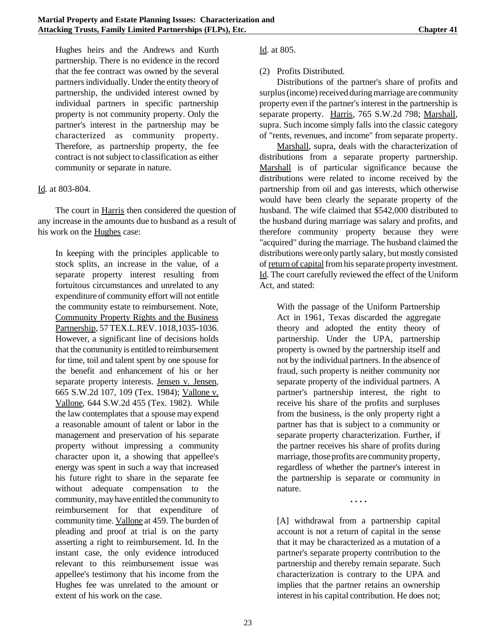Hughes heirs and the Andrews and Kurth partnership. There is no evidence in the record that the fee contract was owned by the several partnersindividually. Under the entity theoryof partnership, the undivided interest owned by individual partners in specific partnership property is not community property. Only the partner's interest in the partnership may be characterized as community property. Therefore, as partnership property, the fee contract is not subject to classification as either community or separate in nature.

#### Id. at 803-804.

The court in Harris then considered the question of any increase in the amounts due to husband as a result of his work on the Hughes case:

In keeping with the principles applicable to stock splits, an increase in the value, of a separate property interest resulting from fortuitous circumstances and unrelated to any expenditure of community effort will not entitle the community estate to reimbursement. Note, Community Property Rights and the Business Partnership, 57 TEX.L.REV. 1018,1035-1036. However, a significant line of decisions holds that the community is entitled to reimbursement for time, toil and talent spent by one spouse for the benefit and enhancement of his or her separate property interests. Jensen v. Jensen, 665 S.W.2d 107, 109 (Tex. 1984); Vallone v. Vallone, 644 S.W.2d 455 (Tex. 1982). While the law contemplates that a spousemay expend a reasonable amount of talent or labor in the management and preservation of his separate property without impressing a community character upon it, a showing that appellee's energy was spent in such a way that increased his future right to share in the separate fee without adequate compensation to the community, mayhave entitled the communityto reimbursement for that expenditure of community time. Vallone at 459. The burden of pleading and proof at trial is on the party asserting a right to reimbursement. Id. In the instant case, the only evidence introduced relevant to this reimbursement issue was appellee's testimony that his income from the Hughes fee was unrelated to the amount or extent of his work on the case.

Id. at 805.

### (2) Profits Distributed.

Distributions of the partner's share of profits and surplus (income) received during marriage are community property even if the partner's interest in the partnership is separate property. Harris, 765 S.W.2d 798; Marshall, supra. Such income simply falls into the classic category of "rents, revenues, and income" from separate property.

Marshall, supra, deals with the characterization of distributions from a separate property partnership. Marshall is of particular significance because the distributions were related to income received by the partnership from oil and gas interests, which otherwise would have been clearly the separate property of the husband. The wife claimed that \$542,000 distributed to the husband during marriage was salary and profits, and therefore community property because they were "acquired" during the marriage. The husband claimed the distributions were only partly salary, but mostly consisted of return of capital from his separate property investment. Id. The court carefully reviewed the effect of the Uniform Act, and stated:

With the passage of the Uniform Partnership Act in 1961, Texas discarded the aggregate theory and adopted the entity theory of partnership. Under the UPA, partnership property is owned by the partnership itself and not by the individual partners. In the absence of fraud, such property is neither community nor separate property of the individual partners. A partner's partnership interest, the right to receive his share of the profits and surpluses from the business, is the only property right a partner has that is subject to a community or separate property characterization. Further, if the partner receives his share of profits during marriage, thoseprofits are community property, regardless of whether the partner's interest in the partnership is separate or community in nature.

**. . . .**

[A] withdrawal from a partnership capital account is not a return of capital in the sense that it may be characterized as a mutation of a partner's separate property contribution to the partnership and thereby remain separate. Such characterization is contrary to the UPA and implies that the partner retains an ownership interest in his capital contribution. He does not;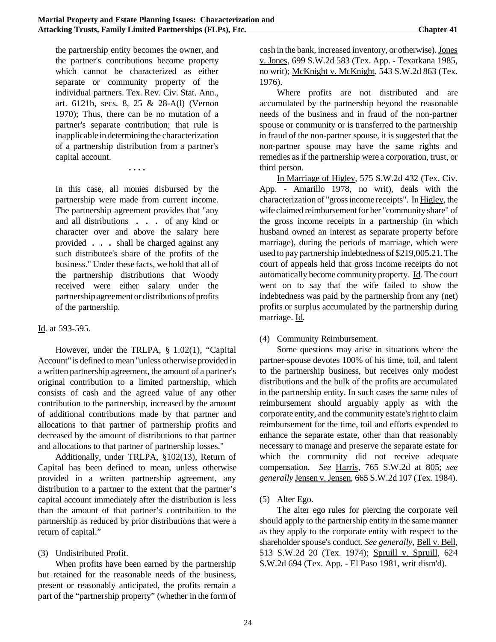the partnership entity becomes the owner, and the partner's contributions become property which cannot be characterized as either separate or community property of the individual partners. Tex. Rev. Civ. Stat. Ann., art. 6121b, secs. 8, 25 & 28-A(l) (Vernon 1970); Thus, there can be no mutation of a partner's separate contribution; that rule is inapplicable in determining the characterization of a partnership distribution from a partner's capital account.

**. . . .**

In this case, all monies disbursed by the partnership were made from current income. The partnership agreement provides that "any and all distributions **. . .** of any kind or character over and above the salary here provided **. . .** shall be charged against any such distributee's share of the profits of the business." Under these facts, we hold that all of the partnership distributions that Woody received were either salary under the partnership agreement or distributions of profits of the partnership.

#### Id. at 593-595.

However, under the TRLPA, § 1.02(1), "Capital Account" is defined to mean "unless otherwise provided in a written partnership agreement, the amount of a partner's original contribution to a limited partnership, which consists of cash and the agreed value of any other contribution to the partnership, increased by the amount of additional contributions made by that partner and allocations to that partner of partnership profits and decreased by the amount of distributions to that partner and allocations to that partner of partnership losses."

Additionally, under TRLPA, §102(13), Return of Capital has been defined to mean, unless otherwise provided in a written partnership agreement, any distribution to a partner to the extent that the partner's capital account immediately after the distribution is less than the amount of that partner's contribution to the partnership as reduced by prior distributions that were a return of capital."

#### (3) Undistributed Profit.

When profits have been earned by the partnership but retained for the reasonable needs of the business, present or reasonably anticipated, the profits remain a part of the "partnership property" (whether in the formof cash in the bank, increased inventory, or otherwise).Jones v. Jones, 699 S.W.2d 583 (Tex. App. - Texarkana 1985, no writ); McKnight v. McKnight, 543 S.W.2d 863 (Tex. 1976).

Where profits are not distributed and are accumulated by the partnership beyond the reasonable needs of the business and in fraud of the non-partner spouse or community or is transferred to the partnership in fraud of the non-partner spouse, it is suggested that the non-partner spouse may have the same rights and remedies as if the partnership were a corporation, trust, or third person.

In Marriage of Higley, 575 S.W.2d 432 (Tex. Civ. App. - Amarillo 1978, no writ), deals with the characterization of "gross income receipts". In Higley, the wife claimed reimbursement for her "community share" of the gross income receipts in a partnership (in which husband owned an interest as separate property before marriage), during the periods of marriage, which were used to pay partnership indebtedness of \$219,005.21. The court of appeals held that gross income receipts do not automatically become community property. Id. The court went on to say that the wife failed to show the indebtedness was paid by the partnership from any (net) profits or surplus accumulated by the partnership during marriage. Id.

(4) Community Reimbursement.

Some questions may arise in situations where the partner-spouse devotes 100% of his time, toil, and talent to the partnership business, but receives only modest distributions and the bulk of the profits are accumulated in the partnership entity. In such cases the same rules of reimbursement should arguably apply as with the corporate entity, and the community estate's right to claim reimbursement for the time, toil and efforts expended to enhance the separate estate, other than that reasonably necessary to manage and preserve the separate estate for which the community did not receive adequate compensation. *See* Harris, 765 S.W.2d at 805; *see generally* Jensen v. Jensen, 665 S.W.2d 107 (Tex. 1984).

(5) Alter Ego.

The alter ego rules for piercing the corporate veil should apply to the partnership entity in the same manner as they apply to the corporate entity with respect to the shareholder spouse's conduct. *See generally,* Bell v. Bell, 513 S.W.2d 20 (Tex. 1974); Spruill v. Spruill, 624 S.W.2d 694 (Tex. App. - El Paso 1981, writ dism'd).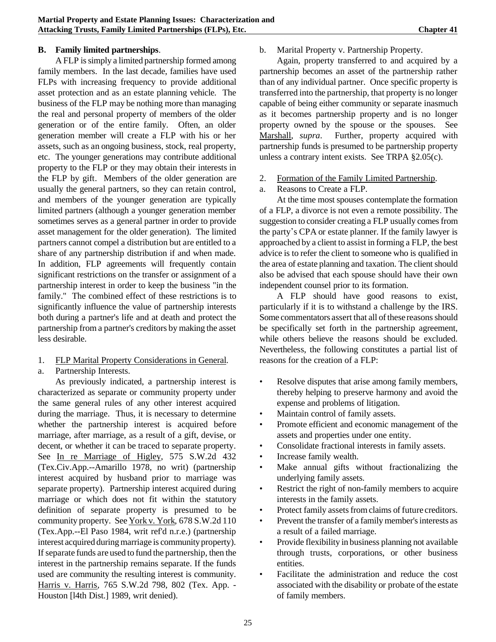### **B. Family limited partnerships**.

A FLP is simply a limited partnership formed among family members. In the last decade, families have used FLPs with increasing frequency to provide additional asset protection and as an estate planning vehicle. The business of the FLP may be nothing more than managing the real and personal property of members of the older generation or of the entire family. Often, an older generation member will create a FLP with his or her assets, such as an ongoing business, stock, real property, etc. The younger generations may contribute additional property to the FLP or they may obtain their interests in the FLP by gift. Members of the older generation are usually the general partners, so they can retain control, and members of the younger generation are typically limited partners (although a younger generation member sometimes serves as a general partner in order to provide asset management for the older generation). The limited partners cannot compel a distribution but are entitled to a share of any partnership distribution if and when made. In addition, FLP agreements will frequently contain significant restrictions on the transfer or assignment of a partnership interest in order to keep the business "in the family." The combined effect of these restrictions is to significantly influence the value of partnership interests both during a partner's life and at death and protect the partnership from a partner's creditors by making the asset less desirable.

1. FLP Marital Property Considerations in General.

### a. Partnership Interests.

As previously indicated, a partnership interest is characterized as separate or community property under the same general rules of any other interest acquired during the marriage. Thus, it is necessary to determine whether the partnership interest is acquired before marriage, after marriage, as a result of a gift, devise, or decent, or whether it can be traced to separate property. See In re Marriage of Higley, 575 S.W.2d 432 (Tex.Civ.App.--Amarillo 1978, no writ) (partnership interest acquired by husband prior to marriage was separate property). Partnership interest acquired during marriage or which does not fit within the statutory definition of separate property is presumed to be community property. See York v. York, 678 S.W.2d 110 (Tex.App.--El Paso 1984, writ ref'd n.r.e.) (partnership interest acquired during marriage is community property). If separate funds are used to fund the partnership, then the interest in the partnership remains separate. If the funds used are community the resulting interest is community. Harris v. Harris*,* 765 S.W.2d 798, 802 (Tex. App. - Houston [l4th Dist.] 1989, writ denied).

### b. Marital Property v. Partnership Property.

Again, property transferred to and acquired by a partnership becomes an asset of the partnership rather than of any individual partner. Once specific property is transferred into the partnership, that property is no longer capable of being either community or separate inasmuch as it becomes partnership property and is no longer property owned by the spouse or the spouses. See Marshall, *supra*. Further, property acquired with partnership funds is presumed to be partnership property unless a contrary intent exists. See TRPA §2.05(c).

- 2. Formation of the Family Limited Partnership.
- a. Reasons to Create a FLP.

At the time most spouses contemplate the formation of a FLP, a divorce is not even a remote possibility. The suggestion to consider creating a FLP usually comes from the party's CPA or estate planner. If the family lawyer is approached by a client to assist in forming a FLP, the best advice is to refer the client to someone who is qualified in the area of estate planning and taxation. The client should also be advised that each spouse should have their own independent counsel prior to its formation.

A FLP should have good reasons to exist, particularly if it is to withstand a challenge by the IRS. Some commentators assert that all of these reasons should be specifically set forth in the partnership agreement, while others believe the reasons should be excluded. Nevertheless, the following constitutes a partial list of reasons for the creation of a FLP:

- Resolve disputes that arise among family members, thereby helping to preserve harmony and avoid the expense and problems of litigation.
- Maintain control of family assets.
- Promote efficient and economic management of the assets and properties under one entity.
- Consolidate fractional interests in family assets.
- Increase family wealth.
- Make annual gifts without fractionalizing the underlying family assets.
- Restrict the right of non-family members to acquire interests in the family assets.
- Protect family assets from claims of future creditors.
- Prevent the transfer of a family member's interests as a result of a failed marriage.
- Provide flexibility in business planning not available through trusts, corporations, or other business entities.
- Facilitate the administration and reduce the cost associated with the disability or probate of the estate of family members.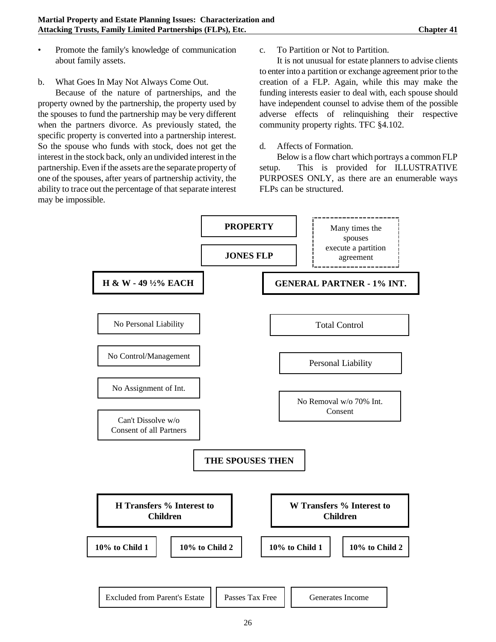- Promote the family's knowledge of communication about family assets.
- b. What Goes In May Not Always Come Out.

Because of the nature of partnerships, and the property owned by the partnership, the property used by the spouses to fund the partnership may be very different when the partners divorce. As previously stated, the specific property is converted into a partnership interest. So the spouse who funds with stock, does not get the interest in the stock back, only an undivided interest in the partnership. Even if the assets are the separate property of one of the spouses, after years of partnership activity, the ability to trace out the percentage of that separate interest may be impossible.

c. To Partition or Not to Partition.

It is not unusual for estate planners to advise clients to enter into a partition or exchange agreement prior to the creation of a FLP. Again, while this may make the funding interests easier to deal with, each spouse should have independent counsel to advise them of the possible adverse effects of relinquishing their respective community property rights. TFC §4.102.

### d. Affects of Formation.

Below is a flow chart which portrays a common FLP setup. This is provided for ILLUSTRATIVE PURPOSES ONLY, as there are an enumerable ways FLPs can be structured.

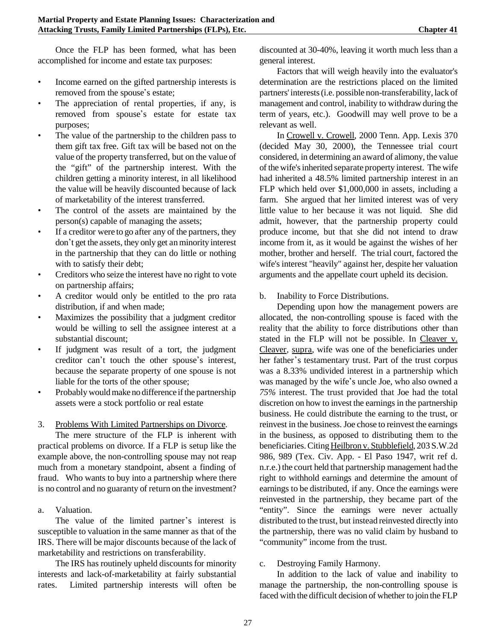Once the FLP has been formed, what has been accomplished for income and estate tax purposes:

- Income earned on the gifted partnership interests is removed from the spouse's estate;
- The appreciation of rental properties, if any, is removed from spouse's estate for estate tax purposes;
- The value of the partnership to the children pass to them gift tax free. Gift tax will be based not on the value of the property transferred, but on the value of the "gift" of the partnership interest. With the children getting a minority interest, in all likelihood the value will be heavily discounted because of lack of marketability of the interest transferred.
- The control of the assets are maintained by the person(s) capable of managing the assets;
- If a creditor were to go after any of the partners, they don't get the assets, they only get an minority interest in the partnership that they can do little or nothing with to satisfy their debt;
- Creditors who seize the interest have no right to vote on partnership affairs;
- A creditor would only be entitled to the pro rata distribution, if and when made;
- Maximizes the possibility that a judgment creditor would be willing to sell the assignee interest at a substantial discount;
- If judgment was result of a tort, the judgment creditor can't touch the other spouse's interest, because the separate property of one spouse is not liable for the torts of the other spouse;
- Probably would make no difference if the partnership assets were a stock portfolio or real estate

3. Problems With Limited Partnerships on Divorce.

The mere structure of the FLP is inherent with practical problems on divorce. If a FLP is setup like the example above, the non-controlling spouse may not reap much from a monetary standpoint, absent a finding of fraud. Who wants to buy into a partnership where there is no control and no guaranty of return on the investment?

a. Valuation.

The value of the limited partner's interest is susceptible to valuation in the same manner as that of the IRS. There will be major discounts because of the lack of marketability and restrictions on transferability.

The IRS has routinely upheld discounts for minority interests and lack-of-marketability at fairly substantial rates. Limited partnership interests will often be

discounted at 30-40%, leaving it worth much less than a general interest.

Factors that will weigh heavily into the evaluator's determination are the restrictions placed on the limited partners' interests (i.e. possible non-transferability, lack of management and control, inability to withdraw during the term of years, etc.). Goodwill may well prove to be a relevant as well.

In Crowell v. Crowell, 2000 Tenn. App. Lexis 370 (decided May 30, 2000), the Tennessee trial court considered, in determining an award of alimony, the value of the wife'sinherited separate property interest. The wife had inherited a 48.5% limited partnership interest in an FLP which held over \$1,000,000 in assets, including a farm. She argued that her limited interest was of very little value to her because it was not liquid. She did admit, however, that the partnership property could produce income, but that she did not intend to draw income from it, as it would be against the wishes of her mother, brother and herself. The trial court, factored the wife's interest "heavily" against her, despite her valuation arguments and the appellate court upheld its decision.

b. Inability to Force Distributions.

Depending upon how the management powers are allocated, the non-controlling spouse is faced with the reality that the ability to force distributions other than stated in the FLP will not be possible. In Cleaver v. Cleaver*,* supra, wife was one of the beneficiaries under her father's testamentary trust. Part of the trust corpus was a 8.33% undivided interest in a partnership which was managed by the wife's uncle Joe, who also owned a *75%* interest. The trust provided that Joe had the total discretion on how to invest the earnings in the partnership business. He could distribute the earning to the trust, or reinvest in the business.Joe chose to reinvest the earnings in the business, as opposed to distributing them to the beneficiaries. Citing Heilbron v. Stubblefield, 203 S.W.2d 986, 989 (Tex. Civ. App. - El Paso 1947, writ ref d. n.r.e.) the court held that partnership management had the right to withhold earnings and determine the amount of earnings to be distributed, if any. Once the earnings were reinvested in the partnership, they became part of the "entity". Since the earnings were never actually distributed to the trust, but instead reinvested directly into the partnership, there was no valid claim by husband to "community" income from the trust.

#### c. Destroying Family Harmony.

In addition to the lack of value and inability to manage the partnership, the non-controlling spouse is faced with the difficult decision of whether to join the FLP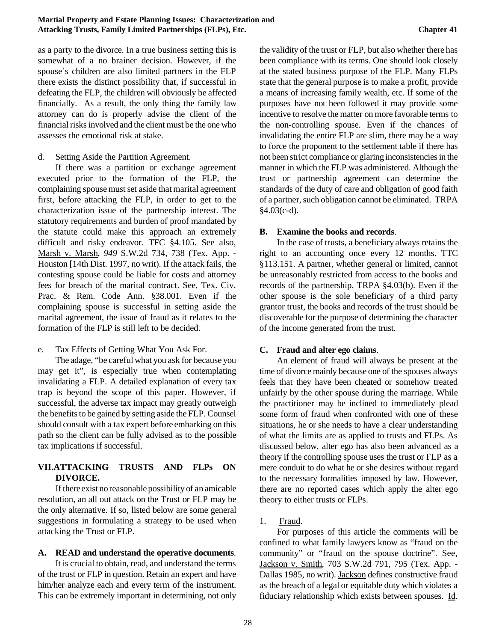as a party to the divorce. In a true business setting this is somewhat of a no brainer decision. However, if the spouse's children are also limited partners in the FLP there exists the distinct possibility that, if successful in defeating the FLP, the children will obviously be affected financially. As a result, the only thing the family law attorney can do is properly advise the client of the financial risks involved and the client must be the one who assesses the emotional risk at stake.

#### d. Setting Aside the Partition Agreement.

If there was a partition or exchange agreement executed prior to the formation of the FLP, the complaining spouse must set aside that marital agreement first, before attacking the FLP, in order to get to the characterization issue of the partnership interest. The statutory requirements and burden of proof mandated by the statute could make this approach an extremely difficult and risky endeavor. TFC §4.105. See also, Marsh v. Marsh*, 949* S.W.2d 734, 738 (Tex. App. - Houston [14th Dist. 1997, no writ). If the attack fails, the contesting spouse could be liable for costs and attorney fees for breach of the marital contract. See, Tex. Civ. Prac. & Rem. Code Ann. §38.001. Even if the complaining spouse is successful in setting aside the marital agreement, the issue of fraud as it relates to the formation of the FLP is still left to be decided.

#### e. Tax Effects of Getting What You Ask For.

The adage, "be careful what you ask for because you may get it", is especially true when contemplating invalidating a FLP. A detailed explanation of every tax trap is beyond the scope of this paper. However, if successful, the adverse tax impact may greatly outweigh the benefits to be gained by setting aside the FLP. Counsel should consult with a tax expert before embarking on this path so the client can be fully advised as to the possible tax implications if successful.

### **VII.ATTACKING TRUSTS AND FLPs ON DIVORCE.**

If there exist no reasonable possibility of an amicable resolution, an all out attack on the Trust or FLP may be the only alternative. If so, listed below are some general suggestions in formulating a strategy to be used when attacking the Trust or FLP.

#### **A. READ and understand the operative documents**.

It is crucial to obtain, read, and understand the terms of the trust or FLP in question. Retain an expert and have him/her analyze each and every term of the instrument. This can be extremely important in determining, not only the validity of the trust or FLP, but also whether there has been compliance with its terms. One should look closely at the stated business purpose of the FLP. Many FLPs state that the general purpose is to make a profit, provide a means of increasing family wealth, etc. If some of the purposes have not been followed it may provide some incentive to resolve the matter on more favorable terms to the non-controlling spouse. Even if the chances of invalidating the entire FLP are slim, there may be a way to force the proponent to the settlement table if there has not been strict compliance or glaring inconsistencies in the manner in which the FLP was administered. Although the trust or partnership agreement can determine the standards of the duty of care and obligation of good faith of a partner, such obligation cannot be eliminated. TRPA §4.03(c-d).

### **B. Examine the books and records**.

In the case of trusts, a beneficiary always retains the right to an accounting once every 12 months. TTC §113.151. A partner, whether general or limited, cannot be unreasonably restricted from access to the books and records of the partnership. TRPA §4.03(b). Even if the other spouse is the sole beneficiary of a third party grantor trust, the books and records of the trust should be discoverable for the purpose of determining the character of the income generated from the trust.

#### **C. Fraud and alter ego claims**.

An element of fraud will always be present at the time of divorce mainly because one of the spouses always feels that they have been cheated or somehow treated unfairly by the other spouse during the marriage. While the practitioner may be inclined to immediately plead some form of fraud when confronted with one of these situations, he or she needs to have a clear understanding of what the limits are as applied to trusts and FLPs. As discussed below, alter ego has also been advanced as a theory if the controlling spouse uses the trust or FLP as a mere conduit to do what he or she desires without regard to the necessary formalities imposed by law. However, there are no reported cases which apply the alter ego theory to either trusts or FLPs.

### 1. Fraud.

For purposes of this article the comments will be confined to what family lawyers know as "fraud on the community" or "fraud on the spouse doctrine". See, Jackson v. Smith*,* 703 S.W.2d 791, 795 (Tex. App. - Dallas 1985, no writ). Jackson defines constructive fraud as the breach of a legal or equitable duty which violates a fiduciary relationship which exists between spouses. Id.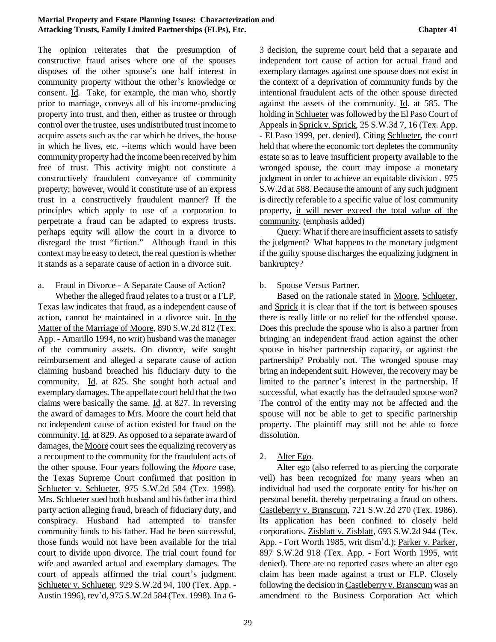The opinion reiterates that the presumption of constructive fraud arises where one of the spouses disposes of the other spouse's one half interest in community property without the other's knowledge or consent. Id*.* Take, for example, the man who, shortly prior to marriage, conveys all of his income-producing property into trust, and then, either as trustee or through control over the trustee, uses undistributed trust income to acquire assets such as the car which he drives, the house in which he lives, etc. --items which would have been community property had the income been received by him free of trust. This activity might not constitute a constructively fraudulent conveyance of community property; however, would it constitute use of an express trust in a constructively fraudulent manner? If the principles which apply to use of a corporation to perpetrate a fraud can be adapted to express trusts, perhaps equity will allow the court in a divorce to disregard the trust "fiction." Although fraud in this context may be easy to detect, the real question is whether it stands as a separate cause of action in a divorce suit.

a. Fraud in Divorce - A Separate Cause of Action?

Whether the alleged fraud relates to a trust or a FLP, Texas law indicates that fraud, as a independent cause of action, cannot be maintained in a divorce suit. In the Matter of the Marriage of Moore, 890 S.W.2d 812 (Tex. App. - Amarillo 1994, no writ) husband was the manager of the community assets. On divorce, wife sought reimbursement and alleged a separate cause of action claiming husband breached his fiduciary duty to the community. Id. at 825. She sought both actual and exemplary damages. The appellate court held that the two claims were basically the same. Id. at 827. In reversing the award of damages to Mrs. Moore the court held that no independent cause of action existed for fraud on the community. Id*.* at 829. As opposed to a separate award of damages, the Moore court sees the equalizing recovery as a recoupment to the community for the fraudulent acts of the other spouse. Four years following the *Moore* case, the Texas Supreme Court confirmed that position in Schlueter v. Schlueter*,* 975 S.W.2d 584 (Tex. 1998). Mrs. Schlueter sued both husband and his father in a third party action alleging fraud, breach of fiduciary duty, and conspiracy. Husband had attempted to transfer community funds to his father. Had he been successful, those funds would not have been available for the trial court to divide upon divorce. The trial court found for wife and awarded actual and exemplary damages. The court of appeals affirmed the trial court's judgment. Schlueter v. Schlueter, 929 S.W.2d 94, 100 (Tex. App. - Austin 1996), rev'd, 975 S.W.2d 584 (Tex. 1998). In a 6-

3 decision, the supreme court held that a separate and independent tort cause of action for actual fraud and exemplary damages against one spouse does not exist in the context of a deprivation of community funds by the intentional fraudulent acts of the other spouse directed against the assets of the community. Id. at 585. The holding in Schlueter was followed by the El Paso Court of Appeals in Sprick v. Sprick, 25 S.W.3d 7, 16 (Tex. App. - El Paso 1999, pet. denied). Citing Schlueter, the court held that where the economic tort depletes the community estate so as to leave insufficient property available to the wronged spouse, the court may impose a monetary judgment in order to achieve an equitable division . 975 S.W.2d at 588. Because the amount of any such judgment is directly referable to a specific value of lost community property, it will never exceed the total value of the community. (emphasis added)

Query: What if there are insufficient assets to satisfy the judgment? What happens to the monetary judgment if the guilty spouse discharges the equalizing judgment in bankruptcy?

### b. Spouse Versus Partner.

Based on the rationale stated in Moore, Schlueter, and Sprick it is clear that if the tort is between spouses there is really little or no relief for the offended spouse. Does this preclude the spouse who is also a partner from bringing an independent fraud action against the other spouse in his/her partnership capacity, or against the partnership? Probably not. The wronged spouse may bring an independent suit. However, the recovery may be limited to the partner's interest in the partnership. If successful, what exactly has the defrauded spouse won? The control of the entity may not be affected and the spouse will not be able to get to specific partnership property. The plaintiff may still not be able to force dissolution.

### 2. Alter Ego.

Alter ego (also referred to as piercing the corporate veil) has been recognized for many years when an individual had used the corporate entity for his/her on personal benefit, thereby perpetrating a fraud on others. Castleberry v. Branscum*,* 721 S.W.2d 270 (Tex. 1986). Its application has been confined to closely held corporations. Zisblatt v. Zisblatt*,* 693 S.W.2d 944 (Tex. App. - Fort Worth 1985, writ dism\*d.); Parker v. Parker*,* 897 S.W.2d 918 (Tex. App. - Fort Worth 1995, writ denied). There are no reported cases where an alter ego claim has been made against a trust or FLP. Closely following the decision in Castleberry v. Branscumwas an amendment to the Business Corporation Act which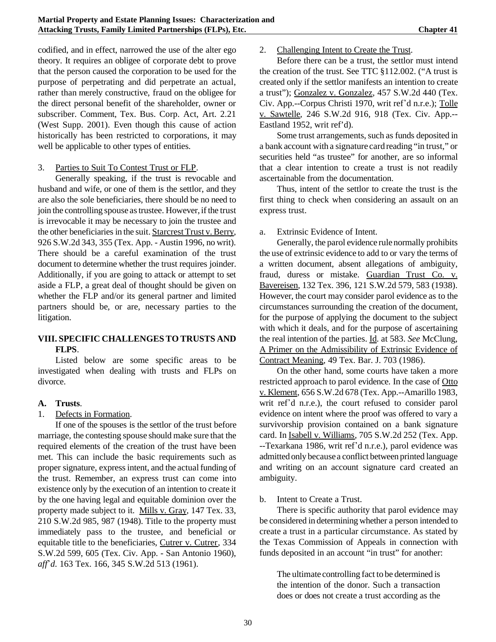codified, and in effect, narrowed the use of the alter ego theory. It requires an obligee of corporate debt to prove that the person caused the corporation to be used for the purpose of perpetrating and did perpetrate an actual, rather than merely constructive, fraud on the obligee for the direct personal benefit of the shareholder, owner or subscriber. Comment, Tex. Bus. Corp. Act, Art. 2.21 (West Supp. 2001). Even though this cause of action historically has been restricted to corporations, it may well be applicable to other types of entities.

### 3. Parties to Suit To Contest Trust or FLP.

Generally speaking, if the trust is revocable and husband and wife, or one of them is the settlor, and they are also the sole beneficiaries, there should be no need to join the controlling spouse as trustee. However, if the trust is irrevocable it may be necessary to join the trustee and the other beneficiaries in the suit. Starcrest Trust v. Berry*,* 926 S.W.2d 343, 355 (Tex. App. - Austin 1996, no writ). There should be a careful examination of the trust document to determine whether the trust requires joinder. Additionally, if you are going to attack or attempt to set aside a FLP, a great deal of thought should be given on whether the FLP and/or its general partner and limited partners should be, or are, necessary parties to the litigation.

# **VIII. SPECIFIC CHALLENGES TO TRUSTS AND FLPS**.

Listed below are some specific areas to be investigated when dealing with trusts and FLPs on divorce.

### **A. Trusts**.

### 1. Defects in Formation.

If one of the spouses is the settlor of the trust before marriage, the contesting spouse should make sure that the required elements of the creation of the trust have been met. This can include the basic requirements such as proper signature, express intent, and the actual funding of the trust. Remember, an express trust can come into existence only by the execution of an intention to create it by the one having legal and equitable dominion over the property made subject to it. Mills v. Gray*,* 147 Tex. 33, 210 S.W.2d 985, 987 (1948). Title to the property must immediately pass to the trustee, and beneficial or equitable title to the beneficiaries, Cutrer v. Cutrer*,* 334 S.W.2d 599, 605 (Tex. Civ. App. - San Antonio 1960), *aff*\**d.* 163 Tex. 166, 345 S.W.2d 513 (1961).

2. Challenging Intent to Create the Trust.

Before there can be a trust, the settlor must intend the creation of the trust. See TTC §112.002. ("A trust is created only if the settlor manifests an intention to create a trust"); Gonzalez v. Gonzalez*,* 457 S.W.2d 440 (Tex. Civ. App.--Corpus Christi 1970, writ ref\*d n.r.e.); Tolle v. Sawtelle*,* 246 S.W.2d 916, 918 (Tex. Civ. App.-- Eastland 1952, writ ref'd).

Some trust arrangements, such as funds deposited in a bank account with a signature card reading "in trust," or securities held "as trustee" for another, are so informal that a clear intention to create a trust is not readily ascertainable from the documentation.

Thus, intent of the settlor to create the trust is the first thing to check when considering an assault on an express trust.

### a. Extrinsic Evidence of Intent.

Generally, the parol evidence rule normally prohibits the use of extrinsic evidence to add to or vary the terms of a written document, absent allegations of ambiguity, fraud, duress or mistake. Guardian Trust Co. v. Bavereisen*,* 132 Tex. 396, 121 S.W.2d 579, 583 (1938). However, the court may consider parol evidence as to the circumstances surrounding the creation of the document, for the purpose of applying the document to the subject with which it deals, and for the purpose of ascertaining the real intention of the parties. Id. at 583. *See* McClung, A Primer on the Admissibility of Extrinsic Evidence of Contract Meaning*,* 49 Tex. Bar. J. 703 (1986).

On the other hand, some courts have taken a more restricted approach to parol evidence. In the case of Otto v. Klement*,* 656 S.W.2d 678 (Tex. App.--Amarillo 1983, writ ref'd n.r.e.), the court refused to consider parol evidence on intent where the proof was offered to vary a survivorship provision contained on a bank signature card. In Isabell v. Williams*,* 705 S.W.2d 252 (Tex. App. --Texarkana 1986, writ ref'd n.r.e.), parol evidence was admitted only becausea conflict between printed language and writing on an account signature card created an ambiguity.

### b. Intent to Create a Trust.

There is specific authority that parol evidence may be considered in determining whether a person intended to create a trust in a particular circumstance. As stated by the Texas Commission of Appeals in connection with funds deposited in an account "in trust" for another:

The ultimate controlling fact to be determined is the intention of the donor. Such a transaction does or does not create a trust according as the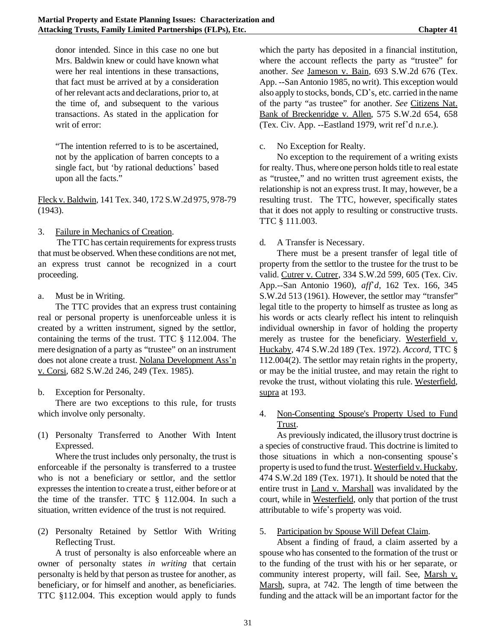donor intended. Since in this case no one but Mrs. Baldwin knew or could have known what were her real intentions in these transactions, that fact must be arrived at by a consideration of her relevant acts and declarations, prior to, at the time of, and subsequent to the various transactions. As stated in the application for writ of error:

"The intention referred to is to be ascertained, not by the application of barren concepts to a single fact, but 'by rational deductions' based upon all the facts."

Fleck v. Baldwin*,* 141 Tex. 340, 172 S.W.2d 975, 978-79 (1943).

3. Failure in Mechanics of Creation.

The TTC has certain requirements for express trusts that must be observed. When these conditions are not met, an express trust cannot be recognized in a court proceeding.

a. Must be in Writing.

The TTC provides that an express trust containing real or personal property is unenforceable unless it is created by a written instrument, signed by the settlor, containing the terms of the trust. TTC § 112.004. The mere designation of a party as "trustee" on an instrument does not alone create a trust. Nolana Development Ass'n v. Corsi*,* 682 S.W.2d 246, 249 (Tex. 1985).

b. Exception for Personalty.

There are two exceptions to this rule, for trusts which involve only personalty.

(1) Personalty Transferred to Another With Intent Expressed.

Where the trust includes only personalty, the trust is enforceable if the personalty is transferred to a trustee who is not a beneficiary or settlor, and the settlor expresses the intention to create a trust, either before or at the time of the transfer. TTC § 112.004. In such a situation, written evidence of the trust is not required.

(2) Personalty Retained by Settlor With Writing Reflecting Trust.

A trust of personalty is also enforceable where an owner of personalty states *in writing* that certain personalty is held by that person as trustee for another, as beneficiary, or for himself and another, as beneficiaries. TTC §112.004. This exception would apply to funds

which the party has deposited in a financial institution, where the account reflects the party as "trustee" for another. *See* Jameson v. Bain*,* 693 S.W.2d 676 (Tex. App. --San Antonio 1985, no writ). This exception would also apply to stocks, bonds, CD's, etc. carried in the name of the party "as trustee" for another. *See* Citizens Nat. Bank of Breckenridge v. Allen, 575 S.W.2d 654, 658 (Tex. Civ. App. --Eastland 1979, writ ref'd n.r.e.).

## c. No Exception for Realty.

No exception to the requirement of a writing exists for realty. Thus, where one person holds title to real estate as "trustee," and no written trust agreement exists, the relationship is not an express trust. It may, however, be a resulting trust. The TTC, however, specifically states that it does not apply to resulting or constructive trusts. TTC § 111.003.

## d. A Transfer is Necessary.

There must be a present transfer of legal title of property from the settlor to the trustee for the trust to be valid. Cutrer v. Cutrer*,* 334 S.W.2d 599, 605 (Tex. Civ. App.--San Antonio 1960), *aff*\**d,* 162 Tex. 166, 345 S.W.2d 513 (1961). However, the settlor may "transfer" legal title to the property to himself as trustee as long as his words or acts clearly reflect his intent to relinquish individual ownership in favor of holding the property merely as trustee for the beneficiary. Westerfield v. Huckaby*,* 474 S.W.2d 189 (Tex. 1972). *Accord,* TTC § 112.004(2). The settlor may retain rights in the property, or may be the initial trustee, and may retain the right to revoke the trust, without violating this rule. Westerfield, supra at 193.

4. Non-Consenting Spouse's Property Used to Fund Trust.

As previously indicated, the illusory trust doctrine is a species of constructive fraud. This doctrine is limited to those situations in which a non-consenting spouse's property is used to fund the trust. Westerfield v. Huckaby*,* 474 S.W.2d 189 (Tex. 1971). It should be noted that the entire trust in Land v. Marshall was invalidated by the court, while in Westerfield*,* only that portion of the trust attributable to wife's property was void.

5. Participation by Spouse Will Defeat Claim.

Absent a finding of fraud, a claim asserted by a spouse who has consented to the formation of the trust or to the funding of the trust with his or her separate, or community interest property, will fail. See, Marsh v. Marsh*,* supra, at 742. The length of time between the funding and the attack will be an important factor for the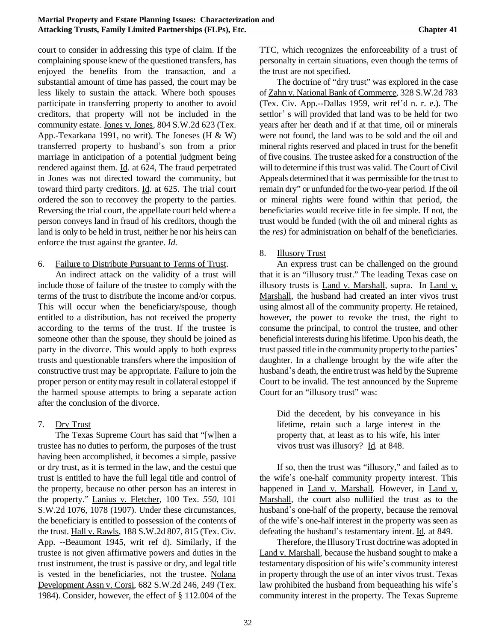court to consider in addressing this type of claim. If the complaining spouse knew of the questioned transfers, has enjoyed the benefits from the transaction, and a substantial amount of time has passed, the court may be less likely to sustain the attack. Where both spouses participate in transferring property to another to avoid creditors, that property will not be included in the community estate. Jones v. Jones*,* 804 S.W.2d 623 (Tex. App.-Texarkana 1991, no writ). The Joneses (H & W) transferred property to husband\*s son from a prior marriage in anticipation of a potential judgment being rendered against them. Id. at 624, The fraud perpetrated in Jones was not directed toward the community, but toward third party creditors. Id. at 625. The trial court ordered the son to reconvey the property to the parties. Reversing the trial court, the appellate court held where a person conveys land in fraud of his creditors, though the land is only to be held in trust, neither he nor his heirs can enforce the trust against the grantee. *Id.*

### 6. Failure to Distribute Pursuant to Terms of Trust.

An indirect attack on the validity of a trust will include those of failure of the trustee to comply with the terms of the trust to distribute the income and/or corpus. This will occur when the beneficiary/spouse, though entitled to a distribution, has not received the property according to the terms of the trust. If the trustee is someone other than the spouse, they should be joined as party in the divorce. This would apply to both express trusts and questionable transfers where the imposition of constructive trust may be appropriate. Failure to join the proper person or entity may result in collateral estoppel if the harmed spouse attempts to bring a separate action after the conclusion of the divorce.

### 7. Dry Trust

The Texas Supreme Court has said that "[w]hen a trustee has no duties to perform, the purposes of the trust having been accomplished, it becomes a simple, passive or dry trust, as it is termed in the law, and the cestui que trust is entitled to have the full legal title and control of the property, because no other person has an interest in the property." Lanius v. Fletcher*,* 100 Tex. *550,* 101 S.W.2d 1076, 1078 (1907). Under these circumstances, the beneficiary is entitled to possession of the contents of the trust. Hall v. Rawls*,* 188 S.W.2d 807, 815 (Tex. Civ. App. --Beaumont 1945, writ ref d). Similarly, if the trustee is not given affirmative powers and duties in the trust instrument, the trust is passive or dry, and legal title is vested in the beneficiaries, not the trustee. Nolana Development Assn v. Corsi*,* 682 S.W.2d 246, 249 (Tex. 1984). Consider, however, the effect of § 112.004 of the

TTC, which recognizes the enforceability of a trust of personalty in certain situations, even though the terms of the trust are not specified.

The doctrine of "dry trust" was explored in the case of Zahn v. National Bank of Commerce*,* 328 S.W.2d 783 (Tex. Civ. App.--Dallas 1959, writ ref'd n. r. e.). The settlor's will provided that land was to be held for two years after her death and if at that time, oil or minerals were not found, the land was to be sold and the oil and mineral rights reserved and placed in trust for the benefit of five cousins. The trustee asked for a construction of the will to determine if this trust was valid. The Court of Civil Appeals determined that it was permissible for the trust to remain dry" or unfunded for the two-year period. If the oil or mineral rights were found within that period, the beneficiaries would receive title in fee simple. If not, the trust would be funded (with the oil and mineral rights as the *res)* for administration on behalf of the beneficiaries.

## 8. Illusory Trust

An express trust can be challenged on the ground that it is an "illusory trust." The leading Texas case on illusory trusts is Land v. Marshall*,* supra. In Land v. Marshall*,* the husband had created an inter vivos trust using almost all of the community property. He retained, however, the power to revoke the trust, the right to consume the principal, to control the trustee, and other beneficial interests during his lifetime. Upon his death, the trust passed title in the community property to the parties\* daughter. In a challenge brought by the wife after the husband's death, the entire trust was held by the Supreme Court to be invalid. The test announced by the Supreme Court for an "illusory trust" was:

Did the decedent, by his conveyance in his lifetime, retain such a large interest in the property that, at least as to his wife, his inter vivos trust was illusory? Id*.* at 848.

If so, then the trust was "illusory," and failed as to the wife's one-half community property interest. This happened in Land v. Marshall*.* However, in Land v. Marshall*,* the court also nullified the trust as to the husband's one-half of the property, because the removal of the wife's one-half interest in the property was seen as defeating the husband\*s testamentary intent. Id*.* at 849.

Therefore, the IllusoryTrust doctrine was adopted in Land v. Marshall*,* because the husband sought to make a testamentary disposition of his wife's community interest in property through the use of an inter vivos trust. Texas law prohibited the husband from bequeathing his wife's community interest in the property. The Texas Supreme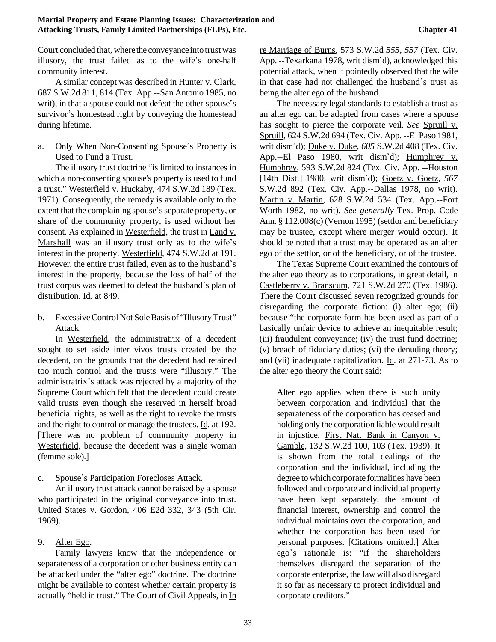Court concluded that, where the conveyance into trust was illusory, the trust failed as to the wife's one-half community interest.

A similar concept was described in Hunter v. Clark*,* 687 S.W.2d 811, 814 (Tex. App.--San Antonio 1985, no writ), in that a spouse could not defeat the other spouse's survivor's homestead right by conveying the homestead during lifetime.

a. Only When Non-Consenting Spouse's Property is Used to Fund a Trust.

The illusory trust doctrine "is limited to instances in which a non-consenting spouse's property is used to fund a trust." Westerfield v. Huckaby*,* 474 S.W.2d 189 (Tex. 1971). Consequently, the remedy is available only to the extent that the complaining spouse's separate property, or share of the community property, is used without her consent. As explained in Westerfield*,* the trust in Land v. Marshall was an illusory trust only as to the wife's interest in the property. Westerfield, 474 S.W.2d at 191. However, the entire trust failed, even as to the husband's interest in the property, because the loss of half of the trust corpus was deemed to defeat the husband's plan of distribution. Id*.* at 849.

b. Excessive Control Not Sole Basis of "Illusory Trust" Attack.

In Westerfield, the administratrix of a decedent sought to set aside inter vivos trusts created by the decedent, on the grounds that the decedent had retained too much control and the trusts were "illusory." The administratrix's attack was rejected by a majority of the Supreme Court which felt that the decedent could create valid trusts even though she reserved in herself broad beneficial rights, as well as the right to revoke the trusts and the right to control or manage the trustees. Id*.* at 192. [There was no problem of community property in Westerfield, because the decedent was a single woman (femme sole).]

c. Spouse's Participation Forecloses Attack.

An illusory trust attack cannot be raised by a spouse who participated in the original conveyance into trust. United States v. Gordon*,* 406 E2d 332, 343 (5th Cir. 1969).

# 9. Alter Ego.

Family lawyers know that the independence or separateness of a corporation or other business entity can be attacked under the "alter ego" doctrine. The doctrine might be available to contest whether certain property is actually "held in trust." The Court of Civil Appeals, in In re Marriage of Burns*,* 573 S.W.2d *555, 557* (Tex. Civ. App. --Texarkana 1978, writ dism'd), acknowledged this potential attack, when it pointedly observed that the wife in that case had not challenged the husband's trust as being the alter ego of the husband.

The necessary legal standards to establish a trust as an alter ego can be adapted from cases where a spouse has sought to pierce the corporate veil. *See* Spruill v. Spruill*,* 624 S.W.2d 694 (Tex. Civ. App. --El Paso 1981, writ dism\*d); Duke v. Duke*, 605* S.W.2d 408 (Tex. Civ. App.--El Paso 1980, writ dism'd); Humphrey v. Humphrey*,* 593 S.W.2d 824 (Tex. Civ. App. --Houston [14th Dist.] 1980, writ dism\*d); Goetz v. Goetz*, 567* S.W.2d 892 (Tex. Civ. App.--Dallas 1978, no writ). Martin v. Martin*,* 628 S.W.2d 534 (Tex. App.--Fort Worth 1982, no writ). *See generally* Tex. Prop. Code Ann. § 112.008(c) (Vernon 1995) (settlor and beneficiary may be trustee, except where merger would occur). It should be noted that a trust may be operated as an alter ego of the settlor, or of the beneficiary, or of the trustee.

The Texas Supreme Court examined the contours of the alter ego theory as to corporations, in great detail, in Castleberry v. Branscum*,* 721 S.W.2d 270 (Tex. 1986). There the Court discussed seven recognized grounds for disregarding the corporate fiction: (i) alter ego; (ii) because "the corporate form has been used as part of a basically unfair device to achieve an inequitable result; (iii) fraudulent conveyance; (iv) the trust fund doctrine; (v) breach of fiduciary duties; (vi) the denuding theory; and (vii) inadequate capitalization. Id. at 271-73. As to the alter ego theory the Court said:

Alter ego applies when there is such unity between corporation and individual that the separateness of the corporation has ceased and holding only the corporation liable would result in injustice. First Nat. Bank in Canyon v. Gamble*,* 132 S.W.2d 100, 103 (Tex. 1939). It is shown from the total dealings of the corporation and the individual, including the degree to which corporate formalities have been followed and corporate and individual property have been kept separately, the amount of financial interest, ownership and control the individual maintains over the corporation, and whether the corporation has been used for personal purposes. [Citations omitted.] Alter ego\*s rationale is: "if the shareholders themselves disregard the separation of the corporate enterprise, the law will also disregard it so far as necessary to protect individual and corporate creditors."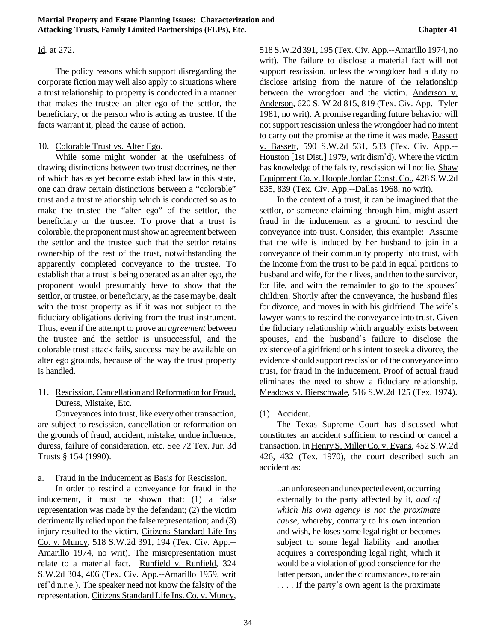### Id*.* at 272.

The policy reasons which support disregarding the corporate fiction may well also apply to situations where a trust relationship to property is conducted in a manner that makes the trustee an alter ego of the settlor, the beneficiary, or the person who is acting as trustee. If the facts warrant it, plead the cause of action.

### 10. Colorable Trust vs. Alter Ego.

While some might wonder at the usefulness of drawing distinctions between two trust doctrines, neither of which has as yet become established law in this state, one can draw certain distinctions between a "colorable" trust and a trust relationship which is conducted so as to make the trustee the "alter ego" of the settlor, the beneficiary or the trustee. To prove that a trust is colorable, the proponent must show an agreement between the settlor and the trustee such that the settlor retains ownership of the rest of the trust, notwithstanding the apparently completed conveyance to the trustee. To establish that a trust is being operated as an alter ego, the proponent would presumably have to show that the settlor, or trustee, or beneficiary, asthe case may be, dealt with the trust property as if it was not subject to the fiduciary obligations deriving from the trust instrument. Thus, even if the attempt to prove an *agreement* between the trustee and the settlor is unsuccessful, and the colorable trust attack fails, success may be available on alter ego grounds, because of the way the trust property is handled.

11. Rescission, Cancellation and Reformation for Fraud, Duress, Mistake, Etc.

Conveyances into trust, like every other transaction, are subject to rescission, cancellation or reformation on the grounds of fraud, accident, mistake, undue influence, duress, failure of consideration, etc. See 72 Tex. Jur. 3d Trusts § 154 (1990).

a. Fraud in the Inducement as Basis for Rescission.

In order to rescind a conveyance for fraud in the inducement, it must be shown that: (1) a false representation was made by the defendant; (2) the victim detrimentally relied upon the false representation; and (3) injury resulted to the victim. Citizens Standard Life Ins Co. v. Muncy*,* 518 S.W.2d 391, 194 (Tex. Civ. App.-- Amarillo 1974, no writ). The misrepresentation must relate to a material fact. Runfield v. Runfield*,* 324 S.W.2d 304, 406 (Tex. Civ. App.--Amarillo 1959, writ ref'd n.r.e.). The speaker need not know the falsity of the representation. Citizens Standard Life Ins. Co. v. Muncy*,*

518 S.W.2d 391, 195 (Tex. Civ. App.--Amarillo 1974, no writ). The failure to disclose a material fact will not support rescission, unless the wrongdoer had a duty to disclose arising from the nature of the relationship between the wrongdoer and the victim. Anderson v. Anderson*,* 620 S. W 2d 815, 819 (Tex. Civ. App.--Tyler 1981, no writ). A promise regarding future behavior will not support rescission unless the wrongdoer had no intent to carry out the promise at the time it was made. Bassett v. Bassett*,* 590 S.W.2d 531, 533 (Tex. Civ. App.-- Houston [1st Dist.] 1979, writ dism'd). Where the victim has knowledge of the falsity, rescission will not lie. Shaw Equipment Co. v. Hoople JordanConst. Co.*,* 428 S.W.2d 835, 839 (Tex. Civ. App.--Dallas 1968, no writ).

In the context of a trust, it can be imagined that the settlor, or someone claiming through him, might assert fraud in the inducement as a ground to rescind the conveyance into trust. Consider, this example: Assume that the wife is induced by her husband to join in a conveyance of their community property into trust, with the income from the trust to be paid in equal portions to husband and wife, for their lives, and then to the survivor, for life, and with the remainder to go to the spouses' children. Shortly after the conveyance, the husband files for divorce, and moves in with his girlfriend. The wife's lawyer wants to rescind the conveyance into trust. Given the fiduciary relationship which arguably exists between spouses, and the husband's failure to disclose the existence of a girlfriend or his intent to seek a divorce, the evidence should support rescission of the conveyance into trust, for fraud in the inducement. Proof of actual fraud eliminates the need to show a fiduciary relationship. Meadows v. Bierschwale*,* 516 S.W.2d 125 (Tex. 1974).

(1) Accident.

The Texas Supreme Court has discussed what constitutes an accident sufficient to rescind or cancel a transaction. In Henry S. Miller Co. v. Evans*,* 452 S.W.2d 426, 432 (Tex. 1970), the court described such an accident as:

..anunforeseen and unexpected event, occurring externally to the party affected by it, *and of which his own agency is not the proximate cause,* whereby, contrary to his own intention and wish, he loses some legal right or becomes subject to some legal liability and another acquires a corresponding legal right, which it would be a violation of good conscience for the latter person, under the circumstances, to retain .... If the party's own agent is the proximate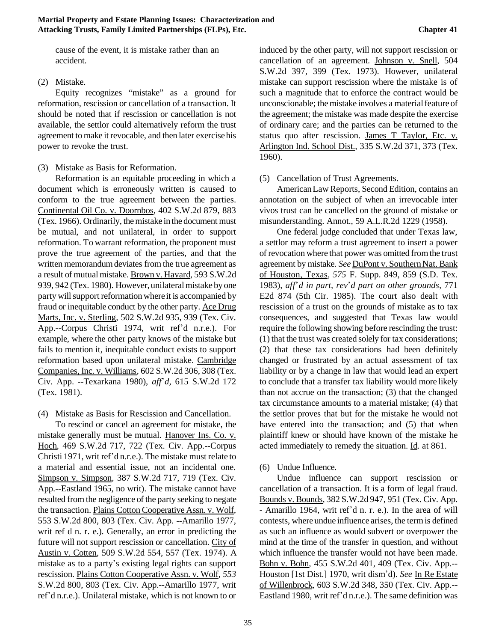cause of the event, it is mistake rather than an accident.

(2) Mistake.

Equity recognizes "mistake" as a ground for reformation, rescission or cancellation of a transaction. It should be noted that if rescission or cancellation is not available, the settlor could alternatively reform the trust agreement tomake it revocable, and then later exercisehis power to revoke the trust.

(3) Mistake as Basis for Reformation.

Reformation is an equitable proceeding in which a document which is erroneously written is caused to conform to the true agreement between the parties. Continental Oil Co. v. Doornbos*,* 402 S.W.2d 879, 883 (Tex. 1966). Ordinarily, themistake in the document must be mutual, and not unilateral, in order to support reformation. To warrant reformation, the proponent must prove the true agreement of the parties, and that the written memorandumdeviates from the true agreement as a result of mutualmistake. Brown v. Havard*,* 593 S.W.2d 939, 942 (Tex. 1980). However, unilateral mistake by one party will support reformation where it is accompanied by fraud or inequitable conduct by the other party. Ace Drug Marts, Inc. v. Sterling*,* 502 S.W.2d 935, 939 (Tex. Civ. App.--Corpus Christi 1974, writ ref'd n.r.e.). For example, where the other party knows of the mistake but fails to mention it, inequitable conduct exists to support reformation based upon unilateral mistake. Cambridge Companies, Inc. v. Williams*,* 602 S.W.2d 306, 308 (Tex. Civ. App. --Texarkana 1980), *aff*\**d,* 615 S.W.2d 172 (Tex. 1981).

(4) Mistake as Basis for Rescission and Cancellation.

To rescind or cancel an agreement for mistake, the mistake generally must be mutual. Hanover Ins. Co. v. Hoch*,* 469 S.W.2d 717, 722 (Tex. Civ. App.--Corpus Christi 1971, writ ref\*d n.r.e.). The mistake must relate to a material and essential issue, not an incidental one. Simpson v. Simpson*,* 387 S.W.2d 717, 719 (Tex. Civ. App.--Eastland 1965, no writ). The mistake cannot have resulted from the negligence of the party seeking to negate the transaction. Plains CottonCooperative Assn. v. Wolf*,* 553 S.W.2d 800, 803 (Tex. Civ. App. --Amarillo 1977, writ ref d n. r. e.). Generally, an error in predicting the future will not support rescission or cancellation. City of Austin v. Cotten*,* 509 S.W.2d 554, 557 (Tex. 1974). A mistake as to a party's existing legal rights can support rescission. Plains Cotton Cooperative Assn. v. Wolf*, 553* S.W.2d 800, 803 (Tex. Civ. App.--Amarillo 1977, writ ref'd n.r.e.). Unilateral mistake, which is not known to or

induced by the other party, will not support rescission or cancellation of an agreement. Johnson v. Snell*,* 504 S.W.2d 397, 399 (Tex. 1973). However, unilateral mistake can support rescission where the mistake is of such a magnitude that to enforce the contract would be unconscionable; the mistake involves a material feature of the agreement; the mistake was made despite the exercise of ordinary care; and the parties can be returned to the status quo after rescission. James T Taylor, Etc. v. Arlington Ind. School Dist.*,* 335 S.W.2d 371, 373 (Tex. 1960).

### (5) Cancellation of Trust Agreements.

AmericanLaw Reports, Second Edition, contains an annotation on the subject of when an irrevocable inter vivos trust can be cancelled on the ground of mistake or misunderstanding. Annot., 59 A.L.R.2d 1229 (1958).

One federal judge concluded that under Texas law, a settlor may reform a trust agreement to insert a power of revocation where that power was omitted fromthe trust agreement by mistake. *See* DuPont v. Southern Nat. Bank of Houston, Texas*, 575* F. Supp. 849, 859 (S.D. Tex. 1983), *aff*\**d in part, rev*\**d part on other grounds,* 771 E2d 874 (5th Cir. 1985). The court also dealt with rescission of a trust on the grounds of mistake as to tax consequences, and suggested that Texas law would require the following showing before rescinding the trust: (1) that the trust was created solely for tax considerations; (2) that these tax considerations had been definitely changed or frustrated by an actual assessment of tax liability or by a change in law that would lead an expert to conclude that a transfer tax liability would more likely than not accrue on the transaction; (3) that the changed tax circumstance amounts to a material mistake; (4) that the settlor proves that but for the mistake he would not have entered into the transaction; and  $(5)$  that when plaintiff knew or should have known of the mistake he acted immediately to remedy the situation. Id. at 861.

### (6) Undue Influence.

Undue influence can support rescission or cancellation of a transaction. It is a form of legal fraud. Bounds v. Bounds*,* 382 S.W.2d 947, 951 (Tex. Civ. App. - Amarillo 1964, writ ref\*d n. r. e.). In the area of will contests, where undue influence arises, the termis defined as such an influence as would subvert or overpower the mind at the time of the transfer in question, and without which influence the transfer would not have been made. Bohn v. Bohn*,* 455 S.W.2d 401, 409 (Tex. Civ. App.-- Houston [1st Dist.] 1970, writ dism\*d). *See* In Re Estate of Willenbrock*,* 603 S.W.2d 348, 350 (Tex. Civ. App.-- Eastland 1980, writ ref'd n.r.e.). The same definition was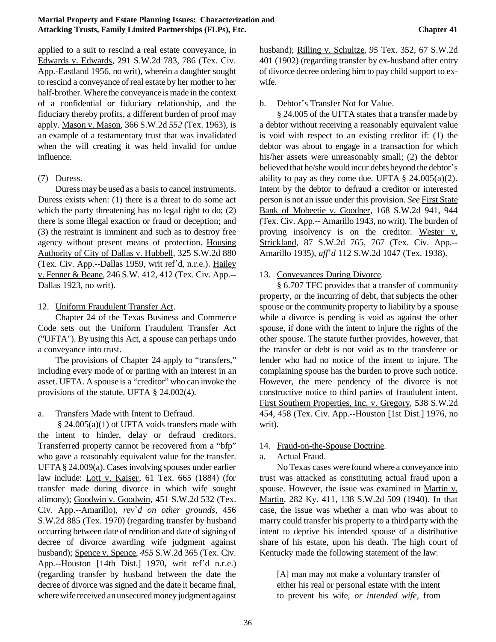applied to a suit to rescind a real estate conveyance, in Edwards v. Edwards*,* 291 S.W.2d 783, 786 (Tex. Civ. App.-Eastland 1956, no writ), wherein a daughter sought to rescind a conveyance of real estate by her mother to her half-brother. Where the conveyance is made in the context of a confidential or fiduciary relationship, and the fiduciary thereby profits, a different burden of proof may apply. Mason v. Mason*,* 366 S.W.2d *552* (Tex. 1963), is an example of a testamentary trust that was invalidated when the will creating it was held invalid for undue influence.

### (7) Duress.

Duress may be used as a basis to cancel instruments. Duress exists when: (1) there is a threat to do some act which the party threatening has no legal right to do; (2) there is some illegal exaction or fraud or deception; and (3) the restraint is imminent and such as to destroy free agency without present means of protection. Housing Authority of City of Dallas v. Hubbell*,* 325 S.W.2d 880 (Tex. Civ. App.--Dallas 1959, writ ref\*d, n.r.e.). Hailey v. Fenner & Beane*,* 246 S.W. 412, 412 (Tex. Civ. App.-- Dallas 1923, no writ).

12. Uniform Fraudulent Transfer Act.

Chapter 24 of the Texas Business and Commerce Code sets out the Uniform Fraudulent Transfer Act ("UFTA"). By using this Act, a spouse can perhaps undo a conveyance into trust.

The provisions of Chapter 24 apply to "transfers," including every mode of or parting with an interest in an asset. UFTA. A spouse is a "creditor" who can invoke the provisions of the statute. UFTA § 24.002(4).

a. Transfers Made with Intent to Defraud.

§ 24.005(a)(1) of UFTA voids transfers made with the intent to hinder, delay or defraud creditors. Transferred property cannot be recovered from a "bfp" who gave a reasonably equivalent value for the transfer. UFTA§ 24.009(a). Cases involving spouses under earlier law include: Lott v. Kaiser*,* 61 Tex. 665 (1884) (for transfer made during divorce in which wife sought alimony); Goodwin v. Goodwin*,* 451 S.W.2d 532 (Tex. Civ. App.--Amarillo), *rev*\**d on other grounds,* 456 S.W.2d 885 (Tex. 1970) (regarding transfer by husband occurring between date of rendition and date of signing of decree of divorce awarding wife judgment against husband); Spence v. Spence*, 455* S.W.2d 365 (Tex. Civ. App.--Houston [14th Dist.] 1970, writ ref'd n.r.e.) (regarding transfer by husband between the date the decree of divorce was signed and the date it became final, where wife received an unsecured money judgment against

husband); Rilling v. Schultze*, 95* Tex. 352, 67 S.W.2d 401 (1902) (regarding transfer by ex-husband after entry of divorce decree ordering him to pay child support to exwife.

b. Debtor's Transfer Not for Value.

§ 24.005 of the UFTA states that a transfer made by a debtor without receiving a reasonably equivalent value is void with respect to an existing creditor if: (1) the debtor was about to engage in a transaction for which his/her assets were unreasonably small; (2) the debtor believed that he/she would incur debts beyond the debtor's ability to pay as they come due. UFTA  $\S$  24.005(a)(2). Intent by the debtor to defraud a creditor or interested person is not an issue under this provision. *See* First State Bank of Mobeetie v. Goodner*,* 168 S.W.2d 941, 944 (Tex. Civ. App.-- Amarillo 1943, no writ). The burden of proving insolvency is on the creditor. Wester v. Strickland*,* 87 S.W.2d 765, 767 (Tex. Civ. App.-- Amarillo 1935), *aff*\**d* 112 S.W.2d 1047 (Tex. 1938).

## 13. Conveyances During Divorce.

§ 6.707 TFC provides that a transfer of community property, or the incurring of debt, that subjects the other spouse or the community property to liability by a spouse while a divorce is pending is void as against the other spouse, if done with the intent to injure the rights of the other spouse. The statute further provides, however, that the transfer or debt is not void as to the transferee or lender who had no notice of the intent to injure. The complaining spouse has the burden to prove such notice. However, the mere pendency of the divorce is not constructive notice to third parties of fraudulent intent. First Southern Properties, Inc. v. Gregory*,* 538 S.W.2d 454, 458 (Tex. Civ. App.--Houston [1st Dist.] 1976, no writ).

# 14. Fraud-on-the-Spouse Doctrine.

# a. Actual Fraud.

No Texas cases were found where a conveyance into trust was attacked as constituting actual fraud upon a spouse. However, the issue was examined in Martin v. Martin*,* 282 Ky. 411, 138 S.W.2d 509 (1940). In that case, the issue was whether a man who was about to marry could transfer his property to a third party with the intent to deprive his intended spouse of a distributive share of his estate, upon his death. The high court of Kentucky made the following statement of the law:

[A] man may not make a voluntary transfer of either his real or personal estate with the intent to prevent his wife, *or intended wife,* from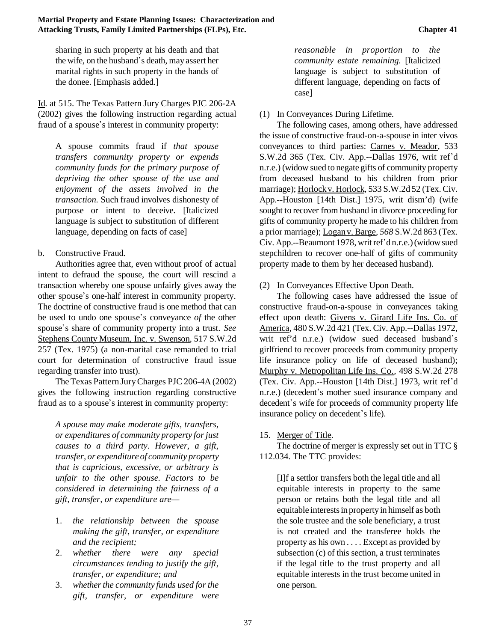sharing in such property at his death and that the wife, on the husband's death, may assert her marital rights in such property in the hands of the donee. [Emphasis added.]

Id. at 515. The Texas Pattern Jury Charges PJC 206-2A (2002) gives the following instruction regarding actual fraud of a spouse's interest in community property:

A spouse commits fraud if *that spouse transfers community property or expends community funds for the primary purpose of depriving the other spouse of the use and enjoyment of the assets involved in the transaction.* Such fraud involves dishonesty of purpose or intent to deceive. [Italicized language is subject to substitution of different language, depending on facts of case]

## b. Constructive Fraud.

Authorities agree that, even without proof of actual intent to defraud the spouse, the court will rescind a transaction whereby one spouse unfairly gives away the other spouse's one-half interest in community property. The doctrine of constructive fraud is one method that can be used to undo one spouse's conveyance *of* the other spouse's share of community property into a trust. See Stephens County Museum, Inc. v. Swenson*,* 517 S.W.2d 257 (Tex. 1975) (a non-marital case remanded to trial court for determination of constructive fraud issue regarding transfer into trust).

The Texas Pattern JuryCharges PJC 206-4A (2002) gives the following instruction regarding constructive fraud as to a spouse's interest in community property:

*A spouse may make moderate gifts, transfers, or expenditures of community property forjust causes to a third party. However, a gift, transfer, or expenditure of community property that is capricious, excessive, or arbitrary is unfair to the other spouse. Factors to be considered in determining the fairness of a gift, transfer, or expenditure are—*

- 1. *the relationship between the spouse making the gift, transfer, or expenditure and the recipient;*
- 2. *whether there were any special circumstances tending to justify the gift, transfer, or expenditure; and*
- 3. *whetherthe community funds used for the gift, transfer, or expenditure were*

*reasonable in proportion to the community estate remaining.* [Italicized language is subject to substitution of different language, depending on facts of case]

# (1) In Conveyances During Lifetime.

The following cases, among others, have addressed the issue of constructive fraud-on-a-spouse in inter vivos conveyances to third parties: Carnes v. Meador*,* 533 S.W.2d 365 (Tex. Civ. App.--Dallas 1976, writ ref'd n.r.e.) (widow sued to negate gifts of community property from deceased husband to his children from prior marriage); Horlockv. Horlock*,* 533 S.W.2d 52 (Tex. Civ. App.--Houston [14th Dist.] 1975, writ dism'd) (wife sought to recover from husband in divorce proceeding for gifts of community property he made to his children from a prior marriage); Logan v. Barge*, 568* S.W.2d 863 (Tex. Civ. App.--Beaumont 1978, writ ref'd n.r.e.) (widow sued stepchildren to recover one-half of gifts of community property made to them by her deceased husband).

# (2) In Conveyances Effective Upon Death.

The following cases have addressed the issue of constructive fraud-on-a-spouse in conveyances taking effect upon death: Givens v. Girard Life Ins. Co. of America*,* 480 S.W.2d 421 (Tex. Civ. App.--Dallas 1972, writ ref'd n.r.e.) (widow sued deceased husband\*s girlfriend to recover proceeds from community property life insurance policy on life of deceased husband); Murphy v. Metropolitan Life Ins. Co.*,* 498 S.W.2d 278 (Tex. Civ. App.--Houston [14th Dist.] 1973, writ ref\*d n.r.e.) (decedent's mother sued insurance company and decedent's wife for proceeds of community property life insurance policy on decedent's life).

# 15. Merger of Title.

The doctrine of merger is expressly set out in TTC  $\S$ 112.034. The TTC provides:

[I]f a settlor transfers both the legal title and all equitable interests in property to the same person or retains both the legal title and all equitable interestsin property in himself as both the sole trustee and the sole beneficiary, a trust is not created and the transferee holds the property as his own . . . . Except as provided by subsection (c) of this section, a trust terminates if the legal title to the trust property and all equitable interests in the trust become united in one person.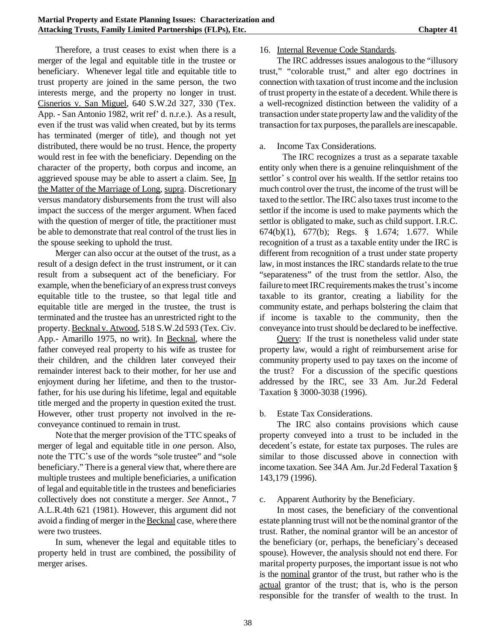Therefore, a trust ceases to exist when there is a merger of the legal and equitable title in the trustee or beneficiary. Whenever legal title and equitable title to trust property are joined in the same person, the two interests merge, and the property no longer in trust. Cisnerios v. San Miguel*,* 640 S.W.2d 327, 330 (Tex. App. - San Antonio 1982, writ ref' d. n.r.e.). As a result, even if the trust was valid when created, but by its terms has terminated (merger of title), and though not yet distributed, there would be no trust. Hence, the property would rest in fee with the beneficiary. Depending on the character of the property, both corpus and income, an aggrieved spouse may be able to assert a claim. See, In the Matter of the Marriage of Long, supra. Discretionary versus mandatory disbursements from the trust will also impact the success of the merger argument. When faced with the question of merger of title, the practitioner must be able to demonstrate that real control of the trust lies in the spouse seeking to uphold the trust.

Merger can also occur at the outset of the trust, as a result of a design defect in the trust instrument, or it can result from a subsequent act of the beneficiary. For example, when the beneficiaryof an expresstrust conveys equitable title to the trustee, so that legal title and equitable title are merged in the trustee, the trust is terminated and the trustee has an unrestricted right to the property. Becknal v. Atwood*,* 518 S.W.2d 593 (Tex. Civ. App.- Amarillo 1975, no writ). In Becknal*,* where the father conveyed real property to his wife as trustee for their children, and the children later conveyed their remainder interest back to their mother, for her use and enjoyment during her lifetime, and then to the trustorfather, for his use during his lifetime, legal and equitable title merged and the property in question exited the trust. However, other trust property not involved in the reconveyance continued to remain in trust.

Note that the merger provision of the TTC speaks of merger of legal and equitable title in *one* person. Also, note the TTC's use of the words "sole trustee" and "sole beneficiary." There is a general view that, where there are multiple trustees and multiple beneficiaries, a unification of legal and equitable title in the trustees and beneficiaries collectively does not constitute a merger. *See* Annot., 7 A.L.R.4th 621 (1981). However, this argument did not avoid a finding of merger in the Becknal case, where there were two trustees.

In sum, whenever the legal and equitable titles to property held in trust are combined, the possibility of merger arises.

#### 16. Internal Revenue Code Standards.

The IRC addresses issues analogous to the "illusory trust," "colorable trust," and alter ego doctrines in connection with taxation of trust income and the inclusion of trust property in the estate of a decedent. While there is a well-recognized distinction between the validity of a transaction under state property law and the validity of the transaction for tax purposes, the parallels are inescapable.

#### a. Income Tax Considerations.

 The IRC recognizes a trust as a separate taxable entity only when there is a genuine relinquishment of the settlor's control over his wealth. If the settlor retains too much control over the trust, the income of the trust will be taxed to the settlor. The IRC also taxes trust income to the settlor if the income is used to make payments which the settlor is obligated to make, such as child support. I.R.C. 674(b)(1), 677(b); Regs. § 1.674; 1.677. While recognition of a trust as a taxable entity under the IRC is different from recognition of a trust under state property law, in most instances the IRC standards relate to the true "separateness" of the trust from the settlor. Also, the failure to meet IRC requirements makes the trust's income taxable to its grantor, creating a liability for the community estate, and perhaps bolstering the claim that if income is taxable to the community, then the conveyance into trust should be declared to be ineffective.

Query: If the trust is nonetheless valid under state property law, would a right of reimbursement arise for community property used to pay taxes on the income of the trust? For a discussion of the specific questions addressed by the IRC, see 33 Am. Jur.2d Federal Taxation § 3000-3038 (1996).

### b. Estate Tax Considerations.

The IRC also contains provisions which cause property conveyed into a trust to be included in the decedent's estate, for estate tax purposes. The rules are similar to those discussed above in connection with income taxation. See 34A Am. Jur.2d Federal Taxation § 143,179 (1996).

#### c. Apparent Authority by the Beneficiary.

In most cases, the beneficiary of the conventional estate planning trust will not be the nominal grantor of the trust. Rather, the nominal grantor will be an ancestor of the beneficiary (or, perhaps, the beneficiary's deceased spouse). However, the analysis should not end there. For marital property purposes, the important issue is not who is the nominal grantor of the trust, but rather who is the actual grantor of the trust; that is, who is the person responsible for the transfer of wealth to the trust. In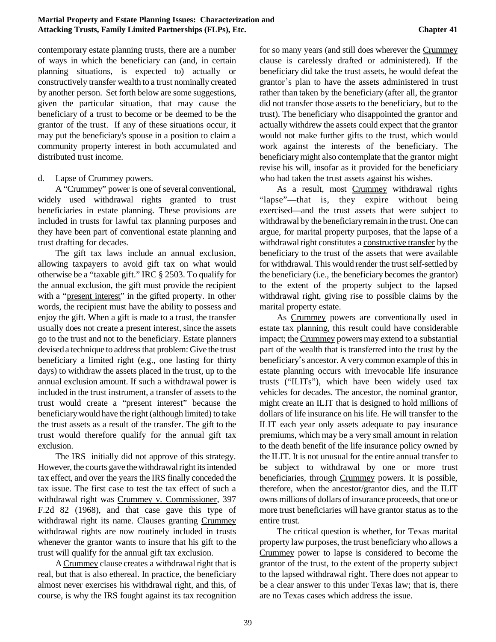contemporary estate planning trusts, there are a number of ways in which the beneficiary can (and, in certain planning situations, is expected to) actually or constructively transfer wealth to a trust nominally created by another person. Set forth below are some suggestions, given the particular situation, that may cause the beneficiary of a trust to become or be deemed to be the grantor of the trust. If any of these situations occur, it may put the beneficiary's spouse in a position to claim a community property interest in both accumulated and distributed trust income.

#### d. Lapse of Crummey powers.

A "Crummey" power is one of several conventional, widely used withdrawal rights granted to trust beneficiaries in estate planning. These provisions are included in trusts for lawful tax planning purposes and they have been part of conventional estate planning and trust drafting for decades.

The gift tax laws include an annual exclusion, allowing taxpayers to avoid gift tax on what would otherwise be a "taxable gift." IRC § 2503. To qualify for the annual exclusion, the gift must provide the recipient with a "present interest" in the gifted property. In other words, the recipient must have the ability to possess and enjoy the gift. When a gift is made to a trust, the transfer usually does not create a present interest, since the assets go to the trust and not to the beneficiary. Estate planners devised a technique to address that problem: Give the trust beneficiary a limited right (e.g., one lasting for thirty days) to withdraw the assets placed in the trust, up to the annual exclusion amount. If such a withdrawal power is included in the trust instrument, a transfer of assets to the trust would create a "present interest" because the beneficiarywould have the right (although limited) to take the trust assets as a result of the transfer. The gift to the trust would therefore qualify for the annual gift tax exclusion.

The IRS initially did not approve of this strategy. However, the courts gave the withdrawal right its intended tax effect, and over the years the IRS finally conceded the tax issue. The first case to test the tax effect of such a withdrawal right was Crummey v. Commissioner, 397 F.2d 82 (1968), and that case gave this type of withdrawal right its name. Clauses granting Crummey withdrawal rights are now routinely included in trusts whenever the grantor wants to insure that his gift to the trust will qualify for the annual gift tax exclusion.

A Crummey clause creates a withdrawal right that is real, but that is also ethereal. In practice, the beneficiary almost never exercises his withdrawal right, and this, of course, is why the IRS fought against its tax recognition

for so many years (and still does wherever the Crummey clause is carelessly drafted or administered). If the beneficiary did take the trust assets, he would defeat the grantor's plan to have the assets administered in trust rather than taken by the beneficiary (after all, the grantor did not transfer those assets to the beneficiary, but to the trust). The beneficiary who disappointed the grantor and actually withdrew the assets could expect that the grantor would not make further gifts to the trust, which would work against the interests of the beneficiary. The beneficiarymight also contemplate that the grantor might revise his will, insofar as it provided for the beneficiary who had taken the trust assets against his wishes.

As a result, most Crummey withdrawal rights "lapse"—that is, they expire without being exercised—and the trust assets that were subject to withdrawal by the beneficiary remain in the trust. One can argue, for marital property purposes, that the lapse of a withdrawal right constitutes a constructive transfer by the beneficiary to the trust of the assets that were available for withdrawal. This would render the trust self-settled by the beneficiary (i.e., the beneficiary becomes the grantor) to the extent of the property subject to the lapsed withdrawal right, giving rise to possible claims by the marital property estate.

As Crummey powers are conventionally used in estate tax planning, this result could have considerable impact; the Crummey powers may extend to a substantial part of the wealth that is transferred into the trust by the beneficiary's ancestor. A very common example of this in estate planning occurs with irrevocable life insurance trusts ("ILITs"), which have been widely used tax vehicles for decades. The ancestor, the nominal grantor, might create an ILIT that is designed to hold millions of dollars of life insurance on his life. He will transfer to the ILIT each year only assets adequate to pay insurance premiums, which may be a very small amount in relation to the death benefit of the life insurance policy owned by the ILIT. It is not unusual for the entire annual transfer to be subject to withdrawal by one or more trust beneficiaries, through Crummey powers. It is possible, therefore, when the ancestor/grantor dies, and the ILIT owns millions of dollars of insurance proceeds, that one or more trust beneficiaries will have grantor status as to the entire trust.

The critical question is whether, for Texas marital property law purposes, the trust beneficiary who allows a Crummey power to lapse is considered to become the grantor of the trust, to the extent of the property subject to the lapsed withdrawal right. There does not appear to be a clear answer to this under Texas law; that is, there are no Texas cases which address the issue.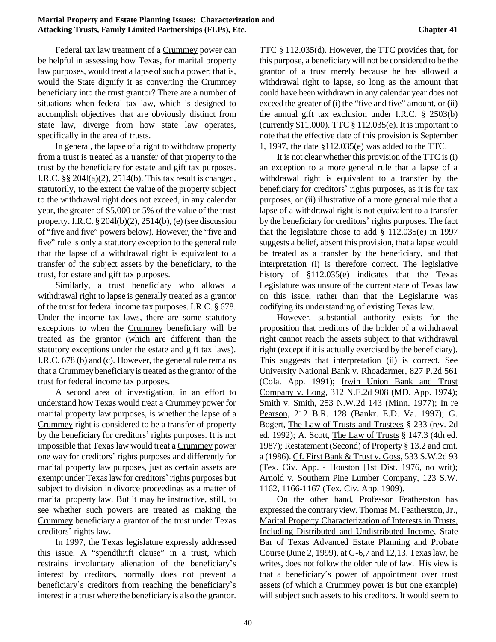Federal tax law treatment of a Crummey power can be helpful in assessing how Texas, for marital property law purposes, would treat a lapse of such a power; that is, would the State dignify it as converting the Crummey beneficiary into the trust grantor? There are a number of situations when federal tax law, which is designed to accomplish objectives that are obviously distinct from state law, diverge from how state law operates, specifically in the area of trusts.

In general, the lapse of a right to withdraw property from a trust is treated as a transfer of that property to the trust by the beneficiary for estate and gift tax purposes. I.R.C. §§ 204l(a)(2), 2514(b). This tax result is changed, statutorily, to the extent the value of the property subject to the withdrawal right does not exceed, in any calendar year, the greater of \$5,000 or 5% of the value of the trust property. I.R.C. § 204l(b)(2), 2514(b), (e) (see discussion of "five and five" powers below). However, the "five and five" rule is only a statutory exception to the general rule that the lapse of a withdrawal right is equivalent to a transfer of the subject assets by the beneficiary, to the trust, for estate and gift tax purposes.

Similarly, a trust beneficiary who allows a withdrawal right to lapse is generally treated as a grantor of the trust for federal income tax purposes. I.R.C. § 678. Under the income tax laws, there are some statutory exceptions to when the Crummey beneficiary will be treated as the grantor (which are different than the statutory exceptions under the estate and gift tax laws). I.R.C. 678 (b) and (c). However, the general rule remains that a Crummey beneficiaryistreated asthe grantor of the trust for federal income tax purposes.

A second area of investigation, in an effort to understand how Texas would treat a Crummey power for marital property law purposes, is whether the lapse of a Crummey right is considered to be a transfer of property by the beneficiary for creditors' rights purposes. It is not impossible that Texas law would treat a Crummey power one way for creditors\* rights purposes and differently for marital property law purposes, just as certain assets are exempt under Texas law for creditors' rights purposes but subject to division in divorce proceedings as a matter of marital property law. But it may be instructive, still, to see whether such powers are treated as making the Crummey beneficiary a grantor of the trust under Texas creditors' rights law.

In 1997, the Texas legislature expressly addressed this issue. A "spendthrift clause" in a trust, which restrains involuntary alienation of the beneficiary's interest by creditors, normally does not prevent a beneficiary's creditors from reaching the beneficiary's interest in a trust where the beneficiary is also the grantor.

TTC § 112.035(d). However, the TTC provides that, for this purpose, a beneficiarywill not be considered to be the grantor of a trust merely because he has allowed a withdrawal right to lapse, so long as the amount that could have been withdrawn in any calendar year does not exceed the greater of (i) the "five and five" amount, or (ii) the annual gift tax exclusion under I.R.C. § 2503(b) (currently \$11,000). TTC § 112.035(e). It is important to note that the effective date of this provision is September 1, 1997, the date §112.035(e) was added to the TTC.

It is not clear whether this provision of the TTC is (i) an exception to a more general rule that a lapse of a withdrawal right is equivalent to a transfer by the beneficiary for creditors' rights purposes, as it is for tax purposes, or (ii) illustrative of a more general rule that a lapse of a withdrawal right is not equivalent to a transfer by the beneficiary for creditors' rights purposes. The fact that the legislature chose to add  $\S$  112.035(e) in 1997 suggests a belief, absent this provision, that a lapse would be treated as a transfer by the beneficiary, and that interpretation (i) is therefore correct. The legislative history of §112.035(e) indicates that the Texas Legislature was unsure of the current state of Texas law on this issue, rather than that the Legislature was codifying its understanding of existing Texas law.

However, substantial authority exists for the proposition that creditors of the holder of a withdrawal right cannot reach the assets subject to that withdrawal right (except if it is actually exercised by the beneficiary). This suggests that interpretation (ii) is correct. See University National Bank v. Rhoadarmer, 827 P.2d 561 (Cola. App. 1991); Irwin Union Bank and Trust Company v. Long, 312 N.E.2d 908 (MD. App. 1974); Smith v. Smith, 253 N.W.2d 143 (Minn. 1977); In re Pearson, 212 B.R. 128 (Bankr. E.D. Va. 1997); G. Bogert, The Law of Trusts and Trustees § 233 (rev. 2d ed. 1992); A. Scott, The Law of Trusts § 147.3 (4th ed. 1987); Restatement (Second) of Property § 13.2 and cmt. a (1986). Cf. First Bank & Trust v. Goss, 533 S.W.2d 93 (Tex. Civ. App. - Houston [1st Dist. 1976, no writ); Arnold v. Southern Pine Lumber Company, 123 S.W. 1162, 1166-1167 (Tex. Civ. App. 1909).

On the other hand, Professor Featherston has expressed the contrary view. Thomas M. Featherston, Jr., Marital Property Characterization of Interests in Trusts, Including Distributed and Undistributed Income, State Bar of Texas Advanced Estate Planning and Probate Course (June 2, 1999), at G-6,7 and 12,13. Texas law, he writes, does not follow the older rule of law. His view is that a beneficiary's power of appointment over trust assets (of which a Crummey power is but one example) will subject such assets to his creditors. It would seem to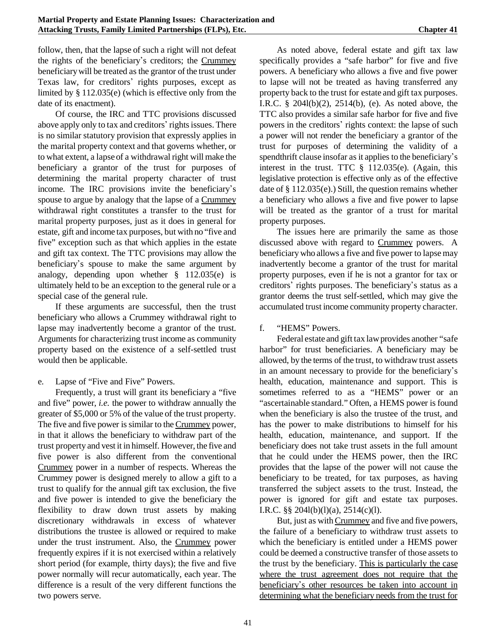follow, then, that the lapse of such a right will not defeat the rights of the beneficiary's creditors; the Crummey beneficiarywill be treated as the grantor of the trust under Texas law, for creditors' rights purposes, except as limited by § 112.035(e) (which is effective only from the date of its enactment).

Of course, the IRC and TTC provisions discussed above apply only to tax and creditors' rights issues. There is no similar statutory provision that expressly applies in the marital property context and that governs whether, or to what extent, a lapse of a withdrawal right will make the beneficiary a grantor of the trust for purposes of determining the marital property character of trust income. The IRC provisions invite the beneficiary's spouse to argue by analogy that the lapse of a Crummey withdrawal right constitutes a transfer to the trust for marital property purposes, just as it does in general for estate, gift and income tax purposes, but with no "five and five" exception such as that which applies in the estate and gift tax context. The TTC provisions may allow the beneficiary's spouse to make the same argument by analogy, depending upon whether § 112.035(e) is ultimately held to be an exception to the general rule or a special case of the general rule.

If these arguments are successful, then the trust beneficiary who allows a Crummey withdrawal right to lapse may inadvertently become a grantor of the trust. Arguments for characterizing trust income as community property based on the existence of a self-settled trust would then be applicable.

e. Lapse of "Five and Five" Powers.

Frequently, a trust will grant its beneficiary a "five and five" power, *i.e.* the power to withdraw annually the greater of \$5,000 or 5% of the value of the trust property. The five and five power is similar to the Crummey power, in that it allows the beneficiary to withdraw part of the trust property and vest it in himself. However, the five and five power is also different from the conventional Crummey power in a number of respects. Whereas the Crummey power is designed merely to allow a gift to a trust to qualify for the annual gift tax exclusion, the five and five power is intended to give the beneficiary the flexibility to draw down trust assets by making discretionary withdrawals in excess of whatever distributions the trustee is allowed or required to make under the trust instrument. Also, the Crummey power frequently expires if it is not exercised within a relatively short period (for example, thirty days); the five and five power normally will recur automatically, each year. The difference is a result of the very different functions the two powers serve.

As noted above, federal estate and gift tax law specifically provides a "safe harbor" for five and five powers. A beneficiary who allows a five and five power to lapse will not be treated as having transferred any property back to the trust for estate and gift tax purposes. I.R.C. § 204l(b)(2), 2514(b), (e). As noted above, the TTC also provides a similar safe harbor for five and five powers in the creditors' rights context: the lapse of such a power will not render the beneficiary a grantor of the trust for purposes of determining the validity of a spendthrift clause insofar as it applies to the beneficiary's interest in the trust. TTC § 112.035(e). (Again, this legislative protection is effective only as of the effective date of § 112.035(e).) Still, the question remains whether a beneficiary who allows a five and five power to lapse will be treated as the grantor of a trust for marital property purposes.

The issues here are primarily the same as those discussed above with regard to Crummey powers. A beneficiary who allows a five and five power to lapsemay inadvertently become a grantor of the trust for marital property purposes, even if he is not a grantor for tax or creditors' rights purposes. The beneficiary's status as a grantor deems the trust self-settled, which may give the accumulated trust income community property character.

### f. "HEMS" Powers.

Federal estate and gift tax lawprovides another "safe harbor" for trust beneficiaries. A beneficiary may be allowed, by the terms of the trust, to withdraw trust assets in an amount necessary to provide for the beneficiary's health, education, maintenance and support. This is sometimes referred to as a "HEMS" power or an "ascertainable standard." Often, a HEMS power is found when the beneficiary is also the trustee of the trust, and has the power to make distributions to himself for his health, education, maintenance, and support. If the beneficiary does not take trust assets in the full amount that he could under the HEMS power, then the IRC provides that the lapse of the power will not cause the beneficiary to be treated, for tax purposes, as having transferred the subject assets to the trust. Instead, the power is ignored for gift and estate tax purposes. I.R.C.  $\S$ § 2041(b)(1)(a), 2514(c)(1).

But, just as with Crummey and five and five powers, the failure of a beneficiary to withdraw trust assets to which the beneficiary is entitled under a HEMS power could be deemed a constructive transfer of those assets to the trust by the beneficiary. This is particularly the case where the trust agreement does not require that the beneficiary's other resources be taken into account in determining what the beneficiary needs from the trust for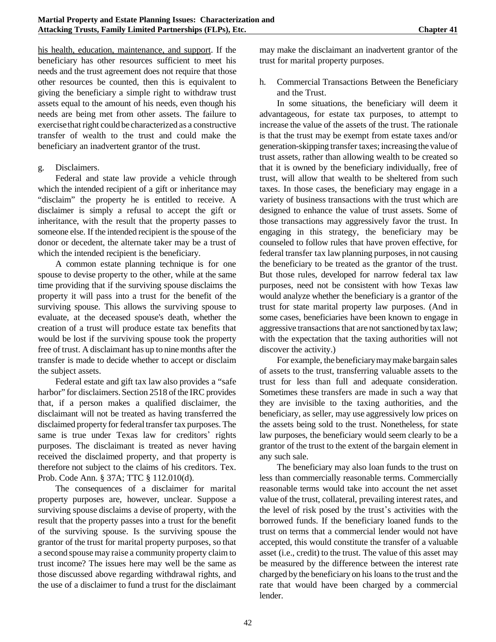his health, education, maintenance, and support. If the beneficiary has other resources sufficient to meet his needs and the trust agreement does not require that those other resources be counted, then this is equivalent to giving the beneficiary a simple right to withdraw trust assets equal to the amount of his needs, even though his needs are being met from other assets. The failure to exercisethat right could be characterized as a constructive transfer of wealth to the trust and could make the beneficiary an inadvertent grantor of the trust.

### g. Disclaimers.

Federal and state law provide a vehicle through which the intended recipient of a gift or inheritance may "disclaim" the property he is entitled to receive. A disclaimer is simply a refusal to accept the gift or inheritance, with the result that the property passes to someone else. If the intended recipient is the spouse of the donor or decedent, the alternate taker may be a trust of which the intended recipient is the beneficiary.

A common estate planning technique is for one spouse to devise property to the other, while at the same time providing that if the surviving spouse disclaims the property it will pass into a trust for the benefit of the surviving spouse. This allows the surviving spouse to evaluate, at the deceased spouse's death, whether the creation of a trust will produce estate tax benefits that would be lost if the surviving spouse took the property free of trust. A disclaimant has up to nine months after the transfer is made to decide whether to accept or disclaim the subject assets.

Federal estate and gift tax law also provides a "safe harbor" for disclaimers. Section 2518 of the IRC provides that, if a person makes a qualified disclaimer, the disclaimant will not be treated as having transferred the disclaimed property for federal transfer tax purposes. The same is true under Texas law for creditors' rights purposes. The disclaimant is treated as never having received the disclaimed property, and that property is therefore not subject to the claims of his creditors. Tex. Prob. Code Ann. § 37A; TTC § 112.010(d).

The consequences of a disclaimer for marital property purposes are, however, unclear. Suppose a surviving spouse disclaims a devise of property, with the result that the property passes into a trust for the benefit of the surviving spouse. Is the surviving spouse the grantor of the trust for marital property purposes, so that a second spousemay raise a community property claim to trust income? The issues here may well be the same as those discussed above regarding withdrawal rights, and the use of a disclaimer to fund a trust for the disclaimant

may make the disclaimant an inadvertent grantor of the trust for marital property purposes.

h. Commercial Transactions Between the Beneficiary and the Trust.

In some situations, the beneficiary will deem it advantageous, for estate tax purposes, to attempt to increase the value of the assets of the trust. The rationale is that the trust may be exempt from estate taxes and/or generation-skipping transfer taxes; increasing the value of trust assets, rather than allowing wealth to be created so that it is owned by the beneficiary individually, free of trust, will allow that wealth to be sheltered from such taxes. In those cases, the beneficiary may engage in a variety of business transactions with the trust which are designed to enhance the value of trust assets. Some of those transactions may aggressively favor the trust. In engaging in this strategy, the beneficiary may be counseled to follow rules that have proven effective, for federal transfer tax law planning purposes, in not causing the beneficiary to be treated as the grantor of the trust. But those rules, developed for narrow federal tax law purposes, need not be consistent with how Texas law would analyze whether the beneficiary is a grantor of the trust for state marital property law purposes. (And in some cases, beneficiaries have been known to engage in aggressive transactions that are not sanctioned by tax law; with the expectation that the taxing authorities will not discover the activity.)

For example, the beneficiarymaymake bargain sales of assets to the trust, transferring valuable assets to the trust for less than full and adequate consideration. Sometimes these transfers are made in such a way that they are invisible to the taxing authorities, and the beneficiary, as seller, may use aggressively low prices on the assets being sold to the trust. Nonetheless, for state law purposes, the beneficiary would seem clearly to be a grantor of the trust to the extent of the bargain element in any such sale.

The beneficiary may also loan funds to the trust on less than commercially reasonable terms. Commercially reasonable terms would take into account the net asset value of the trust, collateral, prevailing interest rates, and the level of risk posed by the trust's activities with the borrowed funds. If the beneficiary loaned funds to the trust on terms that a commercial lender would not have accepted, this would constitute the transfer of a valuable asset (i.e., credit) to the trust. The value of this asset may be measured by the difference between the interest rate charged by the beneficiary on his loans to the trust and the rate that would have been charged by a commercial lender.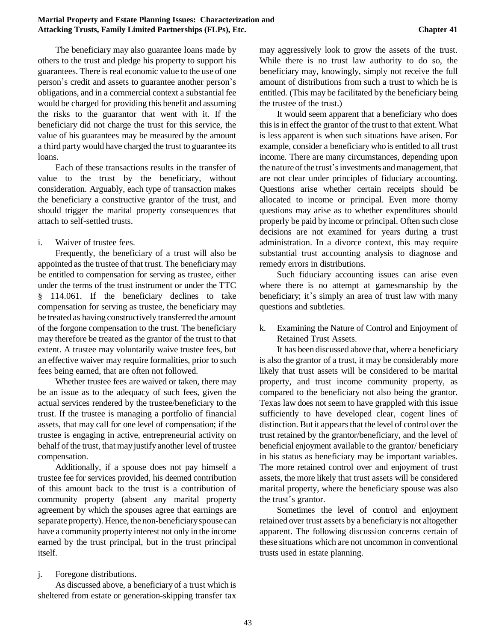The beneficiary may also guarantee loans made by others to the trust and pledge his property to support his guarantees. There is real economic value to the use of one person's credit and assets to guarantee another person's obligations, and in a commercial context a substantial fee would be charged for providing this benefit and assuming the risks to the guarantor that went with it. If the beneficiary did not charge the trust for this service, the value of his guarantees may be measured by the amount a third party would have charged the trust to guarantee its loans.

Each of these transactions results in the transfer of value to the trust by the beneficiary, without consideration. Arguably, each type of transaction makes the beneficiary a constructive grantor of the trust, and should trigger the marital property consequences that attach to self-settled trusts.

### i. Waiver of trustee fees.

Frequently, the beneficiary of a trust will also be appointed as the trustee of that trust. The beneficiarymay be entitled to compensation for serving as trustee, either under the terms of the trust instrument or under the TTC § 114.061. If the beneficiary declines to take compensation for serving as trustee, the beneficiary may be treated as having constructively transferred the amount of the forgone compensation to the trust. The beneficiary may therefore be treated as the grantor of the trust to that extent. A trustee may voluntarily waive trustee fees, but an effective waiver may require formalities, prior to such fees being earned, that are often not followed.

Whether trustee fees are waived or taken, there may be an issue as to the adequacy of such fees, given the actual services rendered by the trustee/beneficiary to the trust. If the trustee is managing a portfolio of financial assets, that may call for one level of compensation; if the trustee is engaging in active, entrepreneurial activity on behalf of the trust, that may justify another level of trustee compensation.

Additionally, if a spouse does not pay himself a trustee fee for services provided, his deemed contribution of this amount back to the trust is a contribution of community property (absent any marital property agreement by which the spouses agree that earnings are separate property). Hence, the non-beneficiary spouse can have a community property interest not only in the income earned by the trust principal, but in the trust principal itself.

### j. Foregone distributions.

As discussed above, a beneficiary of a trust which is sheltered from estate or generation-skipping transfer tax may aggressively look to grow the assets of the trust. While there is no trust law authority to do so, the beneficiary may, knowingly, simply not receive the full amount of distributions from such a trust to which he is entitled. (This may be facilitated by the beneficiary being the trustee of the trust.)

It would seem apparent that a beneficiary who does this is in effect the grantor of the trust to that extent. What is less apparent is when such situations have arisen. For example, consider a beneficiary who is entitled to all trust income. There are many circumstances, depending upon the nature of the trust's investments and management, that are not clear under principles of fiduciary accounting. Questions arise whether certain receipts should be allocated to income or principal. Even more thorny questions may arise as to whether expenditures should properly be paid by income or principal. Often such close decisions are not examined for years during a trust administration. In a divorce context, this may require substantial trust accounting analysis to diagnose and remedy errors in distributions.

Such fiduciary accounting issues can arise even where there is no attempt at gamesmanship by the beneficiary; it's simply an area of trust law with many questions and subtleties.

k. Examining the Nature of Control and Enjoyment of Retained Trust Assets.

It has been discussed above that, where a beneficiary is also the grantor of a trust, it may be considerably more likely that trust assets will be considered to be marital property, and trust income community property, as compared to the beneficiary not also being the grantor. Texas law does not seem to have grappled with this issue sufficiently to have developed clear, cogent lines of distinction. But it appears that the level of control over the trust retained by the grantor/beneficiary, and the level of beneficial enjoyment available to the grantor/ beneficiary in his status as beneficiary may be important variables. The more retained control over and enjoyment of trust assets, the more likely that trust assets will be considered marital property, where the beneficiary spouse was also the trust's grantor.

Sometimes the level of control and enjoyment retained over trust assets by a beneficiaryis not altogether apparent. The following discussion concerns certain of these situations which are not uncommon in conventional trusts used in estate planning.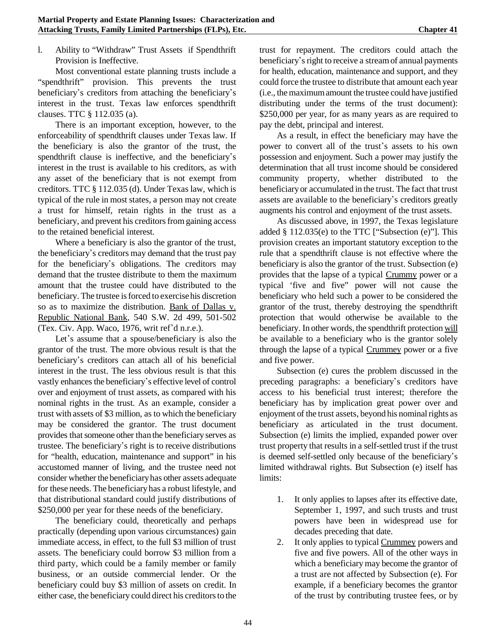l. Ability to "Withdraw" Trust Assets if Spendthrift Provision is Ineffective.

Most conventional estate planning trusts include a "spendthrift" provision. This prevents the trust beneficiary's creditors from attaching the beneficiary's interest in the trust. Texas law enforces spendthrift clauses. TTC § 112.035 (a).

There is an important exception, however, to the enforceability of spendthrift clauses under Texas law. If the beneficiary is also the grantor of the trust, the spendthrift clause is ineffective, and the beneficiary's interest in the trust is available to his creditors, as with any asset of the beneficiary that is not exempt from creditors. TTC § 112.035 (d). Under Texas law, which is typical of the rule in most states, a person may not create a trust for himself, retain rights in the trust as a beneficiary, and prevent his creditors from gaining access to the retained beneficial interest.

Where a beneficiary is also the grantor of the trust, the beneficiary's creditors may demand that the trust pay for the beneficiary's obligations. The creditors may demand that the trustee distribute to them the maximum amount that the trustee could have distributed to the beneficiary. The trustee is forced to exercise his discretion so as to maximize the distribution. Bank of Dallas v. Republic National Bank, 540 S.W. 2d 499, 501-502 (Tex. Civ. App. Waco, 1976, writ ref'd n.r.e.).

Let's assume that a spouse/beneficiary is also the grantor of the trust. The more obvious result is that the beneficiary's creditors can attach all of his beneficial interest in the trust. The less obvious result is that this vastly enhances the beneficiary's effective level of control over and enjoyment of trust assets, as compared with his nominal rights in the trust. As an example, consider a trust with assets of \$3 million, as to which the beneficiary may be considered the grantor. The trust document provides that someone other than the beneficiary serves as trustee. The beneficiary's right is to receive distributions for "health, education, maintenance and support" in his accustomed manner of living, and the trustee need not consider whether the beneficiaryhas other assets adequate for these needs. The beneficiaryhas a robust lifestyle, and that distributional standard could justify distributions of \$250,000 per year for these needs of the beneficiary.

The beneficiary could, theoretically and perhaps practically (depending upon various circumstances) gain immediate access, in effect, to the full \$3 million of trust assets. The beneficiary could borrow \$3 million from a third party, which could be a family member or family business, or an outside commercial lender. Or the beneficiary could buy \$3 million of assets on credit. In either case, the beneficiary could direct his creditors to the trust for repayment. The creditors could attach the beneficiary's right to receive a stream of annual payments for health, education, maintenance and support, and they could force the trustee to distribute that amount each year (i.e., the maximumamount the trustee could have justified distributing under the terms of the trust document): \$250,000 per year, for as many years as are required to pay the debt, principal and interest.

As a result, in effect the beneficiary may have the power to convert all of the trust's assets to his own possession and enjoyment. Such a power may justify the determination that all trust income should be considered community property, whether distributed to the beneficiaryor accumulated in the trust. The fact that trust assets are available to the beneficiary's creditors greatly augments his control and enjoyment of the trust assets.

As discussed above, in 1997, the Texas legislature added § 112.035(e) to the TTC ["Subsection (e)"]. This provision creates an important statutory exception to the rule that a spendthrift clause is not effective where the beneficiary is also the grantor of the trust. Subsection (e) provides that the lapse of a typical Crummy power or a typical 'five and five" power will not cause the beneficiary who held such a power to be considered the grantor of the trust, thereby destroying the spendthrift protection that would otherwise be available to the beneficiary. In other words, the spendthrift protection will be available to a beneficiary who is the grantor solely through the lapse of a typical Crummey power or a five and five power.

Subsection (e) cures the problem discussed in the preceding paragraphs: a beneficiary's creditors have access to his beneficial trust interest; therefore the beneficiary has by implication great power over and enjoyment of the trust assets, beyond his nominal rights as beneficiary as articulated in the trust document. Subsection (e) limits the implied, expanded power over trust property that results in a self-settled trust if the trust is deemed self-settled only because of the beneficiary's limited withdrawal rights. But Subsection (e) itself has limits:

- 1. It only applies to lapses after its effective date, September 1, 1997, and such trusts and trust powers have been in widespread use for decades preceding that date.
- 2. It only applies to typical Crummey powers and five and five powers. All of the other ways in which a beneficiary may become the grantor of a trust are not affected by Subsection (e). For example, if a beneficiary becomes the grantor of the trust by contributing trustee fees, or by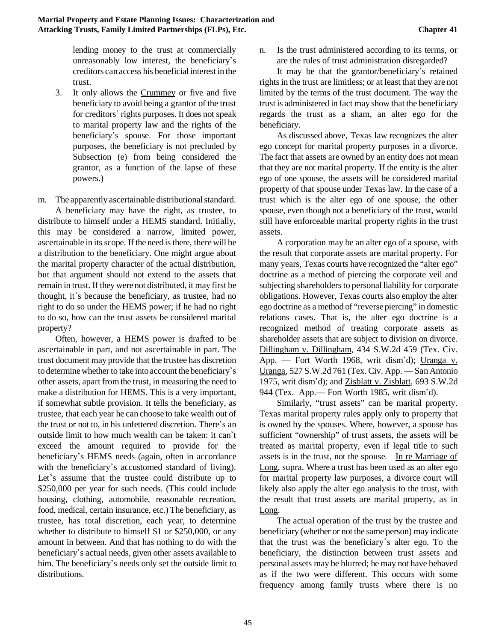lending money to the trust at commercially unreasonably low interest, the beneficiary's creditors can access his beneficial interest in the trust.

3. It only allows the Crummey or five and five beneficiary to avoid being a grantor of the trust for creditors' rights purposes. It does not speak to marital property law and the rights of the beneficiary's spouse. For those important purposes, the beneficiary is not precluded by Subsection (e) from being considered the grantor, as a function of the lapse of these powers.)

m. The apparently ascertainable distributional standard.

A beneficiary may have the right, as trustee, to distribute to himself under a HEMS standard. Initially, this may be considered a narrow, limited power, ascertainable in its scope. If the need is there, there will be a distribution to the beneficiary. One might argue about the marital property character of the actual distribution, but that argument should not extend to the assets that remain in trust. If they werenot distributed, it may first be thought, it's because the beneficiary, as trustee, had no right to do so under the HEMS power; if he had no right to do so, how can the trust assets be considered marital property?

Often, however, a HEMS power is drafted to be ascertainable in part, and not ascertainable in part. The trust document may provide that the trustee has discretion to determine whether to take into account the beneficiary's other assets, apart fromthe trust, in measuring the need to make a distribution for HEMS. This is a very important, if somewhat subtle provision. It tells the beneficiary, as trustee, that each year he can choose to take wealth out of the trust or not to, in his unfettered discretion. There's an outside limit to how much wealth can be taken: it can\*t exceed the amount required to provide for the beneficiary's HEMS needs (again, often in accordance with the beneficiary's accustomed standard of living). Let's assume that the trustee could distribute up to \$250,000 per year for such needs. (This could include housing, clothing, automobile, reasonable recreation, food, medical, certain insurance, etc.) The beneficiary, as trustee, has total discretion, each year, to determine whether to distribute to himself \$1 or \$250,000, or any amount in between. And that has nothing to do with the beneficiary's actual needs, given other assets available to him. The beneficiary's needs only set the outside limit to distributions.

n. Is the trust administered according to its terms, or are the rules of trust administration disregarded?

It may be that the grantor/beneficiary's retained rights in the trust are limitless; or at least that they are not limited by the terms of the trust document. The way the trust is administered in fact may show that the beneficiary regards the trust as a sham, an alter ego for the beneficiary.

As discussed above, Texas law recognizes the alter ego concept for marital property purposes in a divorce. The fact that assets are owned by an entity does not mean that they are not marital property. If the entity is the alter ego of one spouse, the assets will be considered marital property of that spouse under Texas law. In the case of a trust which is the alter ego of one spouse, the other spouse, even though not a beneficiary of the trust, would still have enforceable marital property rights in the trust assets.

A corporation may be an alter ego of a spouse, with the result that corporate assets are marital property. For many years, Texas courts have recognized the "alter ego" doctrine as a method of piercing the corporate veil and subjecting shareholders to personal liability for corporate obligations. However, Texas courts also employ the alter ego doctrine as a method of "reverse piercing" in domestic relations cases. That is, the alter ego doctrine is a recognized method of treating corporate assets as shareholder assets that are subject to division on divorce. Dillingham v. Dillingham, 434 S.W.2d 459 (Tex. Civ. App. — Fort Worth 1968, writ dism'd); Uranga v. Uranga, 527 S.W.2d 761 (Tex. Civ. App. — San Antonio 1975, writ dism\*d); and Zisblatt v. Zisblatt, 693 S.W.2d 944 (Tex. App.— Fort Worth 1985, writ dism'd).

Similarly, "trust assets" can be marital property. Texas marital property rules apply only to property that is owned by the spouses. Where, however, a spouse has sufficient "ownership" of trust assets, the assets will be treated as marital property, even if legal title to such assets is in the trust, not the spouse. In re Marriage of Long, supra. Where a trust has been used as an alter ego for marital property law purposes, a divorce court will likely also apply the alter ego analysis to the trust, with the result that trust assets are marital property, as in Long.

The actual operation of the trust by the trustee and beneficiary (whether or not the same person) may indicate that the trust was the beneficiary's alter ego. To the beneficiary, the distinction between trust assets and personal assets may be blurred; he may not have behaved as if the two were different. This occurs with some frequency among family trusts where there is no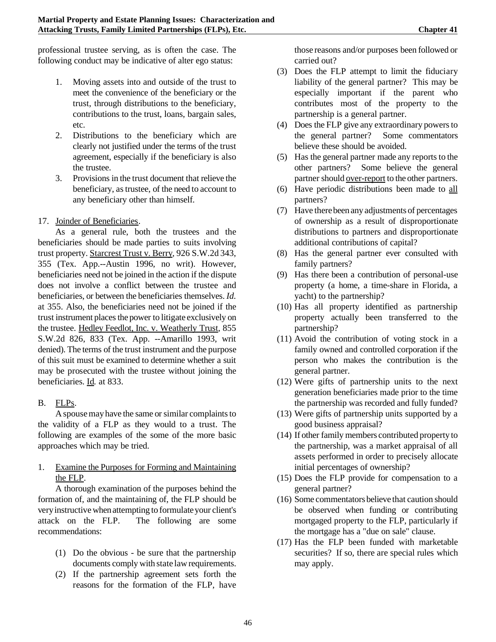professional trustee serving, as is often the case. The following conduct may be indicative of alter ego status:

- 1. Moving assets into and outside of the trust to meet the convenience of the beneficiary or the trust, through distributions to the beneficiary, contributions to the trust, loans, bargain sales, etc.
- 2. Distributions to the beneficiary which are clearly not justified under the terms of the trust agreement, especially if the beneficiary is also the trustee.
- 3. Provisions in the trust document that relieve the beneficiary, astrustee, of the need to account to any beneficiary other than himself.

## 17. Joinder of Beneficiaries.

As a general rule, both the trustees and the beneficiaries should be made parties to suits involving trust property. Starcrest Trust v. Berry*,* 926 S.W.2d 343, 355 (Tex. App.--Austin 1996, no writ). However, beneficiaries need not be joined in the action if the dispute does not involve a conflict between the trustee and beneficiaries, or between the beneficiaries themselves. *Id.* at 355. Also, the beneficiaries need not be joined if the trust instrument places the power to litigate exclusively on the trustee. Hedley Feedlot, Inc. v. Weatherly Trust*,* 855 S.W.2d 826, 833 (Tex. App. --Amarillo 1993, writ denied). The terms of the trust instrument and the purpose of this suit must be examined to determine whether a suit may be prosecuted with the trustee without joining the beneficiaries. Id*.* at 833.

# B. FLPs.

A spouse may have the same or similar complaints to the validity of a FLP as they would to a trust. The following are examples of the some of the more basic approaches which may be tried.

### 1. Examine the Purposes for Forming and Maintaining the FLP.

A thorough examination of the purposes behind the formation of, and the maintaining of, the FLP should be very instructive when attempting to formulate your client's attack on the FLP. The following are some recommendations:

- (1) Do the obvious be sure that the partnership documents comply with state lawrequirements.
- (2) If the partnership agreement sets forth the reasons for the formation of the FLP, have

those reasons and/or purposes been followed or carried out?

- (3) Does the FLP attempt to limit the fiduciary liability of the general partner? This may be especially important if the parent who contributes most of the property to the partnership is a general partner.
- (4) Does the FLP give any extraordinary powersto the general partner? Some commentators believe these should be avoided.
- (5) Has the general partner made any reports to the other partners? Some believe the general partner should over-report to the other partners.
- (6) Have periodic distributions been made to all partners?
- (7) Have therebeen any adjustments of percentages of ownership as a result of disproportionate distributions to partners and disproportionate additional contributions of capital?
- (8) Has the general partner ever consulted with family partners?
- (9) Has there been a contribution of personal-use property (a home, a time-share in Florida, a yacht) to the partnership?
- (10) Has all property identified as partnership property actually been transferred to the partnership?
- (11) Avoid the contribution of voting stock in a family owned and controlled corporation if the person who makes the contribution is the general partner.
- (12) Were gifts of partnership units to the next generation beneficiaries made prior to the time the partnership was recorded and fully funded?
- (13) Were gifts of partnership units supported by a good business appraisal?
- (14) If other family members contributed property to the partnership, was a market appraisal of all assets performed in order to precisely allocate initial percentages of ownership?
- (15) Does the FLP provide for compensation to a general partner?
- (16) Some commentatorsbelieve that caution should be observed when funding or contributing mortgaged property to the FLP, particularly if the mortgage has a "due on sale" clause.
- (17) Has the FLP been funded with marketable securities? If so, there are special rules which may apply.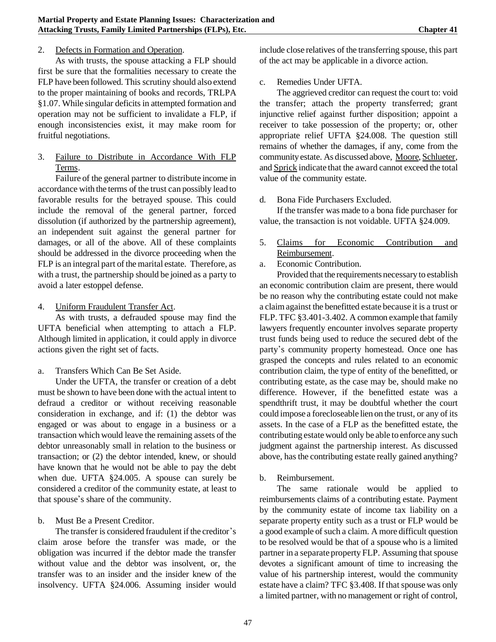#### 2. Defects in Formation and Operation.

As with trusts, the spouse attacking a FLP should first be sure that the formalities necessary to create the FLP have been followed. This scrutiny should also extend to the proper maintaining of books and records, TRLPA §1.07. While singular deficits in attempted formation and operation may not be sufficient to invalidate a FLP, if enough inconsistencies exist, it may make room for fruitful negotiations.

3. Failure to Distribute in Accordance With FLP Terms.

Failure of the general partner to distribute income in accordance with the terms of the trust can possibly lead to favorable results for the betrayed spouse. This could include the removal of the general partner, forced dissolution (if authorized by the partnership agreement), an independent suit against the general partner for damages, or all of the above. All of these complaints should be addressed in the divorce proceeding when the FLP is an integral part of the marital estate. Therefore, as with a trust, the partnership should be joined as a party to avoid a later estoppel defense.

4. Uniform Fraudulent Transfer Act.

As with trusts, a defrauded spouse may find the UFTA beneficial when attempting to attach a FLP. Although limited in application, it could apply in divorce actions given the right set of facts.

a. Transfers Which Can Be Set Aside.

Under the UFTA, the transfer or creation of a debt must be shown to have been done with the actual intent to defraud a creditor or without receiving reasonable consideration in exchange, and if: (1) the debtor was engaged or was about to engage in a business or a transaction which would leave the remaining assets of the debtor unreasonably small in relation to the business or transaction; or (2) the debtor intended, knew, or should have known that he would not be able to pay the debt when due. UFTA §24.005. A spouse can surely be considered a creditor of the community estate, at least to that spouse's share of the community.

b. Must Be a Present Creditor.

The transfer is considered fraudulent if the creditor's claim arose before the transfer was made, or the obligation was incurred if the debtor made the transfer without value and the debtor was insolvent, or, the transfer was to an insider and the insider knew of the insolvency. UFTA §24.006. Assuming insider would include close relatives of the transferring spouse, this part of the act may be applicable in a divorce action.

c. Remedies Under UFTA.

The aggrieved creditor can request the court to: void the transfer; attach the property transferred; grant injunctive relief against further disposition; appoint a receiver to take possession of the property; or, other appropriate relief UFTA §24.008. The question still remains of whether the damages, if any, come from the communityestate. As discussed above, Moore, Schlueter, and Sprick indicate that the award cannot exceed the total value of the community estate.

d. Bona Fide Purchasers Excluded.

If the transfer was made to a bona fide purchaser for value, the transaction is not voidable. UFTA §24.009.

- 5. Claims for Economic Contribution and Reimbursement.
- a. Economic Contribution.

Provided that the requirements necessary to establish an economic contribution claim are present, there would be no reason why the contributing estate could not make a claimagainst the benefitted estate because it is a trust or FLP. TFC §3.401-3.402. A common example that family lawyers frequently encounter involves separate property trust funds being used to reduce the secured debt of the party's community property homestead. Once one has grasped the concepts and rules related to an economic contribution claim, the type of entity of the benefitted, or contributing estate, as the case may be, should make no difference. However, if the benefitted estate was a spendthrift trust, it may be doubtful whether the court could impose a forecloseable lien on the trust, or any of its assets. In the case of a FLP as the benefitted estate, the contributing estate would only be able to enforce any such judgment against the partnership interest. As discussed above, has the contributing estate really gained anything?

b. Reimbursement.

The same rationale would be applied to reimbursements claims of a contributing estate. Payment by the community estate of income tax liability on a separate property entity such as a trust or FLP would be a good example of such a claim. A more difficult question to be resolved would be that of a spouse who is a limited partner in a separate property FLP. Assuming that spouse devotes a significant amount of time to increasing the value of his partnership interest, would the community estate have a claim? TFC §3.408. If that spouse was only a limited partner, with no management or right of control,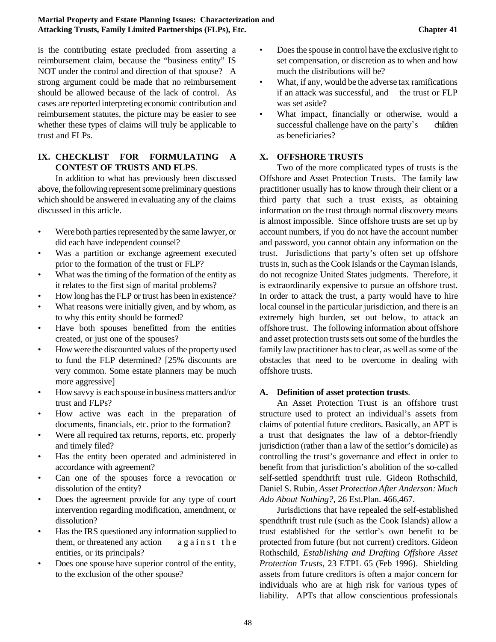is the contributing estate precluded from asserting a reimbursement claim, because the "business entity" IS NOT under the control and direction of that spouse? A strong argument could be made that no reimbursement should be allowed because of the lack of control. As cases are reported interpreting economic contribution and reimbursement statutes, the picture may be easier to see whether these types of claims will truly be applicable to trust and FLPs.

### **IX. CHECKLIST FOR FORMULATING A CONTEST OF TRUSTS AND FLPS**.

In addition to what has previously been discussed above, the following represent some preliminary questions which should be answered in evaluating any of the claims discussed in this article.

- Were both parties represented by the same lawyer, or did each have independent counsel?
- Was a partition or exchange agreement executed prior to the formation of the trust or FLP?
- What was the timing of the formation of the entity as it relates to the first sign of marital problems?
- How long hasthe FLP or trust has been in existence?
- What reasons were initially given, and by whom, as to why this entity should be formed?
- Have both spouses benefitted from the entities created, or just one of the spouses?
- How were the discounted values of the property used to fund the FLP determined? [25% discounts are very common. Some estate planners may be much more aggressive]
- How savvy is each spouse in business matters and/or trust and FLPs?
- How active was each in the preparation of documents, financials, etc. prior to the formation?
- Were all required tax returns, reports, etc. properly and timely filed?
- Has the entity been operated and administered in accordance with agreement?
- Can one of the spouses force a revocation or dissolution of the entity?
- Does the agreement provide for any type of court intervention regarding modification, amendment, or dissolution?
- Has the IRS questioned any information supplied to them, or threatened any action against the entities, or its principals?
- Does one spouse have superior control of the entity, to the exclusion of the other spouse?
- Does the spouse in control have the exclusive right to set compensation, or discretion as to when and how much the distributions will be?
- What, if any, would be the adverse tax ramifications if an attack was successful, and the trust or FLP was set aside?
- What impact, financially or otherwise, would a successful challenge have on the party's children as beneficiaries?

### **X. OFFSHORE TRUSTS**

Two of the more complicated types of trusts is the Offshore and Asset Protection Trusts. The family law practitioner usually has to know through their client or a third party that such a trust exists, as obtaining information on the trust through normal discovery means is almost impossible. Since offshore trusts are set up by account numbers, if you do not have the account number and password, you cannot obtain any information on the trust. Jurisdictions that party's often set up offshore trusts in, such as the Cook Islands or the Cayman Islands, do not recognize United States judgments. Therefore, it is extraordinarily expensive to pursue an offshore trust. In order to attack the trust, a party would have to hire local counsel in the particular jurisdiction, and there is an extremely high burden, set out below, to attack an offshore trust. The following information about offshore and asset protection trusts sets out some of the hurdles the family law practitioner has to clear, as well as some of the obstacles that need to be overcome in dealing with offshore trusts.

#### **A. Definition of asset protection trusts**.

An Asset Protection Trust is an offshore trust structure used to protect an individual's assets from claims of potential future creditors. Basically, an APT is a trust that designates the law of a debtor-friendly jurisdiction (rather than a law of the settlor's domicile) as controlling the trust's governance and effect in order to benefit from that jurisdiction's abolition of the so-called self-settled spendthrift trust rule. Gideon Rothschild, Daniel S. Rubin*, Asset Protection After Anderson: Much Ado About Nothing?*, 26 Est.Plan. 466,467.

Jurisdictions that have repealed the self-established spendthrift trust rule (such as the Cook Islands) allow a trust established for the settlor's own benefit to be protected from future (but not current) creditors. Gideon Rothschild, *Establishing and Drafting Offshore Asset Protection Trusts*, 23 ETPL 65 (Feb 1996). Shielding assets from future creditors is often a major concern for individuals who are at high risk for various types of liability. APTs that allow conscientious professionals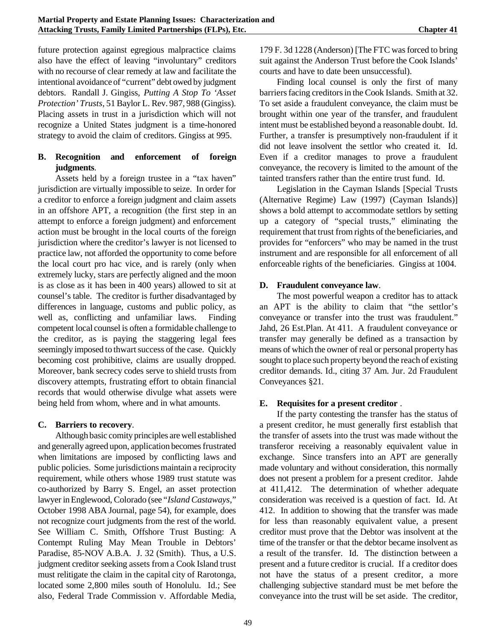future protection against egregious malpractice claims also have the effect of leaving "involuntary" creditors with no recourse of clear remedy at law and facilitate the intentional avoidance of "current" debt owed by judgment debtors. Randall J. Gingiss, *Putting A Stop To 'Asset Protection' Trusts*, 51 Baylor L. Rev. 987, 988 (Gingiss). Placing assets in trust in a jurisdiction which will not recognize a United States judgment is a time-honored strategy to avoid the claim of creditors. Gingiss at 995.

# **B. Recognition and enforcement of foreign judgments**.

Assets held by a foreign trustee in a "tax haven" jurisdiction are virtually impossible to seize. In order for a creditor to enforce a foreign judgment and claim assets in an offshore APT, a recognition (the first step in an attempt to enforce a foreign judgment) and enforcement action must be brought in the local courts of the foreign jurisdiction where the creditor's lawyer is not licensed to practice law, not afforded the opportunity to come before the local court pro hac vice, and is rarely (only when extremely lucky, stars are perfectly aligned and the moon is as close as it has been in 400 years) allowed to sit at counsel's table. The creditor is further disadvantaged by differences in language, customs and public policy, as well as, conflicting and unfamiliar laws. Finding competent local counsel is often a formidable challenge to the creditor, as is paying the staggering legal fees seemingly imposed to thwart success of the case. Quickly becoming cost prohibitive, claims are usually dropped. Moreover, bank secrecy codes serve to shield trusts from discovery attempts, frustrating effort to obtain financial records that would otherwise divulge what assets were being held from whom, where and in what amounts.

### **C. Barriers to recovery**.

Although basic comity principles are well established and generally agreed upon, application becomes frustrated when limitations are imposed by conflicting laws and public policies. Some jurisdictions maintain a reciprocity requirement, while others whose 1989 trust statute was co-authorized by Barry S. Engel, an asset protection lawyer inEnglewood, Colorado (see "*Island Castaways*," October 1998 ABA Journal, page 54), for example, does not recognize court judgments from the rest of the world. See William C. Smith, Offshore Trust Busting: A Contempt Ruling May Mean Trouble in Debtors' Paradise, 85-NOV A.B.A. J. 32 (Smith). Thus, a U.S. judgment creditor seeking assets from a Cook Island trust must relitigate the claim in the capital city of Rarotonga, located some 2,800 miles south of Honolulu. Id.; See also, Federal Trade Commission v. Affordable Media,

179 F. 3d 1228 (Anderson) [The FTC wasforced to bring suit against the Anderson Trust before the Cook Islands' courts and have to date been unsuccessful).

Finding local counsel is only the first of many barriers facing creditors in the Cook Islands. Smith at 32. To set aside a fraudulent conveyance, the claim must be brought within one year of the transfer, and fraudulent intent must be established beyond a reasonable doubt. Id. Further, a transfer is presumptively non-fraudulent if it did not leave insolvent the settlor who created it. Id. Even if a creditor manages to prove a fraudulent conveyance, the recovery is limited to the amount of the tainted transfers rather than the entire trust fund. Id.

Legislation in the Cayman Islands [Special Trusts (Alternative Regime) Law (1997) (Cayman Islands)] shows a bold attempt to accommodate settlors by setting up a category of "special trusts," eliminating the requirement that trust from rights of the beneficiaries, and provides for "enforcers" who may be named in the trust instrument and are responsible for all enforcement of all enforceable rights of the beneficiaries. Gingiss at 1004.

## **D. Fraudulent conveyance law**.

The most powerful weapon a creditor has to attack an APT is the ability to claim that "the settlor's conveyance or transfer into the trust was fraudulent." Jahd, 26 Est.Plan. At 411. A fraudulent conveyance or transfer may generally be defined as a transaction by means of which the owner of real or personal property has sought to place such property beyond the reach of existing creditor demands. Id., citing 37 Am. Jur. 2d Fraudulent Conveyances §21.

# **E. Requisites for a present creditor** .

If the party contesting the transfer has the status of a present creditor, he must generally first establish that the transfer of assets into the trust was made without the transferor receiving a reasonably equivalent value in exchange. Since transfers into an APT are generally made voluntary and without consideration, this normally does not present a problem for a present creditor. Jahde at 411,412. The determination of whether adequate consideration was received is a question of fact. Id. At 412. In addition to showing that the transfer was made for less than reasonably equivalent value, a present creditor must prove that the Debtor was insolvent at the time of the transfer or that the debtor became insolvent as a result of the transfer. Id. The distinction between a present and a future creditor is crucial. If a creditor does not have the status of a present creditor, a more challenging subjective standard must be met before the conveyance into the trust will be set aside. The creditor,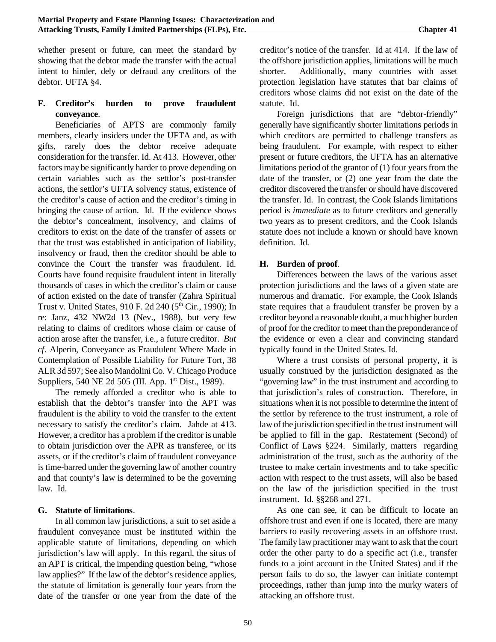whether present or future, can meet the standard by showing that the debtor made the transfer with the actual intent to hinder, dely or defraud any creditors of the debtor. UFTA §4.

### **F. Creditor's burden to prove fraudulent conveyance**.

Beneficiaries of APTS are commonly family members, clearly insiders under the UFTA and, as with gifts, rarely does the debtor receive adequate consideration for the transfer. Id. At 413. However, other factors may be significantly harder to prove depending on certain variables such as the settlor's post-transfer actions, the settlor's UFTA solvency status, existence of the creditor's cause of action and the creditor's timing in bringing the cause of action. Id. If the evidence shows the debtor's concealment, insolvency, and claims of creditors to exist on the date of the transfer of assets or that the trust was established in anticipation of liability, insolvency or fraud, then the creditor should be able to convince the Court the transfer was fraudulent. Id. Courts have found requisite fraudulent intent in literally thousands of cases in which the creditor's claim or cause of action existed on the date of transfer (Zahra Spiritual Trust v. United States, 910 F. 2d 240  $(5<sup>th</sup> Cir., 1990)$ ; In re: Janz, 432 NW2d 13 (Nev., 1988), but very few relating to claims of creditors whose claim or cause of action arose after the transfer, i.e., a future creditor. *But cf*. Alperin, Conveyance as Fraudulent Where Made in Contemplation of Possible Liability for Future Tort, 38 ALR3d 597; See also MandoliniCo. V. Chicago Produce Suppliers, 540 NE 2d 505 (III. App. 1<sup>st</sup> Dist., 1989).

The remedy afforded a creditor who is able to establish that the debtor's transfer into the APT was fraudulent is the ability to void the transfer to the extent necessary to satisfy the creditor's claim. Jahde at 413. However, a creditor has a problem if the creditor is unable to obtain jurisdiction over the APR as transferee, or its assets, or if the creditor's claim of fraudulent conveyance is time-barred under the governing lawof another country and that county's law is determined to be the governing law. Id.

#### **G. Statute of limitations**.

In all common law jurisdictions, a suit to set aside a fraudulent conveyance must be instituted within the applicable statute of limitations, depending on which jurisdiction's law will apply. In this regard, the situs of an APT is critical, the impending question being, "whose law applies?" If the law of the debtor's residence applies, the statute of limitation is generally four years from the date of the transfer or one year from the date of the

creditor's notice of the transfer. Id at 414. If the law of the offshore jurisdiction applies, limitations will be much shorter. Additionally, many countries with asset protection legislation have statutes that bar claims of creditors whose claims did not exist on the date of the statute. Id.

Foreign jurisdictions that are "debtor-friendly" generally have significantly shorter limitations periods in which creditors are permitted to challenge transfers as being fraudulent. For example, with respect to either present or future creditors, the UFTA has an alternative limitations period of the grantor of  $(1)$  four years from the date of the transfer, or (2) one year from the date the creditor discovered the transfer orshould have discovered the transfer. Id. In contrast, the Cook Islands limitations period is *immediate* as to future creditors and generally two years as to present creditors, and the Cook Islands statute does not include a known or should have known definition. Id.

#### **H. Burden of proof**.

Differences between the laws of the various asset protection jurisdictions and the laws of a given state are numerous and dramatic. For example, the Cook Islands state requires that a fraudulent transfer be proven by a creditor beyond a reasonable doubt, a muchhigher burden of proof for the creditor to meet than the preponderance of the evidence or even a clear and convincing standard typically found in the United States. Id.

Where a trust consists of personal property, it is usually construed by the jurisdiction designated as the "governing law" in the trust instrument and according to that jurisdiction's rules of construction. Therefore, in situations when it is not possible to determine the intent of the settlor by reference to the trust instrument, a role of lawof the jurisdiction specified in the trust instrument will be applied to fill in the gap. Restatement (Second) of Conflict of Laws §224. Similarly, matters regarding administration of the trust, such as the authority of the trustee to make certain investments and to take specific action with respect to the trust assets, will also be based on the law of the jurisdiction specified in the trust instrument. Id. §§268 and 271.

As one can see, it can be difficult to locate an offshore trust and even if one is located, there are many barriers to easily recovering assets in an offshore trust. The family lawpractitioner maywant to ask that the court order the other party to do a specific act (i.e., transfer funds to a joint account in the United States) and if the person fails to do so, the lawyer can initiate contempt proceedings, rather than jump into the murky waters of attacking an offshore trust.